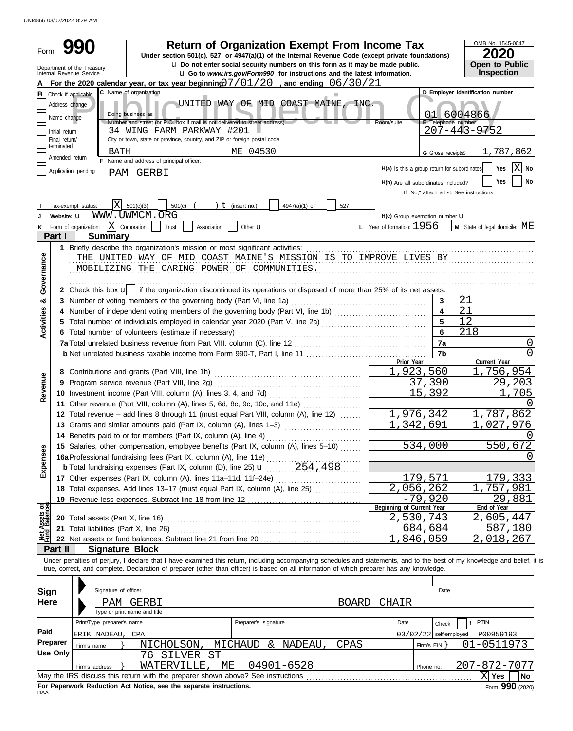UNI4866 03/02/2022 8:29 AM

| Form                                                                                                                                              |                                                        |                                        |                                                                                                       | <b>Return of Organization Exempt From Income Tax</b><br>Under section 501(c), 527, or 4947(a)(1) of the Internal Revenue Code (except private foundations)<br><b>u</b> Do not enter social security numbers on this form as it may be made public. |                                              |                              | OMB No. 1545-0047<br>2020<br><b>Open to Public</b> |  |  |  |
|---------------------------------------------------------------------------------------------------------------------------------------------------|--------------------------------------------------------|----------------------------------------|-------------------------------------------------------------------------------------------------------|----------------------------------------------------------------------------------------------------------------------------------------------------------------------------------------------------------------------------------------------------|----------------------------------------------|------------------------------|----------------------------------------------------|--|--|--|
|                                                                                                                                                   | Department of the Treasury<br>Internal Revenue Service |                                        |                                                                                                       | <b>u</b> Go to www.irs.gov/Form990 for instructions and the latest information.                                                                                                                                                                    |                                              |                              | Inspection                                         |  |  |  |
| For the 2020 calendar year, or tax year beginning $7/01/20$ , and ending $06/30/21$<br>C Name of organization<br>D Employer identification number |                                                        |                                        |                                                                                                       |                                                                                                                                                                                                                                                    |                                              |                              |                                                    |  |  |  |
| в                                                                                                                                                 | Check if applicable:<br>Address change                 |                                        |                                                                                                       |                                                                                                                                                                                                                                                    |                                              |                              |                                                    |  |  |  |
|                                                                                                                                                   |                                                        |                                        | Doing business as                                                                                     | UNITED WAY OF MID COAST MAINE,<br>INC.                                                                                                                                                                                                             |                                              |                              | 01-6004866                                         |  |  |  |
|                                                                                                                                                   | Name change                                            |                                        | Number and street (or P.O. box if mail is not delivered to street address)                            |                                                                                                                                                                                                                                                    | Room/suite                                   | E Telephone number           |                                                    |  |  |  |
|                                                                                                                                                   | Initial return<br>Final return/                        |                                        | 34 WING FARM PARKWAY #201<br>City or town, state or province, country, and ZIP or foreign postal code |                                                                                                                                                                                                                                                    |                                              |                              | $207 - 443 - 9752$                                 |  |  |  |
|                                                                                                                                                   | terminated                                             |                                        |                                                                                                       | ME 04530                                                                                                                                                                                                                                           |                                              |                              |                                                    |  |  |  |
|                                                                                                                                                   | Amended return                                         | BATH                                   | F Name and address of principal officer:                                                              |                                                                                                                                                                                                                                                    |                                              | G Gross receipts\$           | 1,787,862                                          |  |  |  |
|                                                                                                                                                   | Application pending                                    |                                        | PAM GERBI                                                                                             |                                                                                                                                                                                                                                                    | H(a) Is this a group return for subordinates |                              | ΙXΙ<br>Yes<br><b>No</b>                            |  |  |  |
|                                                                                                                                                   |                                                        |                                        |                                                                                                       |                                                                                                                                                                                                                                                    | H(b) Are all subordinates included?          |                              | Yes<br>No                                          |  |  |  |
|                                                                                                                                                   |                                                        |                                        |                                                                                                       |                                                                                                                                                                                                                                                    |                                              |                              | If "No," attach a list. See instructions           |  |  |  |
|                                                                                                                                                   | Tax-exempt status:                                     | XI                                     | 501(c)(3)<br>501(c)                                                                                   | $t$ (insert no.)<br>4947(a)(1) or<br>527                                                                                                                                                                                                           |                                              |                              |                                                    |  |  |  |
|                                                                                                                                                   | Website: U                                             |                                        | WWW.UWMCM.ORG                                                                                         |                                                                                                                                                                                                                                                    | H(c) Group exemption number U                |                              |                                                    |  |  |  |
|                                                                                                                                                   | Form of organization:                                  | ΙX                                     | Corporation<br>Trust<br>Association                                                                   | Other <b>u</b>                                                                                                                                                                                                                                     | <b>L</b> Year of formation: $1956$           |                              | <b>M</b> State of legal domicile: $ME$             |  |  |  |
|                                                                                                                                                   | Part I                                                 | <b>Summary</b>                         |                                                                                                       |                                                                                                                                                                                                                                                    |                                              |                              |                                                    |  |  |  |
|                                                                                                                                                   |                                                        |                                        | 1 Briefly describe the organization's mission or most significant activities:                         |                                                                                                                                                                                                                                                    |                                              |                              |                                                    |  |  |  |
| Governance                                                                                                                                        |                                                        |                                        |                                                                                                       | THE UNITED WAY OF MID COAST MAINE'S MISSION IS TO IMPROVE LIVES BY                                                                                                                                                                                 |                                              |                              |                                                    |  |  |  |
|                                                                                                                                                   |                                                        |                                        | MOBILIZING THE CARING POWER OF COMMUNITIES.                                                           |                                                                                                                                                                                                                                                    |                                              |                              |                                                    |  |  |  |
|                                                                                                                                                   |                                                        |                                        |                                                                                                       |                                                                                                                                                                                                                                                    |                                              |                              |                                                    |  |  |  |
|                                                                                                                                                   |                                                        |                                        |                                                                                                       | 2 Check this box u   if the organization discontinued its operations or disposed of more than 25% of its net assets.                                                                                                                               |                                              |                              |                                                    |  |  |  |
| න්                                                                                                                                                |                                                        |                                        | 3 Number of voting members of the governing body (Part VI, line 1a)                                   |                                                                                                                                                                                                                                                    |                                              | 3                            | 21                                                 |  |  |  |
|                                                                                                                                                   |                                                        |                                        |                                                                                                       |                                                                                                                                                                                                                                                    |                                              | $\overline{\mathbf{4}}$<br>5 | 21                                                 |  |  |  |
| <b>Activities</b>                                                                                                                                 |                                                        |                                        | 6 Total number of volunteers (estimate if necessary)                                                  |                                                                                                                                                                                                                                                    |                                              | 6                            | 12                                                 |  |  |  |
|                                                                                                                                                   |                                                        |                                        |                                                                                                       | 218                                                                                                                                                                                                                                                |                                              |                              |                                                    |  |  |  |
|                                                                                                                                                   |                                                        |                                        | 7a Total unrelated business revenue from Part VIII, column (C), line 12                               |                                                                                                                                                                                                                                                    |                                              | 7a<br>7b                     | 0<br><sup>0</sup>                                  |  |  |  |
|                                                                                                                                                   |                                                        |                                        |                                                                                                       |                                                                                                                                                                                                                                                    | Prior Year                                   |                              | Current Year                                       |  |  |  |
|                                                                                                                                                   |                                                        |                                        |                                                                                                       |                                                                                                                                                                                                                                                    | 1,923,560                                    |                              | 1,756,954                                          |  |  |  |
|                                                                                                                                                   |                                                        |                                        | 9 Program service revenue (Part VIII, line 2g)                                                        |                                                                                                                                                                                                                                                    |                                              | 37,390                       | 29,203                                             |  |  |  |
| Revenue                                                                                                                                           |                                                        |                                        |                                                                                                       |                                                                                                                                                                                                                                                    |                                              | 15,392                       | 1,705                                              |  |  |  |
|                                                                                                                                                   |                                                        |                                        |                                                                                                       | 11 Other revenue (Part VIII, column (A), lines 5, 6d, 8c, 9c, 10c, and 11e)                                                                                                                                                                        |                                              |                              |                                                    |  |  |  |
|                                                                                                                                                   |                                                        |                                        |                                                                                                       | 12 Total revenue - add lines 8 through 11 (must equal Part VIII, column (A), line 12)                                                                                                                                                              | $\overline{1}$ , 976, 342                    |                              | ,787,862                                           |  |  |  |
|                                                                                                                                                   |                                                        |                                        | 13 Grants and similar amounts paid (Part IX, column (A), lines 1-3)                                   |                                                                                                                                                                                                                                                    | 1,342,691                                    |                              | 027,976                                            |  |  |  |
|                                                                                                                                                   |                                                        |                                        | 14 Benefits paid to or for members (Part IX, column (A), line 4)                                      |                                                                                                                                                                                                                                                    |                                              |                              | U                                                  |  |  |  |
|                                                                                                                                                   |                                                        |                                        |                                                                                                       | 15 Salaries, other compensation, employee benefits (Part IX, column (A), lines 5-10)                                                                                                                                                               |                                              | 534,000                      | 550,672                                            |  |  |  |
| Expenses                                                                                                                                          |                                                        |                                        |                                                                                                       |                                                                                                                                                                                                                                                    |                                              |                              | $\left( \right)$                                   |  |  |  |
|                                                                                                                                                   |                                                        |                                        |                                                                                                       |                                                                                                                                                                                                                                                    |                                              |                              |                                                    |  |  |  |
|                                                                                                                                                   |                                                        |                                        |                                                                                                       | 17 Other expenses (Part IX, column (A), lines 11a-11d, 11f-24e)                                                                                                                                                                                    |                                              | 179,571                      | 179,333                                            |  |  |  |
|                                                                                                                                                   |                                                        |                                        |                                                                                                       |                                                                                                                                                                                                                                                    | 2,056,262                                    |                              | 1,757,981                                          |  |  |  |
|                                                                                                                                                   |                                                        |                                        | 19 Revenue less expenses. Subtract line 18 from line 12                                               |                                                                                                                                                                                                                                                    | Beginning of Current Year                    | $-79,920$                    | 29,881<br>End of Year                              |  |  |  |
| Net Assets or<br>Fund Balances                                                                                                                    |                                                        | 20 Total assets (Part X, line 16)      |                                                                                                       |                                                                                                                                                                                                                                                    | 2,530,743                                    |                              | 2,605,447                                          |  |  |  |
|                                                                                                                                                   |                                                        | 21 Total liabilities (Part X, line 26) |                                                                                                       |                                                                                                                                                                                                                                                    |                                              | <u>684,684</u>               | 587,180                                            |  |  |  |
|                                                                                                                                                   | ,846,059                                               |                                        |                                                                                                       |                                                                                                                                                                                                                                                    |                                              |                              |                                                    |  |  |  |
|                                                                                                                                                   | Part II                                                | <b>Signature Block</b>                 |                                                                                                       |                                                                                                                                                                                                                                                    |                                              |                              | 2,018,267                                          |  |  |  |
|                                                                                                                                                   |                                                        |                                        |                                                                                                       | Under penalties of perjury, I declare that I have examined this return, including accompanying schedules and statements, and to the best of my knowledge and belief, it is                                                                         |                                              |                              |                                                    |  |  |  |
|                                                                                                                                                   |                                                        |                                        |                                                                                                       | true, correct, and complete. Declaration of preparer (other than officer) is based on all information of which preparer has any knowledge.                                                                                                         |                                              |                              |                                                    |  |  |  |
|                                                                                                                                                   |                                                        |                                        |                                                                                                       |                                                                                                                                                                                                                                                    |                                              |                              |                                                    |  |  |  |
| <b>Sign</b>                                                                                                                                       |                                                        | Signature of officer                   |                                                                                                       |                                                                                                                                                                                                                                                    |                                              | Date                         |                                                    |  |  |  |
| Here                                                                                                                                              |                                                        | PAM                                    | GERBI                                                                                                 | <b>BOARD</b>                                                                                                                                                                                                                                       | CHAIR                                        |                              |                                                    |  |  |  |
|                                                                                                                                                   |                                                        |                                        | Type or print name and title                                                                          |                                                                                                                                                                                                                                                    |                                              |                              |                                                    |  |  |  |
|                                                                                                                                                   |                                                        | Print/Type preparer's name             |                                                                                                       | Preparer's signature                                                                                                                                                                                                                               | Date                                         | Check                        | <b>PTIN</b>                                        |  |  |  |
| Paid                                                                                                                                              |                                                        | ERIK NADEAU, CPA                       |                                                                                                       |                                                                                                                                                                                                                                                    |                                              | $03/02/22$ self-employed     | P00959193                                          |  |  |  |
|                                                                                                                                                   | Preparer                                               | Firm's name                            | NICHOLSON,                                                                                            | MICHAUD<br>& NADEAU<br>CPAS                                                                                                                                                                                                                        |                                              | Firm's $EIN$ }               | 01-0511973                                         |  |  |  |
|                                                                                                                                                   | <b>Use Only</b>                                        |                                        | 76 SILVER ST                                                                                          |                                                                                                                                                                                                                                                    |                                              |                              |                                                    |  |  |  |
|                                                                                                                                                   |                                                        | Firm's address                         | WATERVILLE,<br>МE                                                                                     | 04901-6528                                                                                                                                                                                                                                         |                                              | Phone no.                    | 207-872-7077                                       |  |  |  |
|                                                                                                                                                   |                                                        |                                        | May the IRS discuss this return with the preparer shown above? See instructions                       |                                                                                                                                                                                                                                                    |                                              |                              | $ X $ Yes<br>No                                    |  |  |  |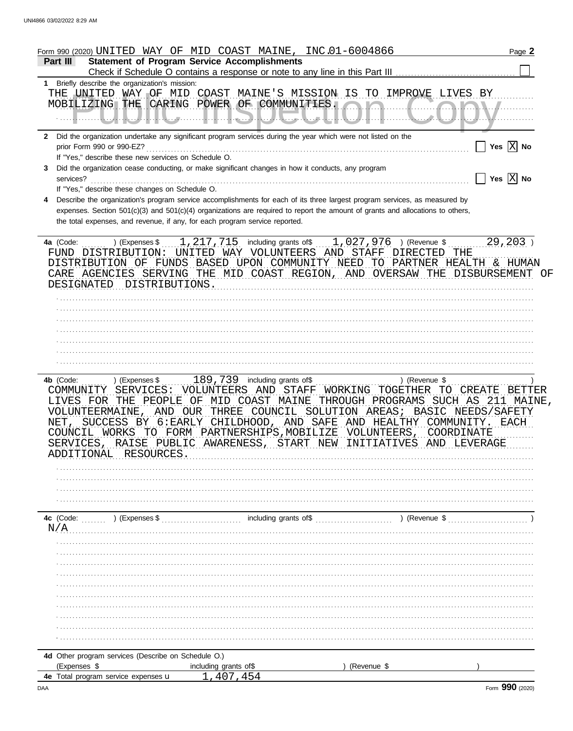|          | <u>Form 990 (2020) UNITED WAY OF MID COAST MAINE, INC.01-6004866</u>                                                           | Page 2                |
|----------|--------------------------------------------------------------------------------------------------------------------------------|-----------------------|
| Part III | <b>Statement of Program Service Accomplishments</b>                                                                            |                       |
|          | 1 Briefly describe the organization's mission:                                                                                 |                       |
|          | THE UNITED WAY OF MID COAST MAINE'S MISSION IS TO IMPROVE LIVES BY                                                             |                       |
|          | MOBILIZING THE CARING POWER OF COMMUNITIES.                                                                                    | <b>MM. /</b>          |
|          |                                                                                                                                |                       |
|          |                                                                                                                                |                       |
|          | 2 Did the organization undertake any significant program services during the year which were not listed on the                 |                       |
|          |                                                                                                                                | Yes $\overline{X}$ No |
|          | If "Yes," describe these new services on Schedule O.                                                                           |                       |
| 3        | Did the organization cease conducting, or make significant changes in how it conducts, any program                             |                       |
|          | services?                                                                                                                      | Yes $\overline{X}$ No |
|          | If "Yes," describe these changes on Schedule O.                                                                                |                       |
| 4        | Describe the organization's program service accomplishments for each of its three largest program services, as measured by     |                       |
|          | expenses. Section 501(c)(3) and 501(c)(4) organizations are required to report the amount of grants and allocations to others, |                       |
|          | the total expenses, and revenue, if any, for each program service reported.                                                    |                       |
|          |                                                                                                                                |                       |
|          | ) (Expenses \$ $1, 217, 715$ including grants of \$ $1, 027, 976$ ) (Revenue \$<br>4a (Code:                                   | $29, 203$ )           |
|          | FUND DISTRIBUTION: UNITED WAY VOLUNTEERS AND STAFF DIRECTED THE                                                                |                       |
|          | DISTRIBUTION OF FUNDS BASED UPON COMMUNITY NEED TO PARTNER HEALTH & HUMAN                                                      |                       |
|          | CARE AGENCIES SERVING THE MID COAST REGION, AND OVERSAW THE DISBURSEMENT                                                       | OF                    |
|          | DESIGNATED DISTRIBUTIONS.                                                                                                      |                       |
|          |                                                                                                                                |                       |
|          |                                                                                                                                |                       |
|          |                                                                                                                                |                       |
|          |                                                                                                                                |                       |
|          |                                                                                                                                |                       |
|          |                                                                                                                                |                       |
|          |                                                                                                                                |                       |
|          |                                                                                                                                |                       |
|          | 4b (Code:  ) (Expenses \$  189, 739 including grants of \$<br>) (Revenue \$                                                    |                       |
|          | VOLUNTEERS AND STAFF WORKING TOGETHER TO CREATE<br>COMMUNITY SERVICES:                                                         | BETTER                |
|          | LIVES FOR THE PEOPLE OF MID COAST MAINE THROUGH PROGRAMS SUCH AS 211 MAINE,                                                    |                       |
|          | VOLUNTEERMAINE, AND OUR THREE COUNCIL SOLUTION AREAS; BASIC NEEDS/SAFETY                                                       |                       |
|          | NET, SUCCESS BY 6: EARLY CHILDHOOD, AND SAFE AND HEALTHY COMMUNITY.                                                            | EACH                  |
|          | COUNCIL WORKS TO FORM PARTNERSHIPS, MOBILIZE VOLUNTEERS, COORDINATE                                                            |                       |
|          | SERVICES<br>RAISE PUBLIC AWARENESS, START<br>NEW INITIATIVES AND                                                               | LEVERAGE              |
|          | RESOURCES<br>ADDITIONAL                                                                                                        |                       |
|          |                                                                                                                                |                       |
|          |                                                                                                                                |                       |
|          |                                                                                                                                |                       |
|          |                                                                                                                                |                       |
|          |                                                                                                                                |                       |
|          | including grants of \$<br>$\ldots$ (Revenue \$)<br>4c (Code: ) (Expenses \$                                                    |                       |
| N/A      |                                                                                                                                |                       |
|          |                                                                                                                                |                       |
|          |                                                                                                                                |                       |
|          |                                                                                                                                |                       |
|          |                                                                                                                                |                       |
|          |                                                                                                                                |                       |
|          |                                                                                                                                |                       |
|          |                                                                                                                                |                       |
|          |                                                                                                                                |                       |
|          |                                                                                                                                |                       |
|          |                                                                                                                                |                       |
|          | 4d Other program services (Describe on Schedule O.)                                                                            |                       |
|          | (Expenses \$<br>(Revenue \$<br>including grants of \$                                                                          |                       |
|          | 1,407,454<br>4e Total program service expenses u                                                                               |                       |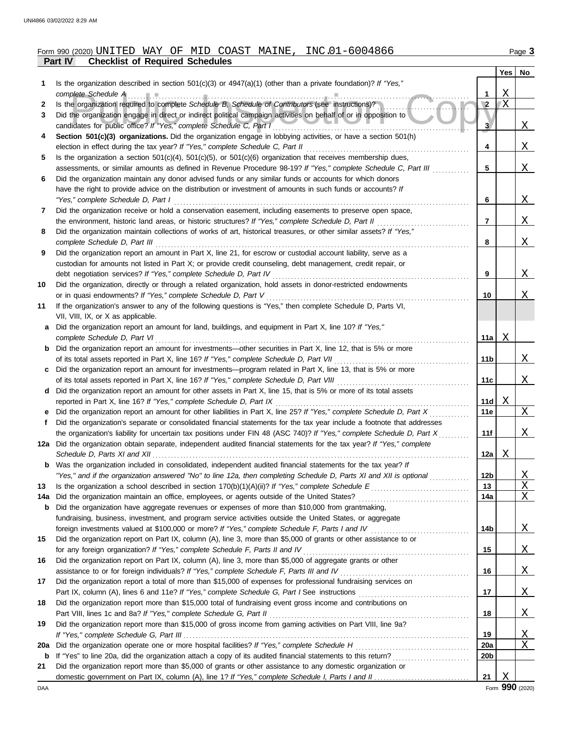### **Part IV Checklist of Required Schedules** Form 990 (2020) Page **3** UNITED WAY OF MID COAST MAINE, INC.01-6004866

|     |                                                                                                                                                                                                               |                         | Yes          | No                |
|-----|---------------------------------------------------------------------------------------------------------------------------------------------------------------------------------------------------------------|-------------------------|--------------|-------------------|
| 1   | Is the organization described in section $501(c)(3)$ or $4947(a)(1)$ (other than a private foundation)? If "Yes,"                                                                                             |                         |              |                   |
|     | complete Schedule A                                                                                                                                                                                           | 1                       | Χ            |                   |
| 2   | Is the organization required to complete Schedule B, Schedule of Contributors (see instructions)?                                                                                                             | $\sqrt{2}$              | $\mathbf{X}$ |                   |
| 3   | Did the organization engage in direct or indirect political campaign activities on behalf of or in opposition to<br>candidates for public office? If "Yes," complete Schedule C, Part I                       | $\overline{\mathbf{3}}$ |              | X                 |
| 4   | Section 501(c)(3) organizations. Did the organization engage in lobbying activities, or have a section 501(h)                                                                                                 |                         |              |                   |
|     | election in effect during the tax year? If "Yes," complete Schedule C, Part II                                                                                                                                | 4                       |              | X                 |
| 5   | Is the organization a section $501(c)(4)$ , $501(c)(5)$ , or $501(c)(6)$ organization that receives membership dues,                                                                                          |                         |              |                   |
|     | assessments, or similar amounts as defined in Revenue Procedure 98-19? If "Yes," complete Schedule C, Part III                                                                                                | 5                       |              | X                 |
| 6   | Did the organization maintain any donor advised funds or any similar funds or accounts for which donors                                                                                                       |                         |              |                   |
|     | have the right to provide advice on the distribution or investment of amounts in such funds or accounts? If                                                                                                   |                         |              |                   |
|     | "Yes," complete Schedule D, Part I                                                                                                                                                                            | 6                       |              | X                 |
| 7   | Did the organization receive or hold a conservation easement, including easements to preserve open space,                                                                                                     |                         |              |                   |
|     | the environment, historic land areas, or historic structures? If "Yes," complete Schedule D, Part II                                                                                                          | 7                       |              | Χ                 |
| 8   | Did the organization maintain collections of works of art, historical treasures, or other similar assets? If "Yes,"                                                                                           |                         |              |                   |
|     | complete Schedule D, Part III                                                                                                                                                                                 | 8                       |              | X                 |
| 9   | Did the organization report an amount in Part X, line 21, for escrow or custodial account liability, serve as a                                                                                               |                         |              |                   |
|     | custodian for amounts not listed in Part X; or provide credit counseling, debt management, credit repair, or                                                                                                  |                         |              |                   |
|     | debt negotiation services? If "Yes," complete Schedule D, Part IV                                                                                                                                             | 9                       |              | X                 |
| 10  | Did the organization, directly or through a related organization, hold assets in donor-restricted endowments                                                                                                  |                         |              |                   |
|     | or in quasi endowments? If "Yes," complete Schedule D, Part V                                                                                                                                                 | 10                      |              | Χ                 |
| 11  | If the organization's answer to any of the following questions is "Yes," then complete Schedule D, Parts VI,                                                                                                  |                         |              |                   |
|     | VII, VIII, IX, or X as applicable.                                                                                                                                                                            |                         |              |                   |
| a   | Did the organization report an amount for land, buildings, and equipment in Part X, line 10? If "Yes,"                                                                                                        |                         |              |                   |
|     | complete Schedule D, Part VI                                                                                                                                                                                  | 11a                     | Χ            |                   |
| b   | Did the organization report an amount for investments—other securities in Part X, line 12, that is 5% or more                                                                                                 |                         |              |                   |
|     | of its total assets reported in Part X, line 16? If "Yes," complete Schedule D, Part VII                                                                                                                      | 11b                     |              | X                 |
| c   | Did the organization report an amount for investments—program related in Part X, line 13, that is 5% or more                                                                                                  |                         |              |                   |
|     | of its total assets reported in Part X, line 16? If "Yes," complete Schedule D, Part VIII                                                                                                                     | 11c                     |              | Χ                 |
| d   | Did the organization report an amount for other assets in Part X, line 15, that is 5% or more of its total assets                                                                                             |                         |              |                   |
|     | reported in Part X, line 16? If "Yes," complete Schedule D, Part IX                                                                                                                                           | 11d                     | Χ            |                   |
|     | Did the organization report an amount for other liabilities in Part X, line 25? If "Yes," complete Schedule D, Part X                                                                                         | 11e                     |              | Χ                 |
| Ť.  | Did the organization's separate or consolidated financial statements for the tax year include a footnote that addresses                                                                                       |                         |              |                   |
|     | the organization's liability for uncertain tax positions under FIN 48 (ASC 740)? If "Yes," complete Schedule D, Part X                                                                                        | 11f                     |              | Χ                 |
|     | 12a Did the organization obtain separate, independent audited financial statements for the tax year? If "Yes," complete                                                                                       |                         |              |                   |
|     | Schedule D, Parts XI and XII                                                                                                                                                                                  | 12a                     | Χ            |                   |
|     | Was the organization included in consolidated, independent audited financial statements for the tax year? If                                                                                                  |                         |              |                   |
|     | "Yes," and if the organization answered "No" to line 12a, then completing Schedule D, Parts XI and XII is optional                                                                                            | 12 <sub>b</sub>         |              | <u>X</u>          |
| 13  |                                                                                                                                                                                                               | 13                      |              | $\mathbf{X}$<br>X |
| 14a | Did the organization maintain an office, employees, or agents outside of the United States?                                                                                                                   | 14a                     |              |                   |
| b   | Did the organization have aggregate revenues or expenses of more than \$10,000 from grantmaking,<br>fundraising, business, investment, and program service activities outside the United States, or aggregate |                         |              |                   |
|     | foreign investments valued at \$100,000 or more? If "Yes," complete Schedule F, Parts I and IV                                                                                                                | 14b                     |              | <u>X</u>          |
| 15  | Did the organization report on Part IX, column (A), line 3, more than \$5,000 of grants or other assistance to or                                                                                             |                         |              |                   |
|     | for any foreign organization? If "Yes," complete Schedule F, Parts II and IV                                                                                                                                  | 15                      |              | <u>X</u>          |
| 16  | Did the organization report on Part IX, column (A), line 3, more than \$5,000 of aggregate grants or other                                                                                                    |                         |              |                   |
|     | assistance to or for foreign individuals? If "Yes," complete Schedule F, Parts III and IV                                                                                                                     | 16                      |              | <u>X</u>          |
| 17  | Did the organization report a total of more than \$15,000 of expenses for professional fundraising services on                                                                                                |                         |              |                   |
|     |                                                                                                                                                                                                               | 17                      |              | <u>X</u>          |
| 18  | Did the organization report more than \$15,000 total of fundraising event gross income and contributions on                                                                                                   |                         |              |                   |
|     | Part VIII, lines 1c and 8a? If "Yes," complete Schedule G, Part II                                                                                                                                            | 18                      |              | Χ                 |
| 19  | Did the organization report more than \$15,000 of gross income from gaming activities on Part VIII, line 9a?                                                                                                  |                         |              |                   |
|     |                                                                                                                                                                                                               | 19                      |              | <u>X</u>          |
| 20a | Did the organization operate one or more hospital facilities? If "Yes," complete Schedule H                                                                                                                   | 20a                     |              | Χ                 |
| b   |                                                                                                                                                                                                               | 20 <sub>b</sub>         |              |                   |
| 21  | Did the organization report more than \$5,000 of grants or other assistance to any domestic organization or                                                                                                   |                         |              |                   |
|     |                                                                                                                                                                                                               | 21                      | Χ            |                   |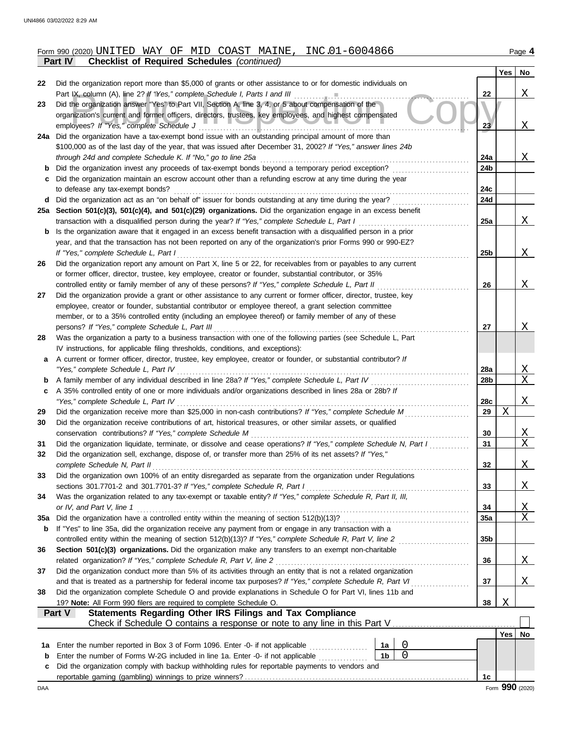|          | Part IV<br><b>Checklist of Required Schedules (continued)</b>                                                                               |                 |     |                         |
|----------|---------------------------------------------------------------------------------------------------------------------------------------------|-----------------|-----|-------------------------|
|          |                                                                                                                                             |                 | Yes | No                      |
| 22       | Did the organization report more than \$5,000 of grants or other assistance to or for domestic individuals on                               |                 |     |                         |
|          | Part IX, column (A), line 2? If "Yes," complete Schedule I, Parts I and III                                                                 | 22              |     | X                       |
| 23       | Did the organization answer "Yes" to Part VII, Section A, line 3, 4, or 5 about compensation of the                                         |                 |     |                         |
|          | organization's current and former officers, directors, trustees, key employees, and highest compensated                                     |                 |     |                         |
|          | employees? If "Yes," complete Schedule J                                                                                                    | 23 <sub>l</sub> |     | Χ                       |
| 24a      | Did the organization have a tax-exempt bond issue with an outstanding principal amount of more than                                         |                 |     |                         |
|          | \$100,000 as of the last day of the year, that was issued after December 31, 2002? If "Yes," answer lines 24b                               |                 |     |                         |
|          | through 24d and complete Schedule K. If "No," go to line 25a                                                                                | 24a             |     | X                       |
|          | Did the organization invest any proceeds of tax-exempt bonds beyond a temporary period exception?                                           | 24b             |     |                         |
|          | Did the organization maintain an escrow account other than a refunding escrow at any time during the year                                   |                 |     |                         |
|          | to defease any tax-exempt bonds?<br>Did the organization act as an "on behalf of" issuer for bonds outstanding at any time during the year? | 24c<br>24d      |     |                         |
| d<br>25a | Section 501(c)(3), 501(c)(4), and 501(c)(29) organizations. Did the organization engage in an excess benefit                                |                 |     |                         |
|          | transaction with a disqualified person during the year? If "Yes," complete Schedule L, Part I                                               | 25a             |     | X                       |
| b        | Is the organization aware that it engaged in an excess benefit transaction with a disqualified person in a prior                            |                 |     |                         |
|          | year, and that the transaction has not been reported on any of the organization's prior Forms 990 or 990-EZ?                                |                 |     |                         |
|          | If "Yes," complete Schedule L, Part I                                                                                                       | 25 <sub>b</sub> |     | X                       |
| 26       | Did the organization report any amount on Part X, line 5 or 22, for receivables from or payables to any current                             |                 |     |                         |
|          | or former officer, director, trustee, key employee, creator or founder, substantial contributor, or 35%                                     |                 |     |                         |
|          | controlled entity or family member of any of these persons? If "Yes," complete Schedule L, Part II                                          | 26              |     | X                       |
| 27       | Did the organization provide a grant or other assistance to any current or former officer, director, trustee, key                           |                 |     |                         |
|          | employee, creator or founder, substantial contributor or employee thereof, a grant selection committee                                      |                 |     |                         |
|          | member, or to a 35% controlled entity (including an employee thereof) or family member of any of these                                      |                 |     |                         |
|          | persons? If "Yes," complete Schedule L, Part III                                                                                            | 27              |     | Χ                       |
| 28       | Was the organization a party to a business transaction with one of the following parties (see Schedule L, Part                              |                 |     |                         |
|          | IV instructions, for applicable filing thresholds, conditions, and exceptions):                                                             |                 |     |                         |
| а        | A current or former officer, director, trustee, key employee, creator or founder, or substantial contributor? If                            |                 |     |                         |
|          | "Yes," complete Schedule L, Part IV                                                                                                         | 28a             |     | $\overline{\mathrm{X}}$ |
| b        |                                                                                                                                             | 28b             |     | X                       |
| c        | A 35% controlled entity of one or more individuals and/or organizations described in lines 28a or 28b? If                                   |                 |     |                         |
|          | "Yes," complete Schedule L, Part IV                                                                                                         | 28c             |     | Χ                       |
| 29       | Did the organization receive more than \$25,000 in non-cash contributions? If "Yes," complete Schedule M                                    | 29              | X   |                         |
| 30       | Did the organization receive contributions of art, historical treasures, or other similar assets, or qualified                              |                 |     |                         |
|          | conservation contributions? If "Yes," complete Schedule M                                                                                   | 30              |     | X                       |
| 31       | Did the organization liquidate, terminate, or dissolve and cease operations? If "Yes," complete Schedule N, Part I                          | 31              |     | $\mathbf X$             |
| 32       | Did the organization sell, exchange, dispose of, or transfer more than 25% of its net assets? If "Yes,"                                     |                 |     |                         |
|          | complete Schedule N, Part II                                                                                                                | 32              |     | <u>X</u>                |
| 33       | Did the organization own 100% of an entity disregarded as separate from the organization under Regulations                                  |                 |     |                         |
|          | sections 301.7701-2 and 301.7701-3? If "Yes," complete Schedule R, Part I                                                                   | 33              |     | <u>X</u>                |
| 34       | Was the organization related to any tax-exempt or taxable entity? If "Yes," complete Schedule R, Part II, III,<br>or IV, and Part V, line 1 |                 |     |                         |
|          |                                                                                                                                             | 34<br>35a       |     | <u>х</u><br>X           |
| 35a<br>b | If "Yes" to line 35a, did the organization receive any payment from or engage in any transaction with a                                     |                 |     |                         |
|          | controlled entity within the meaning of section 512(b)(13)? If "Yes," complete Schedule R, Part V, line 2                                   | 35 <sub>b</sub> |     |                         |
| 36       | Section 501(c)(3) organizations. Did the organization make any transfers to an exempt non-charitable                                        |                 |     |                         |
|          | related organization? If "Yes," complete Schedule R, Part V, line 2                                                                         | 36              |     | <u>X</u>                |
| 37       | Did the organization conduct more than 5% of its activities through an entity that is not a related organization                            |                 |     |                         |
|          | and that is treated as a partnership for federal income tax purposes? If "Yes," complete Schedule R, Part VI                                | 37              |     | Χ                       |
| 38       | Did the organization complete Schedule O and provide explanations in Schedule O for Part VI, lines 11b and                                  |                 |     |                         |
|          | 19? Note: All Form 990 filers are required to complete Schedule O.                                                                          | 38              | Χ   |                         |
|          | <b>Statements Regarding Other IRS Filings and Tax Compliance</b><br>Part V                                                                  |                 |     |                         |
|          |                                                                                                                                             |                 |     |                         |
|          |                                                                                                                                             |                 | Yes | No                      |
| 1a       | 0<br>Enter the number reported in Box 3 of Form 1096. Enter -0- if not applicable <i>mimimimimimimimimimimi</i><br>1a                       |                 |     |                         |
| b        | 0<br>1 <sub>b</sub><br>Enter the number of Forms W-2G included in line 1a. Enter -0- if not applicable                                      |                 |     |                         |
| c        | Did the organization comply with backup withholding rules for reportable payments to vendors and                                            |                 |     |                         |
|          |                                                                                                                                             | 1 <sub>c</sub>  |     |                         |

UNITED WAY OF MID COAST MAINE, INC.01-6004866

# Form 990 (2020) Page **4**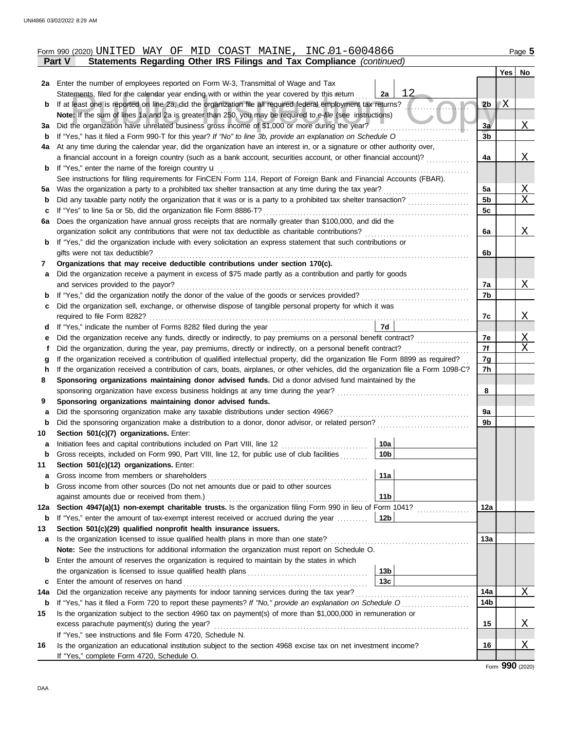|         | Form 990 (2020) UNITED WAY OF MID COAST MAINE, INC.01-6004866                                                                                                                         |                        |                |     | Page 5   |  |  |  |  |  |
|---------|---------------------------------------------------------------------------------------------------------------------------------------------------------------------------------------|------------------------|----------------|-----|----------|--|--|--|--|--|
|         | Statements Regarding Other IRS Filings and Tax Compliance (continued)<br><b>Part V</b>                                                                                                |                        |                |     |          |  |  |  |  |  |
|         |                                                                                                                                                                                       |                        |                | Yes | No       |  |  |  |  |  |
|         | 2a Enter the number of employees reported on Form W-3, Transmittal of Wage and Tax                                                                                                    |                        |                |     |          |  |  |  |  |  |
|         | Statements, filed for the calendar year ending with or within the year covered by this return                                                                                         | 12<br>2a               |                |     |          |  |  |  |  |  |
| b       | If at least one is reported on line 2a, did the organization file all required federal employment tax returns?                                                                        |                        | 2 <sub>b</sub> | 'Χ  |          |  |  |  |  |  |
|         | Note: If the sum of lines 1a and 2a is greater than 250, you may be required to e-file (see instructions)                                                                             |                        |                |     |          |  |  |  |  |  |
| За      | Did the organization have unrelated business gross income of \$1,000 or more during the year?                                                                                         |                        | 3a             |     | Χ        |  |  |  |  |  |
| b       | If "Yes," has it filed a Form 990-T for this year? If "No" to line 3b, provide an explanation on Schedule O                                                                           |                        | 3 <sub>b</sub> |     |          |  |  |  |  |  |
| 4a      | At any time during the calendar year, did the organization have an interest in, or a signature or other authority over,                                                               |                        |                |     |          |  |  |  |  |  |
|         | a financial account in a foreign country (such as a bank account, securities account, or other financial account)?                                                                    |                        | 4a             |     | Χ        |  |  |  |  |  |
| b       | If "Yes," enter the name of the foreign country <b>u</b>                                                                                                                              |                        |                |     |          |  |  |  |  |  |
|         | See instructions for filing requirements for FinCEN Form 114, Report of Foreign Bank and Financial Accounts (FBAR).                                                                   |                        |                |     |          |  |  |  |  |  |
| 5а      | Was the organization a party to a prohibited tax shelter transaction at any time during the tax year?                                                                                 |                        | 5a<br>5b       |     | Χ<br>X   |  |  |  |  |  |
| b       | Did any taxable party notify the organization that it was or is a party to a prohibited tax shelter transaction?<br>If "Yes" to line 5a or 5b, did the organization file Form 8886-T? |                        | 5c             |     |          |  |  |  |  |  |
| c<br>6a | Does the organization have annual gross receipts that are normally greater than \$100,000, and did the                                                                                |                        |                |     |          |  |  |  |  |  |
|         | organization solicit any contributions that were not tax deductible as charitable contributions?                                                                                      |                        | 6a             |     | Χ        |  |  |  |  |  |
| b       | If "Yes," did the organization include with every solicitation an express statement that such contributions or                                                                        |                        |                |     |          |  |  |  |  |  |
|         | gifts were not tax deductible?                                                                                                                                                        |                        | 6b             |     |          |  |  |  |  |  |
| 7       | Organizations that may receive deductible contributions under section 170(c).                                                                                                         |                        |                |     |          |  |  |  |  |  |
| a       | Did the organization receive a payment in excess of \$75 made partly as a contribution and partly for goods                                                                           |                        |                |     |          |  |  |  |  |  |
|         | and services provided to the payor?                                                                                                                                                   |                        | 7a             |     | Χ        |  |  |  |  |  |
| b       | If "Yes," did the organization notify the donor of the value of the goods or services provided?                                                                                       |                        | 7b             |     |          |  |  |  |  |  |
| c       | Did the organization sell, exchange, or otherwise dispose of tangible personal property for which it was                                                                              |                        |                |     |          |  |  |  |  |  |
|         | required to file Form 8282?                                                                                                                                                           |                        | 7c             |     | Χ        |  |  |  |  |  |
| d       |                                                                                                                                                                                       | 7d                     |                |     |          |  |  |  |  |  |
| е       | Did the organization receive any funds, directly or indirectly, to pay premiums on a personal benefit contract?                                                                       |                        | 7е             |     | Χ        |  |  |  |  |  |
| f       | Did the organization, during the year, pay premiums, directly or indirectly, on a personal benefit contract?                                                                          |                        | 7f             |     | Χ        |  |  |  |  |  |
| g       | If the organization received a contribution of qualified intellectual property, did the organization file Form 8899 as required?                                                      |                        | 7g             |     |          |  |  |  |  |  |
| h       | If the organization received a contribution of cars, boats, airplanes, or other vehicles, did the organization file a Form 1098-C?                                                    |                        | 7h             |     |          |  |  |  |  |  |
| 8       | Sponsoring organizations maintaining donor advised funds. Did a donor advised fund maintained by the                                                                                  |                        |                |     |          |  |  |  |  |  |
|         | sponsoring organization have excess business holdings at any time during the year?                                                                                                    |                        |                |     |          |  |  |  |  |  |
| 9       | Sponsoring organizations maintaining donor advised funds.                                                                                                                             |                        |                |     |          |  |  |  |  |  |
| a       | Did the sponsoring organization make any taxable distributions under section 4966?                                                                                                    |                        | 9a             |     |          |  |  |  |  |  |
| b       | Did the sponsoring organization make a distribution to a donor, donor advisor, or related person?                                                                                     |                        | 9b             |     |          |  |  |  |  |  |
| 10      | Section 501(c)(7) organizations. Enter:                                                                                                                                               |                        |                |     |          |  |  |  |  |  |
|         | Initiation fees and capital contributions included on Part VIII, line 12 [11][11][11][11][11][11][11][11][11][                                                                        | 10a<br>10 <sub>b</sub> |                |     |          |  |  |  |  |  |
| b<br>11 | Gross receipts, included on Form 990, Part VIII, line 12, for public use of club facilities<br>Section 501(c)(12) organizations. Enter:                                               |                        |                |     |          |  |  |  |  |  |
| a       | Gross income from members or shareholders                                                                                                                                             | 11a                    |                |     |          |  |  |  |  |  |
| b       | Gross income from other sources (Do not net amounts due or paid to other sources                                                                                                      |                        |                |     |          |  |  |  |  |  |
|         | against amounts due or received from them.)                                                                                                                                           | 11 <sub>b</sub>        |                |     |          |  |  |  |  |  |
| 12a     | Section 4947(a)(1) non-exempt charitable trusts. Is the organization filing Form 990 in lieu of Form 1041?                                                                            |                        | 12a            |     |          |  |  |  |  |  |
| b       | If "Yes," enter the amount of tax-exempt interest received or accrued during the year                                                                                                 | 12b                    |                |     |          |  |  |  |  |  |
| 13      | Section 501(c)(29) qualified nonprofit health insurance issuers.                                                                                                                      |                        |                |     |          |  |  |  |  |  |
| а       | Is the organization licensed to issue qualified health plans in more than one state?                                                                                                  |                        | 13a            |     |          |  |  |  |  |  |
|         | Note: See the instructions for additional information the organization must report on Schedule O.                                                                                     |                        |                |     |          |  |  |  |  |  |
| b       | Enter the amount of reserves the organization is required to maintain by the states in which                                                                                          |                        |                |     |          |  |  |  |  |  |
|         |                                                                                                                                                                                       | 13 <sub>b</sub>        |                |     |          |  |  |  |  |  |
| с       | Enter the amount of reserves on hand                                                                                                                                                  | 13 <sub>c</sub>        |                |     |          |  |  |  |  |  |
| 14a     | Did the organization receive any payments for indoor tanning services during the tax year?                                                                                            |                        |                |     |          |  |  |  |  |  |
| b       |                                                                                                                                                                                       |                        | 14b            |     |          |  |  |  |  |  |
| 15      | Is the organization subject to the section 4960 tax on payment(s) of more than \$1,000,000 in remuneration or                                                                         |                        |                |     |          |  |  |  |  |  |
|         | excess parachute payment(s) during the year?                                                                                                                                          |                        | 15             |     | <u>X</u> |  |  |  |  |  |
|         | If "Yes," see instructions and file Form 4720, Schedule N.                                                                                                                            |                        |                |     |          |  |  |  |  |  |
| 16      | Is the organization an educational institution subject to the section 4968 excise tax on net investment income?                                                                       |                        | 16             |     | <u>X</u> |  |  |  |  |  |
|         | If "Yes," complete Form 4720, Schedule O.                                                                                                                                             |                        |                |     |          |  |  |  |  |  |

Form **990** (2020)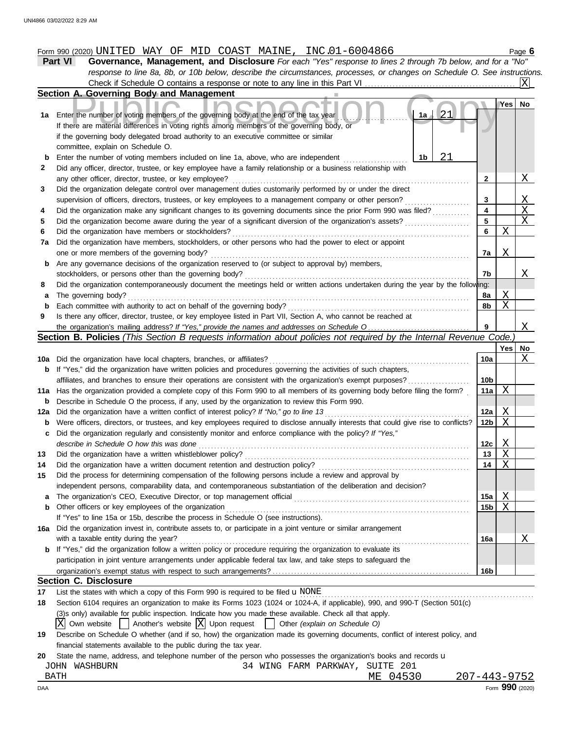### Form 990 (2020) Page **6** UNITED WAY OF MID COAST MAINE, INC.01-6004866

**Part VI Governance, Management, and Disclosure** *For each "Yes" response to lines 2 through 7b below, and for a "No" response to line 8a, 8b, or 10b below, describe the circumstances, processes, or changes on Schedule O. See instructions.* **Section A. Governing Body and Management** Check if Schedule O contains a response or note to any line in this Part VI .................  $|X|$ 

|     | Section A. Governing Body and Management                                                                                                                                                      |                 |                           |          |
|-----|-----------------------------------------------------------------------------------------------------------------------------------------------------------------------------------------------|-----------------|---------------------------|----------|
| 1a  | 21<br>1a<br>Enter the number of voting members of the governing body at the end of the tax year<br>If there are material differences in voting rights among members of the governing body, or |                 | Yes                       | No       |
|     | if the governing body delegated broad authority to an executive committee or similar<br>committee, explain on Schedule O.                                                                     |                 |                           |          |
| b   | 21<br>Enter the number of voting members included on line 1a, above, who are independent<br>1b                                                                                                |                 |                           |          |
| 2   | Did any officer, director, trustee, or key employee have a family relationship or a business relationship with                                                                                |                 |                           |          |
|     | any other officer, director, trustee, or key employee?                                                                                                                                        | $\mathbf{2}$    |                           | <u>X</u> |
| 3   | Did the organization delegate control over management duties customarily performed by or under the direct                                                                                     |                 |                           |          |
|     | supervision of officers, directors, trustees, or key employees to a management company or other person?                                                                                       | 3               |                           | Χ        |
| 4   | Did the organization make any significant changes to its governing documents since the prior Form 990 was filed?                                                                              | 4               |                           | X        |
| 5   | Did the organization become aware during the year of a significant diversion of the organization's assets?                                                                                    | 5               |                           | X        |
| 6   | Did the organization have members or stockholders?                                                                                                                                            | 6               | Χ                         |          |
| 7a  | Did the organization have members, stockholders, or other persons who had the power to elect or appoint                                                                                       |                 |                           |          |
|     | one or more members of the governing body?                                                                                                                                                    | 7a              | Χ                         |          |
| b   | Are any governance decisions of the organization reserved to (or subject to approval by) members,                                                                                             |                 |                           |          |
|     | stockholders, or persons other than the governing body?                                                                                                                                       | 7b              |                           | Χ        |
| 8   | Did the organization contemporaneously document the meetings held or written actions undertaken during the year by the following:                                                             |                 |                           |          |
| а   | The governing body?                                                                                                                                                                           | 8a              | Χ                         |          |
| b   | Each committee with authority to act on behalf of the governing body?                                                                                                                         | 8b              | Χ                         |          |
| 9   | Is there any officer, director, trustee, or key employee listed in Part VII, Section A, who cannot be reached at                                                                              |                 |                           |          |
|     |                                                                                                                                                                                               | 9               |                           | Χ        |
|     | Section B. Policies (This Section B requests information about policies not required by the Internal Revenue Code.)                                                                           |                 |                           |          |
|     |                                                                                                                                                                                               |                 | Yes                       | No       |
|     | 10a Did the organization have local chapters, branches, or affiliates?                                                                                                                        | 10a             |                           | Χ        |
| b   | If "Yes," did the organization have written policies and procedures governing the activities of such chapters,                                                                                |                 |                           |          |
|     | affiliates, and branches to ensure their operations are consistent with the organization's exempt purposes?                                                                                   | 10 <sub>b</sub> |                           |          |
| 11a | Has the organization provided a complete copy of this Form 990 to all members of its governing body before filing the form?                                                                   | 11a             | Χ                         |          |
| b   | Describe in Schedule O the process, if any, used by the organization to review this Form 990.                                                                                                 |                 |                           |          |
| 12a | Did the organization have a written conflict of interest policy? If "No," go to line 13                                                                                                       | 12a             | Χ                         |          |
| b   | Were officers, directors, or trustees, and key employees required to disclose annually interests that could give rise to conflicts?                                                           | 12 <sub>b</sub> | Χ                         |          |
| с   | Did the organization regularly and consistently monitor and enforce compliance with the policy? If "Yes,"                                                                                     |                 |                           |          |
|     | describe in Schedule O how this was done                                                                                                                                                      | 12c             | $\boldsymbol{\mathrm{X}}$ |          |
| 13  | Did the organization have a written whistleblower policy?                                                                                                                                     | 13              | X                         |          |
| 14  | Did the organization have a written document retention and destruction policy?                                                                                                                | 14              | Χ                         |          |
| 15  | Did the process for determining compensation of the following persons include a review and approval by                                                                                        |                 |                           |          |
|     | independent persons, comparability data, and contemporaneous substantiation of the deliberation and decision?                                                                                 |                 |                           |          |
|     |                                                                                                                                                                                               | 15a             | X                         |          |
| b   | Other officers or key employees of the organization                                                                                                                                           | 15 <sub>b</sub> | Χ                         |          |
|     | If "Yes" to line 15a or 15b, describe the process in Schedule O (see instructions).                                                                                                           |                 |                           |          |
|     | 16a Did the organization invest in, contribute assets to, or participate in a joint venture or similar arrangement                                                                            |                 |                           |          |
|     | with a taxable entity during the year?                                                                                                                                                        | 16a             |                           | X        |
|     | <b>b</b> If "Yes," did the organization follow a written policy or procedure requiring the organization to evaluate its                                                                       |                 |                           |          |
|     | participation in joint venture arrangements under applicable federal tax law, and take steps to safeguard the                                                                                 |                 |                           |          |
|     |                                                                                                                                                                                               | 16 <sub>b</sub> |                           |          |
|     | <b>Section C. Disclosure</b>                                                                                                                                                                  |                 |                           |          |
| 17  |                                                                                                                                                                                               |                 |                           |          |
|     | List the states with which a copy of this Form 990 is required to be filed $\mathbf u$ NONE                                                                                                   |                 |                           |          |

(3)s only) available for public inspection. Indicate how you made these available. Check all that apply.

- $\overline{X}$  Own website  $\Box$  Another's website  $\overline{X}$  Upon request  $\Box$  Other *(explain on Schedule O)*
- **19** Describe on Schedule O whether (and if so, how) the organization made its governing documents, conflict of interest policy, and financial statements available to the public during the tax year.

**20** State the name, address, and telephone number of the person who possesses the organization's books and records  $u$ 

| DAA              |                       |             | Form 990 (2020)    |
|------------------|-----------------------|-------------|--------------------|
| BATH             |                       | 04530<br>MЕ | $207 - 443 - 9752$ |
| WASHBURN<br>JOHN | PARKWAY,<br>WING FARM | SUITE 201   |                    |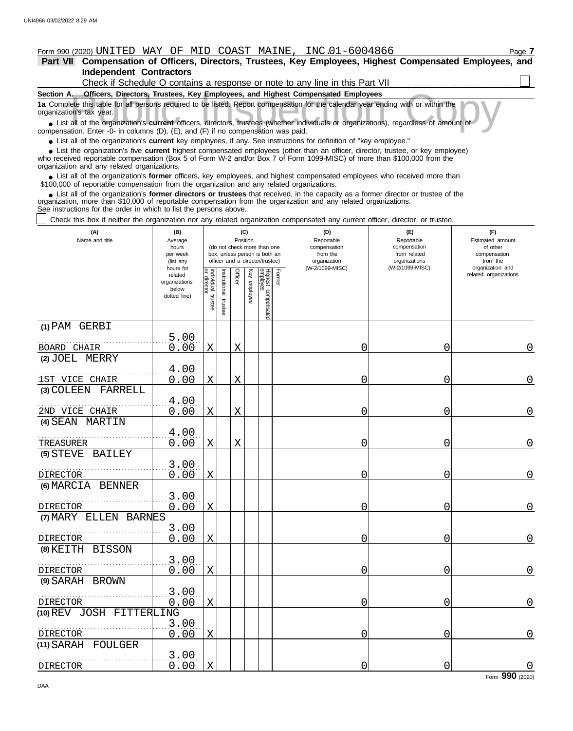### Form 990 (2020) Page **7** UNITED WAY OF MID COAST MAINE, INC.01-6004866

| Part VII Compensation of Officers, Directors, Trustees, Key Employees, Highest Compensated Employees, and |
|-----------------------------------------------------------------------------------------------------------|
| Independent Contractors                                                                                   |
| Check if Schedule O contains a response or note to any line in this Part VII.                             |
|                                                                                                           |

**Public Inspection Complete this table for all persons required to be listed. Report compensation for the calendar year ending with or within the calendar's tax year.<br>
■ List all of the organization's <b>current** officers, **Section A. Officers, Directors, Trustees, Key Employees, and Highest Compensated Employees 1a** Complete this table for all persons required to be listed. Report compensation for the calendar year ending with or within the organization's tax year.

compensation. Enter -0- in columns (D), (E), and (F) if no compensation was paid.

● List all of the organization's **current** key employees, if any. See instructions for definition of "key employee."

who received reportable compensation (Box 5 of Form W-2 and/or Box 7 of Form 1099-MISC) of more than \$100,000 from the organization and any related organizations. ■ List the organization's five **current** highest compensated employees (other than an officer, director, trustee, or key employee)<br>
a received reportable compensation (Box 5 of Form W-2 and/or Box 7 of Form 1099-MISC) of

■ List all of the organization's **former** officers, key employees, and highest compensated employees who received more than<br>00,000 of reportable compensation from the organization and any related organizations \$100,000 of reportable compensation from the organization and any related organizations.

■ List all of the organization's **former directors or trustees** that received, in the capacity as a former director or trustee of the<br>enization, more than \$10,000 of reportable compensation from the organization and any r organization, more than \$10,000 of reportable compensation from the organization and any related organizations. See instructions for the order in which to list the persons above.

Check this box if neither the organization nor any related organization compensated any current officer, director, or trustee.

| (A)<br>Name and title                   | (B)<br>Average<br>hours<br>per week<br>(list any               |                                   | (C)<br>Position<br>(do not check more than one<br>box, unless person is both an<br>officer and a director/trustee) |         |                 |                                 |        | (D)<br>Reportable<br>compensation<br>from the<br>organization | (E)<br>Reportable<br>compensation<br>from related<br>organizations | (F)<br>Estimated amount<br>of other<br>compensation<br>from the |  |
|-----------------------------------------|----------------------------------------------------------------|-----------------------------------|--------------------------------------------------------------------------------------------------------------------|---------|-----------------|---------------------------------|--------|---------------------------------------------------------------|--------------------------------------------------------------------|-----------------------------------------------------------------|--|
|                                         | hours for<br>related<br>organizations<br>below<br>dotted line) | Individual trustee<br>or director | nstitutional trustee                                                                                               | Officer | Key<br>employee | Highest compensated<br>employee | Former | (W-2/1099-MISC)                                               | (W-2/1099-MISC)                                                    | organization and<br>related organizations                       |  |
| (1) PAM GERBI                           |                                                                |                                   |                                                                                                                    |         |                 |                                 |        |                                                               |                                                                    |                                                                 |  |
| BOARD CHAIR                             | 5.00<br>0.00                                                   | X                                 |                                                                                                                    | X       |                 |                                 |        | 0                                                             | $\mathbf 0$                                                        | 0                                                               |  |
| (2) JOEL MERRY                          |                                                                |                                   |                                                                                                                    |         |                 |                                 |        |                                                               |                                                                    |                                                                 |  |
|                                         | 4.00                                                           |                                   |                                                                                                                    |         |                 |                                 |        |                                                               |                                                                    |                                                                 |  |
| 1ST VICE CHAIR<br>(3) COLEEN<br>FARRELL | 0.00                                                           | X                                 |                                                                                                                    | X       |                 |                                 |        | 0                                                             | 0                                                                  | $\mathbf 0$                                                     |  |
|                                         | 4.00                                                           |                                   |                                                                                                                    |         |                 |                                 |        |                                                               |                                                                    |                                                                 |  |
| 2ND VICE CHAIR                          | 0.00                                                           | $\mathbf X$                       |                                                                                                                    | X       |                 |                                 |        | 0                                                             | 0                                                                  | $\mathsf{O}\xspace$                                             |  |
| (4) SEAN MARTIN                         |                                                                |                                   |                                                                                                                    |         |                 |                                 |        |                                                               |                                                                    |                                                                 |  |
|                                         | 4.00                                                           |                                   |                                                                                                                    |         |                 |                                 |        |                                                               |                                                                    |                                                                 |  |
| TREASURER<br>BAILEY<br>$(5)$ STEVE      | 0.00                                                           | $\mathbf X$                       |                                                                                                                    | Χ       |                 |                                 |        | 0                                                             | 0                                                                  | 0                                                               |  |
|                                         | 3.00                                                           |                                   |                                                                                                                    |         |                 |                                 |        |                                                               |                                                                    |                                                                 |  |
| <b>DIRECTOR</b>                         | 0.00                                                           | $\mathbf X$                       |                                                                                                                    |         |                 |                                 |        | Ω                                                             | $\mathbf 0$                                                        | $\mathbf 0$                                                     |  |
| (6) MARCIA BENNER                       |                                                                |                                   |                                                                                                                    |         |                 |                                 |        |                                                               |                                                                    |                                                                 |  |
| <b>DIRECTOR</b>                         | 3.00<br>0.00                                                   | X                                 |                                                                                                                    |         |                 |                                 |        | Ω                                                             | 0                                                                  | $\mathbf 0$                                                     |  |
| (7) MARY ELLEN BARNES                   |                                                                |                                   |                                                                                                                    |         |                 |                                 |        |                                                               |                                                                    |                                                                 |  |
|                                         | 3.00                                                           |                                   |                                                                                                                    |         |                 |                                 |        |                                                               |                                                                    |                                                                 |  |
| <b>DIRECTOR</b>                         | 0.00                                                           | $\mathbf X$                       |                                                                                                                    |         |                 |                                 |        | Ω                                                             | 0                                                                  | $\Omega$                                                        |  |
| (8) KEITH BISSON                        | 3.00                                                           |                                   |                                                                                                                    |         |                 |                                 |        |                                                               |                                                                    |                                                                 |  |
| <b>DIRECTOR</b>                         | 0.00                                                           | $\mathbf X$                       |                                                                                                                    |         |                 |                                 |        | 0                                                             | $\mathbf 0$                                                        | $\mathsf{O}\xspace$                                             |  |
| (9) SARAH BROWN                         |                                                                |                                   |                                                                                                                    |         |                 |                                 |        |                                                               |                                                                    |                                                                 |  |
| <b>DIRECTOR</b>                         | 3.00                                                           |                                   |                                                                                                                    |         |                 |                                 |        | Ω                                                             | 0                                                                  |                                                                 |  |
| (10) REV JOSH FITTERLING                | 0.00                                                           | X                                 |                                                                                                                    |         |                 |                                 |        |                                                               |                                                                    | $\mathsf{O}\xspace$                                             |  |
|                                         | 3.00                                                           |                                   |                                                                                                                    |         |                 |                                 |        |                                                               |                                                                    |                                                                 |  |
| <b>DIRECTOR</b>                         | 0.00                                                           | X                                 |                                                                                                                    |         |                 |                                 |        | 0                                                             | 0                                                                  | $\overline{0}$                                                  |  |
| $(11)$ SARAH<br>FOULGER                 |                                                                |                                   |                                                                                                                    |         |                 |                                 |        |                                                               |                                                                    |                                                                 |  |
| DIRECTOR                                | 3.00<br>0.00                                                   | $\mathbf X$                       |                                                                                                                    |         |                 |                                 |        | 0                                                             | 0                                                                  | $\mathbf 0$                                                     |  |

Form **990** (2020)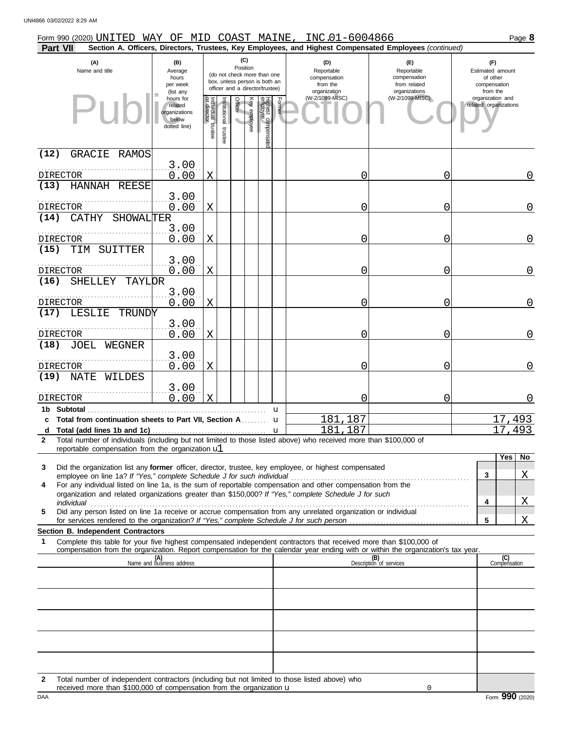| Form 990 (2020) UNITED WAY OF MID COAST MAINE, INC.01-6004866                                                                                                             |                                                                |                                   |                         |                 |              |                                                                                                 |        |                                                               |                                                                                                        | Page 8                                                          |
|---------------------------------------------------------------------------------------------------------------------------------------------------------------------------|----------------------------------------------------------------|-----------------------------------|-------------------------|-----------------|--------------|-------------------------------------------------------------------------------------------------|--------|---------------------------------------------------------------|--------------------------------------------------------------------------------------------------------|-----------------------------------------------------------------|
| Part VII                                                                                                                                                                  |                                                                |                                   |                         |                 |              |                                                                                                 |        |                                                               | Section A. Officers, Directors, Trustees, Key Employees, and Highest Compensated Employees (continued) |                                                                 |
| (A)<br>Name and title                                                                                                                                                     | (B)<br>Average<br>hours<br>per week<br>(list any               |                                   |                         | (C)<br>Position |              | (do not check more than one<br>box, unless person is both an<br>officer and a director/trustee) |        | (D)<br>Reportable<br>compensation<br>from the<br>organization | (E)<br>Reportable<br>compensation<br>from related<br>organizations                                     | (F)<br>Estimated amount<br>of other<br>compensation<br>from the |
|                                                                                                                                                                           | hours for<br>related<br>organizations<br>below<br>dotted line) | Individual trustee<br>or director | nstitutional<br>trustee | Officer         | Key employee | Highest compensate<br>employee                                                                  | Former | (W-2/1099-MISC)                                               | (W-2/1099-MISC)                                                                                        | organization and<br>related organizations                       |
| (12)<br><b>GRACIE</b><br>RAMOS                                                                                                                                            |                                                                |                                   |                         |                 |              |                                                                                                 |        |                                                               |                                                                                                        |                                                                 |
| <b>DIRECTOR</b>                                                                                                                                                           | 3.00<br>0.00                                                   | X                                 |                         |                 |              |                                                                                                 |        | 0                                                             | 0                                                                                                      | 0                                                               |
| (13)<br>HANNAH REESE                                                                                                                                                      |                                                                |                                   |                         |                 |              |                                                                                                 |        |                                                               |                                                                                                        |                                                                 |
|                                                                                                                                                                           | 3.00                                                           |                                   |                         |                 |              |                                                                                                 |        |                                                               |                                                                                                        |                                                                 |
| DIRECTOR<br>(14)<br>CATHY<br>SHOWALTER                                                                                                                                    | 0.00                                                           | X                                 |                         |                 |              |                                                                                                 |        | 0                                                             | 0                                                                                                      | $\overline{0}$                                                  |
|                                                                                                                                                                           | 3.00                                                           |                                   |                         |                 |              |                                                                                                 |        |                                                               |                                                                                                        |                                                                 |
| <b>DIRECTOR</b>                                                                                                                                                           | 0.00                                                           | Χ                                 |                         |                 |              |                                                                                                 |        | 0                                                             | 0                                                                                                      | $\overline{0}$                                                  |
| (15)<br>SUITTER<br>TIM                                                                                                                                                    | 3.00                                                           |                                   |                         |                 |              |                                                                                                 |        |                                                               |                                                                                                        |                                                                 |
| <b>DIRECTOR</b>                                                                                                                                                           | 0.00                                                           | X                                 |                         |                 |              |                                                                                                 |        | 0                                                             | 0                                                                                                      | $\overline{0}$                                                  |
| (16)<br><b>SHELLEY</b><br>TAYLOR                                                                                                                                          |                                                                |                                   |                         |                 |              |                                                                                                 |        |                                                               |                                                                                                        |                                                                 |
| <b>DIRECTOR</b>                                                                                                                                                           | 3.00<br>0.00                                                   | X                                 |                         |                 |              |                                                                                                 |        | 0                                                             | 0                                                                                                      | $\Omega$                                                        |
| <b>LESLIE</b><br>(17)<br>TRUNDY                                                                                                                                           |                                                                |                                   |                         |                 |              |                                                                                                 |        |                                                               |                                                                                                        |                                                                 |
|                                                                                                                                                                           | 3.00                                                           |                                   |                         |                 |              |                                                                                                 |        |                                                               |                                                                                                        |                                                                 |
| <b>DIRECTOR</b><br>(18)<br>JOEL<br>WEGNER                                                                                                                                 | 0.00                                                           | X                                 |                         |                 |              |                                                                                                 |        | 0                                                             | 0                                                                                                      | $\Omega$                                                        |
|                                                                                                                                                                           | 3.00                                                           |                                   |                         |                 |              |                                                                                                 |        |                                                               |                                                                                                        |                                                                 |
| <b>DIRECTOR</b>                                                                                                                                                           | 0.00                                                           | X                                 |                         |                 |              |                                                                                                 |        | 0                                                             | 0                                                                                                      | $\Omega$                                                        |
| (19)<br><b>NATE</b><br>WILDES                                                                                                                                             | 3.00                                                           |                                   |                         |                 |              |                                                                                                 |        |                                                               |                                                                                                        |                                                                 |
| <b>DIRECTOR</b>                                                                                                                                                           | 0.00                                                           | Χ                                 |                         |                 |              |                                                                                                 |        | 0                                                             | 0                                                                                                      | 0                                                               |
| 1b Subtotal                                                                                                                                                               |                                                                |                                   |                         |                 |              |                                                                                                 | u      |                                                               |                                                                                                        |                                                                 |
| c Total from continuation sheets to Part VII, Section A<br>d Total (add lines 1b and 1c) $\ldots$ $\ldots$ $\ldots$ $\ldots$ $\ldots$ $\ldots$ $\ldots$ $\ldots$ $\ldots$ |                                                                |                                   |                         |                 |              |                                                                                                 | u      | 181<br>,187<br>181,187                                        |                                                                                                        | 17,493<br>17,493                                                |
| Total number of individuals (including but not limited to those listed above) who received more than \$100,000 of<br>2                                                    |                                                                |                                   |                         |                 |              |                                                                                                 |        |                                                               |                                                                                                        |                                                                 |
| reportable compensation from the organization ul                                                                                                                          |                                                                |                                   |                         |                 |              |                                                                                                 |        |                                                               |                                                                                                        | Yes<br>No                                                       |
| Did the organization list any former officer, director, trustee, key employee, or highest compensated<br>3                                                                |                                                                |                                   |                         |                 |              |                                                                                                 |        |                                                               |                                                                                                        |                                                                 |
| For any individual listed on line 1a, is the sum of reportable compensation and other compensation from the<br>4                                                          |                                                                |                                   |                         |                 |              |                                                                                                 |        |                                                               |                                                                                                        | $\overline{\mathrm{X}}$<br>3                                    |
| organization and related organizations greater than \$150,000? If "Yes," complete Schedule J for such                                                                     |                                                                |                                   |                         |                 |              |                                                                                                 |        |                                                               |                                                                                                        | X<br>4                                                          |
| Did any person listed on line 1a receive or accrue compensation from any unrelated organization or individual<br>5                                                        |                                                                |                                   |                         |                 |              |                                                                                                 |        |                                                               |                                                                                                        |                                                                 |
| Section B. Independent Contractors                                                                                                                                        |                                                                |                                   |                         |                 |              |                                                                                                 |        |                                                               |                                                                                                        | X<br>5                                                          |
| Complete this table for your five highest compensated independent contractors that received more than \$100,000 of<br>1                                                   |                                                                |                                   |                         |                 |              |                                                                                                 |        |                                                               |                                                                                                        |                                                                 |
| compensation from the organization. Report compensation for the calendar year ending with or within the organization's tax year.                                          |                                                                |                                   |                         |                 |              |                                                                                                 |        |                                                               |                                                                                                        |                                                                 |
|                                                                                                                                                                           | (A)<br>Name and business address                               |                                   |                         |                 |              |                                                                                                 |        |                                                               | (B)<br>Description of services                                                                         | (C)<br>Compensation                                             |
|                                                                                                                                                                           |                                                                |                                   |                         |                 |              |                                                                                                 |        |                                                               |                                                                                                        |                                                                 |
|                                                                                                                                                                           |                                                                |                                   |                         |                 |              |                                                                                                 |        |                                                               |                                                                                                        |                                                                 |
|                                                                                                                                                                           |                                                                |                                   |                         |                 |              |                                                                                                 |        |                                                               |                                                                                                        |                                                                 |
|                                                                                                                                                                           |                                                                |                                   |                         |                 |              |                                                                                                 |        |                                                               |                                                                                                        |                                                                 |
|                                                                                                                                                                           |                                                                |                                   |                         |                 |              |                                                                                                 |        |                                                               |                                                                                                        |                                                                 |
|                                                                                                                                                                           |                                                                |                                   |                         |                 |              |                                                                                                 |        |                                                               |                                                                                                        |                                                                 |
|                                                                                                                                                                           |                                                                |                                   |                         |                 |              |                                                                                                 |        |                                                               |                                                                                                        |                                                                 |

| Total number of independent contractors (including but not limited to those listed above) who |
|-----------------------------------------------------------------------------------------------|
| received more than \$100,000 of compensation from the organization $\mathbf u$                |

0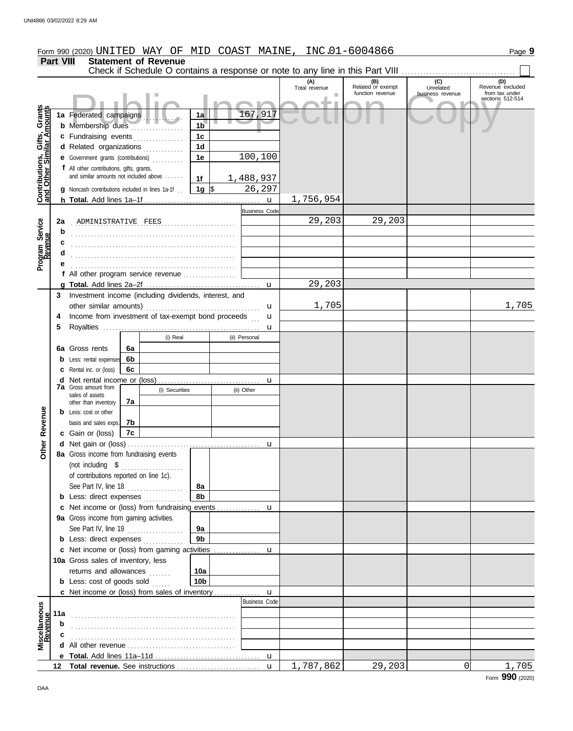|                                                           |                  |                                                              |    |                             |                 |  |                                      | Form 990 (2020) UNITED WAY OF MID COAST MAINE, INC.01-6004866 |                          |                  | Page 9                             |
|-----------------------------------------------------------|------------------|--------------------------------------------------------------|----|-----------------------------|-----------------|--|--------------------------------------|---------------------------------------------------------------|--------------------------|------------------|------------------------------------|
|                                                           | <b>Part VIII</b> |                                                              |    | <b>Statement of Revenue</b> |                 |  |                                      |                                                               |                          |                  |                                    |
|                                                           |                  |                                                              |    |                             |                 |  |                                      |                                                               |                          |                  |                                    |
|                                                           |                  |                                                              |    |                             |                 |  |                                      | (A)<br>Total revenue                                          | (B)<br>Related or exempt | (C)<br>Unrelated | (D)<br>Revenue excluded            |
|                                                           |                  |                                                              |    |                             |                 |  |                                      |                                                               | function revenue         | business revenue | from tax under<br>sections 512-514 |
|                                                           |                  |                                                              |    |                             |                 |  |                                      |                                                               |                          |                  |                                    |
|                                                           |                  | 1a Federated campaigns                                       |    |                             | 1a              |  | 167,917                              |                                                               |                          |                  |                                    |
| Contributions, Gifts, Grants<br>and Other Similar Amounts |                  | <b>b</b> Membership dues                                     |    |                             | 1 <sub>b</sub>  |  |                                      |                                                               |                          |                  |                                    |
|                                                           |                  | c Fundraising events                                         |    |                             | 1 <sub>c</sub>  |  |                                      |                                                               |                          |                  |                                    |
|                                                           |                  | d Related organizations                                      |    |                             | 1 <sub>d</sub>  |  |                                      |                                                               |                          |                  |                                    |
|                                                           |                  | e Government grants (contributions)                          |    |                             | 1e              |  | 100,100                              |                                                               |                          |                  |                                    |
|                                                           |                  | f All other contributions, gifts, grants,                    |    |                             |                 |  |                                      |                                                               |                          |                  |                                    |
|                                                           |                  | and similar amounts not included above                       |    |                             | 1f              |  | 1,488,937                            |                                                               |                          |                  |                                    |
|                                                           |                  | <b>g</b> Noncash contributions included in lines 1a-1f.      |    |                             | $1g \,$ \$      |  | 26,297                               |                                                               |                          |                  |                                    |
|                                                           |                  |                                                              |    |                             |                 |  | $\mathbf{u}$                         | 1,756,954                                                     |                          |                  |                                    |
|                                                           |                  |                                                              |    |                             |                 |  | <b>Business Code</b>                 |                                                               |                          |                  |                                    |
| Program Service<br>Revenue                                | 2a               |                                                              |    | ADMINISTRATIVE FEES         |                 |  |                                      | 29,203                                                        | 29,203                   |                  |                                    |
|                                                           | b                |                                                              |    |                             |                 |  |                                      |                                                               |                          |                  |                                    |
|                                                           |                  |                                                              |    |                             |                 |  |                                      |                                                               |                          |                  |                                    |
|                                                           |                  |                                                              |    |                             |                 |  |                                      |                                                               |                          |                  |                                    |
|                                                           |                  |                                                              |    |                             |                 |  |                                      |                                                               |                          |                  |                                    |
|                                                           |                  | f All other program service revenue                          |    |                             |                 |  |                                      |                                                               |                          |                  |                                    |
|                                                           |                  |                                                              |    |                             |                 |  | $\mathbf{u}$                         | 29,203                                                        |                          |                  |                                    |
|                                                           |                  | 3 Investment income (including dividends, interest, and      |    |                             |                 |  |                                      |                                                               |                          |                  |                                    |
|                                                           |                  |                                                              |    |                             |                 |  | u                                    | 1,705                                                         |                          |                  | 1,705                              |
|                                                           | 4                | Income from investment of tax-exempt bond proceeds<br>u      |    |                             |                 |  |                                      |                                                               |                          |                  |                                    |
|                                                           | 5                |                                                              |    |                             |                 |  | u                                    |                                                               |                          |                  |                                    |
|                                                           |                  |                                                              |    | (i) Real                    |                 |  | (ii) Personal                        |                                                               |                          |                  |                                    |
|                                                           |                  | 6a Gross rents                                               | 6a |                             |                 |  |                                      |                                                               |                          |                  |                                    |
|                                                           |                  | <b>b</b> Less: rental expenses                               | 6b |                             |                 |  |                                      |                                                               |                          |                  |                                    |
|                                                           |                  | <b>c</b> Rental inc. or (loss)                               | 6c |                             |                 |  |                                      |                                                               |                          |                  |                                    |
|                                                           |                  | <b>d</b> Net rental income or (loss)<br>7a Gross amount from |    |                             |                 |  | u                                    |                                                               |                          |                  |                                    |
|                                                           |                  | sales of assets                                              |    | (i) Securities              |                 |  | (ii) Other                           |                                                               |                          |                  |                                    |
|                                                           |                  | other than inventory                                         | 7a |                             |                 |  |                                      |                                                               |                          |                  |                                    |
| Revenue                                                   |                  | <b>b</b> Less: cost or other                                 |    |                             |                 |  |                                      |                                                               |                          |                  |                                    |
|                                                           |                  | basis and sales exps.                                        | 7b |                             |                 |  |                                      |                                                               |                          |                  |                                    |
|                                                           |                  | c Gain or (loss)                                             | 7c |                             |                 |  |                                      |                                                               |                          |                  |                                    |
| Ĕ                                                         |                  | d Net gain or (loss)                                         |    |                             |                 |  |                                      |                                                               |                          |                  |                                    |
|                                                           |                  | 8a Gross income from fundraising events                      |    |                             |                 |  |                                      |                                                               |                          |                  |                                    |
|                                                           |                  | (not including \$                                            |    | .                           |                 |  |                                      |                                                               |                          |                  |                                    |
|                                                           |                  | of contributions reported on line 1c).                       |    |                             |                 |  |                                      |                                                               |                          |                  |                                    |
|                                                           |                  | See Part IV, line 18                                         |    |                             | 8а              |  |                                      |                                                               |                          |                  |                                    |
|                                                           |                  | <b>b</b> Less: direct expenses                               |    |                             | 8b              |  |                                      |                                                               |                          |                  |                                    |
|                                                           |                  | c Net income or (loss) from fundraising events               |    |                             |                 |  | u                                    |                                                               |                          |                  |                                    |
|                                                           |                  | 9a Gross income from gaming activities.                      |    |                             |                 |  |                                      |                                                               |                          |                  |                                    |
|                                                           |                  | See Part IV, line 19                                         |    | .                           | 9a              |  |                                      |                                                               |                          |                  |                                    |
|                                                           |                  | <b>b</b> Less: direct expenses                               |    |                             | 9b              |  |                                      |                                                               |                          |                  |                                    |
|                                                           |                  |                                                              |    |                             |                 |  |                                      |                                                               |                          |                  |                                    |
|                                                           |                  | 10a Gross sales of inventory, less                           |    |                             |                 |  |                                      |                                                               |                          |                  |                                    |
|                                                           |                  | returns and allowances                                       |    |                             | 10a             |  |                                      |                                                               |                          |                  |                                    |
|                                                           |                  | <b>b</b> Less: cost of goods sold                            |    |                             | 10 <sub>b</sub> |  |                                      |                                                               |                          |                  |                                    |
|                                                           |                  |                                                              |    |                             |                 |  | $\mathbf{u}$<br><b>Business Code</b> |                                                               |                          |                  |                                    |
| Miscellaneous<br>Revenue                                  |                  |                                                              |    |                             |                 |  |                                      |                                                               |                          |                  |                                    |
|                                                           | 11a              |                                                              |    |                             |                 |  |                                      |                                                               |                          |                  |                                    |
|                                                           | b                |                                                              |    |                             |                 |  |                                      |                                                               |                          |                  |                                    |
|                                                           |                  |                                                              |    |                             |                 |  |                                      |                                                               |                          |                  |                                    |
|                                                           |                  |                                                              |    |                             |                 |  |                                      |                                                               |                          |                  |                                    |
|                                                           |                  |                                                              |    |                             |                 |  |                                      |                                                               |                          |                  |                                    |
|                                                           | 12               |                                                              |    |                             |                 |  |                                      | 1,787,862                                                     | 29,203                   | 0                | 1,705                              |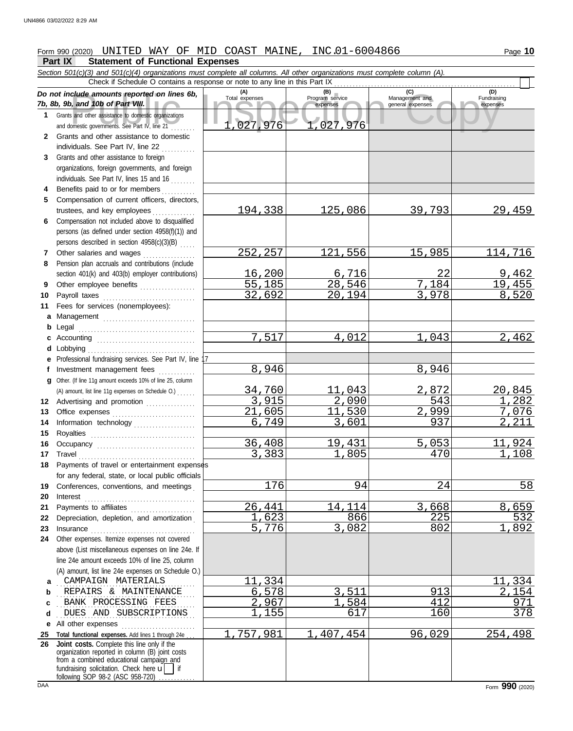## Form 990 (2020) Page **10** UNITED WAY OF MID COAST MAINE, INC.01-6004866

#### **Part IX Statement of Functional Expenses**

Collection and the amounts reported on lines 6b, Total expenses<br>
Program service Management and Total expenses<br>
and other assistance to domestic organizations<br>
Sand other assistance to domestic organizations<br>
Sand other as *Section 501(c)(3) and 501(c)(4) organizations must complete all columns. All other organizations must complete column (A). Do not include amounts reported on lines 6b, 7b, 8b, 9b, and 10b of Part* **1 2** Grants and other assistance and domestic governments. See . . . . . . . . Grants and other ass **(A) (B) (C) (D)** Total expenses Program service Management and expenses general expenses Check if Schedule O contains a response or note to any line in this Part IX 1,027,976 1,027,976

- **3** individuals. See Part Grants and other assista organizations, foreign go individuals. See Part IV.
- **4** Benefits paid to or for
- **5** Compensation of cur trustees, and key em
- **6** Compensation not included above to disqualified persons (as defined und persons described in se
- **7 8** Other salaries and w Pension plan accruals a
- **9** section  $401(k)$  and  $403(l)$ Other employee bene
- **10 11 a b** Legal Payroll taxes ....... Fees for services (no Management . . . . . . . . . . . . . . . . . . . . . . . . . . . . . . . . . . . . . . . . . . . . . . . . . . . . . . . . . . . . . . . . . . . .
- **c** Accounting . . . . . . . . . . . . . . . . . . . . . . . . . . . . . . . . **d e** Professional fundraising services. See Part IV, line 17 Lobbying . . . . . . . . . . .
- **f g** Investment managen Other. (If line 11g amount exceeds
- **12** Advertising and pron (A) amount, list line 11g expe
- **13 14 15** Office expenses Information technolog Royalties ...........
- **16 17 18** Occupancy .......... Travel . . . . . . . . . . . . . . . . . . . . . . . . . . . . . . . . . . . . . . Payments of travel or
- **19** for any federal, state, Conferences, conven
- **20 21 22** Interest . . . . . . . . . . . . . . . . . . . . . . . . . . . . . . . . . . . . Payments to affiliates Depreciation, depletio
- **23 24** Other expenses. Itemize expenses not covered Insurance ........... above (List miscellaneou line 24e amount exceeds  $(A)$  amount, list line 24e
- **a** CAMPAIGN MATERIALS **b** REPAIRS & N
- **c** BANK PROCES
- **d**
- **e** All other expenses . . . . . . . . . . . . . . . . . . . . . . . .
- **25 26 Total functional expenses** organization reported in Joint costs. Complete

following SOP 98-2 (ASC 958-720)

fundraising solicitation. Ched from a combined educat

Fundraising

| <sub>2</sub> , yb, and Tub of Part VIII.                                                                                                                                                   |                | expenses     | general expenses | expenses            |
|--------------------------------------------------------------------------------------------------------------------------------------------------------------------------------------------|----------------|--------------|------------------|---------------------|
| Grants and other assistance to domestic organizations                                                                                                                                      |                |              |                  |                     |
| and domestic governments. See Part IV, line 21                                                                                                                                             | 1,027,976      | 1,027,976    |                  |                     |
| Grants and other assistance to domestic                                                                                                                                                    |                |              |                  |                     |
| individuals. See Part IV, line 22                                                                                                                                                          |                |              |                  |                     |
| Grants and other assistance to foreign                                                                                                                                                     |                |              |                  |                     |
| organizations, foreign governments, and foreign                                                                                                                                            |                |              |                  |                     |
| individuals. See Part IV, lines 15 and 16 $\ldots$                                                                                                                                         |                |              |                  |                     |
| Benefits paid to or for members                                                                                                                                                            |                |              |                  |                     |
| Compensation of current officers, directors,                                                                                                                                               |                |              |                  |                     |
| trustees, and key employees                                                                                                                                                                | <u>194,338</u> | 125,086      | 39,793           | 29,459              |
| Compensation not included above to disqualified                                                                                                                                            |                |              |                  |                     |
| persons (as defined under section 4958(f)(1)) and                                                                                                                                          |                |              |                  |                     |
| persons described in section $4958(c)(3)(B)$                                                                                                                                               |                |              |                  |                     |
| Other salaries and wages                                                                                                                                                                   | 252,257        | 121,556      | 15,985           | 114, 716            |
| Pension plan accruals and contributions (include                                                                                                                                           |                |              |                  |                     |
| section 401(k) and 403(b) employer contributions)                                                                                                                                          | <u>16,200</u>  | 6,716        | 22               | 9,462               |
| Other employee benefits                                                                                                                                                                    | 55,185         | 28,546       | 7,184            | 19,455              |
| Payroll taxes                                                                                                                                                                              | 32,692         | 20,194       | 3,978            | 8,520               |
| Fees for services (nonemployees):                                                                                                                                                          |                |              |                  |                     |
| Management                                                                                                                                                                                 |                |              |                  |                     |
|                                                                                                                                                                                            |                |              |                  |                     |
| Accounting                                                                                                                                                                                 | 7,517          | 4,012        | 1,043            | 2,462               |
|                                                                                                                                                                                            |                |              |                  |                     |
| Professional fundraising services. See Part IV, line 17                                                                                                                                    |                |              |                  |                     |
| Investment management fees                                                                                                                                                                 | 8,946          |              | 8,946            |                     |
| Other. (If line 11g amount exceeds 10% of line 25, column                                                                                                                                  |                |              |                  |                     |
| (A) amount, list line 11g expenses on Schedule O.)                                                                                                                                         | 34,760         | 11,043       | 2,872            | <u> 20,845</u>      |
| Advertising and promotion                                                                                                                                                                  | 3,915          | 2,090        | 543              | 1,282               |
| Office expenses                                                                                                                                                                            | 21,605         | 11,530       | 2,999            | 7,076               |
| Information technology                                                                                                                                                                     | 6,749          | 3,601        | 937              | 2,211               |
|                                                                                                                                                                                            |                |              |                  |                     |
| Occupancy                                                                                                                                                                                  | 36,408         | 19,431       | 5,053            | 11,924              |
|                                                                                                                                                                                            | 3,383          | 1,805        | 470              | 1,108               |
| Payments of travel or entertainment expenses                                                                                                                                               |                |              |                  |                     |
| for any federal, state, or local public officials                                                                                                                                          |                |              |                  |                     |
| Conferences, conventions, and meetings                                                                                                                                                     | 176            | 94           | 24               | 58                  |
| Interest                                                                                                                                                                                   |                |              |                  |                     |
| Payments to affiliates                                                                                                                                                                     | 26,441         | 14,114       | 3,668            | 8,659               |
| Depreciation, depletion, and amortization                                                                                                                                                  | 1,623          | 866          | 225              | 532                 |
| Insurance <b>contained</b> and a series of the series of the series of the series of the series of the series of the                                                                       | 5,776          | 3,082        | 802              | $\mathbf 1$<br>,892 |
| Other expenses. Itemize expenses not covered                                                                                                                                               |                |              |                  |                     |
| above (List miscellaneous expenses on line 24e. If                                                                                                                                         |                |              |                  |                     |
| line 24e amount exceeds 10% of line 25, column                                                                                                                                             |                |              |                  |                     |
| (A) amount, list line 24e expenses on Schedule O.)                                                                                                                                         |                |              |                  |                     |
| CAMPAIGN MATERIALS                                                                                                                                                                         | 11,334         |              |                  | <u>11,334</u>       |
| REPAIRS & MAINTENANCE                                                                                                                                                                      | 6,578          | <u>3,511</u> | 913              | 2,154               |
| BANK PROCESSING FEES                                                                                                                                                                       | 2,967          | ,584         | 412              | 971                 |
| DUES AND SUBSCRIPTIONS                                                                                                                                                                     | 1,155          | 617          | 160              | 378                 |
| All other expenses <b>constants</b> and all other expenses                                                                                                                                 |                |              |                  |                     |
| Total functional expenses. Add lines 1 through 24e                                                                                                                                         | 1,757,981      | 1,407,454    | 96,029           | 254,498             |
| Joint costs. Complete this line only if the<br>organization reported in column (B) joint costs<br>from a combined educational campaign and<br>fundraising solicitation. Chack hara uul Lif |                |              |                  |                     |
|                                                                                                                                                                                            |                |              |                  |                     |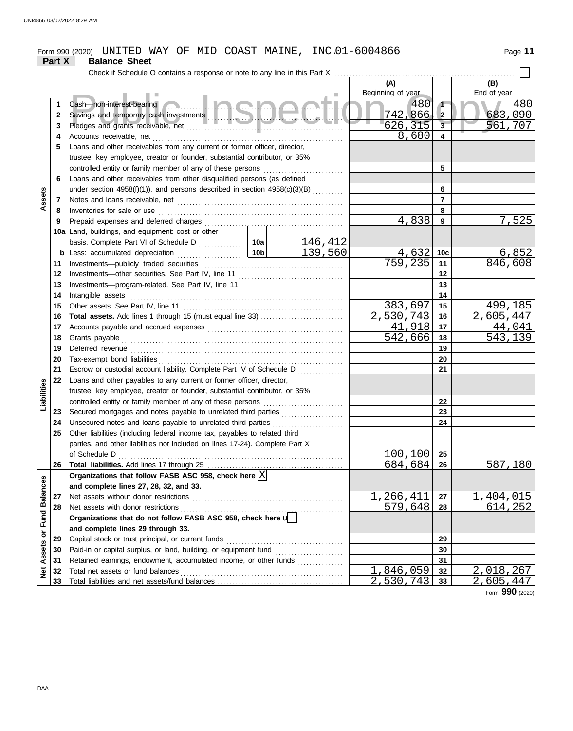### Form 990 (2020) UNITED WAY OF MID COAST MAINE, INC.01-6004866 **Part X Balance Sheet**

|                      |          | Check if Schedule O contains a response or note to any line in this Part X                  |                 |                 |                          |                         |                    |       |
|----------------------|----------|---------------------------------------------------------------------------------------------|-----------------|-----------------|--------------------------|-------------------------|--------------------|-------|
|                      |          |                                                                                             |                 |                 | (A)<br>Beginning of year |                         | (B)<br>End of year |       |
|                      | 1        | <u>a Inanac</u><br>Cash-non-interest-bearing                                                |                 |                 | 480                      | $\sqrt{1}$              |                    | 480   |
|                      | 2        |                                                                                             |                 |                 | 742,866                  | $\vert$ 2               | 683,090            |       |
|                      | 3        |                                                                                             |                 |                 | 626, 315                 | $\overline{\mathbf{3}}$ | 561,707            |       |
|                      | 4        |                                                                                             |                 |                 | 8,680                    | $\overline{\mathbf{4}}$ |                    |       |
|                      | 5        | Loans and other receivables from any current or former officer, director,                   |                 |                 |                          |                         |                    |       |
|                      |          | trustee, key employee, creator or founder, substantial contributor, or 35%                  |                 |                 |                          |                         |                    |       |
|                      |          | controlled entity or family member of any of these persons                                  |                 |                 |                          | 5                       |                    |       |
|                      | 6        | Loans and other receivables from other disqualified persons (as defined                     |                 |                 |                          |                         |                    |       |
|                      |          | under section $4958(f)(1)$ ), and persons described in section $4958(c)(3)(B)$ <sub>.</sub> |                 |                 |                          | 6                       |                    |       |
| Assets               | 7        |                                                                                             |                 |                 |                          | $\overline{7}$          |                    |       |
|                      | 8        | Inventories for sale or use                                                                 |                 |                 |                          | 8                       |                    |       |
|                      | 9        |                                                                                             |                 |                 | 4,838                    | 9                       |                    | 7,525 |
|                      |          | 10a Land, buildings, and equipment: cost or other                                           |                 |                 |                          |                         |                    |       |
|                      |          |                                                                                             |                 | <u> 146,412</u> |                          |                         |                    |       |
|                      |          | <b>b</b> Less: accumulated depreciation<br>.                                                | 10 <sub>b</sub> | 139,560         | 4,632                    | 10c                     |                    | 6,852 |
|                      | 11       | Investments-publicly traded securities                                                      |                 | 759,235         | 11                       | 846,608                 |                    |       |
|                      | 12       |                                                                                             |                 |                 | 12                       |                         |                    |       |
|                      | 13       |                                                                                             |                 | 13              |                          |                         |                    |       |
|                      | 14       | Intangible assets                                                                           |                 |                 | 14                       |                         |                    |       |
|                      | 15       | Other assets. See Part IV, line 11                                                          |                 | 383,697         | 15                       | 499,185                 |                    |       |
|                      | 16       |                                                                                             |                 |                 | 2,530,743                | 16                      | 2,605,447          |       |
|                      | 17       |                                                                                             |                 |                 | 41,918                   | 17                      | 44,041             |       |
|                      | 18       | Grants payable                                                                              | 542,666         | 18              | 543,139                  |                         |                    |       |
|                      | 19       |                                                                                             |                 | 19              |                          |                         |                    |       |
|                      | 20       |                                                                                             |                 |                 |                          | 20                      |                    |       |
|                      | 21       | Escrow or custodial account liability. Complete Part IV of Schedule D                       |                 |                 |                          | 21                      |                    |       |
|                      | 22       | Loans and other payables to any current or former officer, director,                        |                 |                 |                          |                         |                    |       |
| Liabilities          |          | trustee, key employee, creator or founder, substantial contributor, or 35%                  |                 |                 |                          |                         |                    |       |
|                      |          | controlled entity or family member of any of these persons                                  |                 |                 |                          | 22                      |                    |       |
|                      | 23       | Secured mortgages and notes payable to unrelated third parties                              |                 |                 |                          | 23                      |                    |       |
|                      | 24       | Unsecured notes and loans payable to unrelated third parties                                |                 |                 |                          | 24                      |                    |       |
|                      | 25       | Other liabilities (including federal income tax, payables to related third                  |                 |                 |                          |                         |                    |       |
|                      |          | parties, and other liabilities not included on lines 17-24). Complete Part X                |                 |                 |                          |                         |                    |       |
|                      |          | of Schedule D                                                                               |                 |                 | 100,100                  | 25                      |                    |       |
|                      |          | 26 Total liabilities. Add lines 17 through 25                                               |                 |                 | 684,684                  | 26                      | 587,180            |       |
|                      |          | Organizations that follow FASB ASC 958, check here $ X $                                    |                 |                 |                          |                         |                    |       |
|                      |          | and complete lines 27, 28, 32, and 33.                                                      |                 |                 |                          |                         |                    |       |
|                      | 27       | Net assets without donor restrictions                                                       |                 |                 | 1,266,411                | 27                      | <u>1,404,015</u>   |       |
|                      | 28       | Net assets with donor restrictions                                                          |                 |                 | 579,648                  | 28                      | 614,252            |       |
| <b>Fund Balances</b> |          | Organizations that do not follow FASB ASC 958, check here $\sqrt{\phantom{a}}$              |                 |                 |                          |                         |                    |       |
|                      |          | and complete lines 29 through 33.                                                           |                 |                 |                          |                         |                    |       |
|                      | 29       | Capital stock or trust principal, or current funds                                          |                 |                 |                          | 29<br>30                |                    |       |
|                      | 30       | Retained earnings, endowment, accumulated income, or other funds                            |                 |                 |                          | 31                      |                    |       |
| Net Assets or        | 31<br>32 | Total net assets or fund balances                                                           |                 |                 | 1,846,059                | 32                      | 2,018,267          |       |
|                      | 33       |                                                                                             |                 |                 | 2,530,743                | 33                      | 2,605,447          |       |
|                      |          |                                                                                             |                 |                 |                          |                         |                    |       |

Form **990** (2020)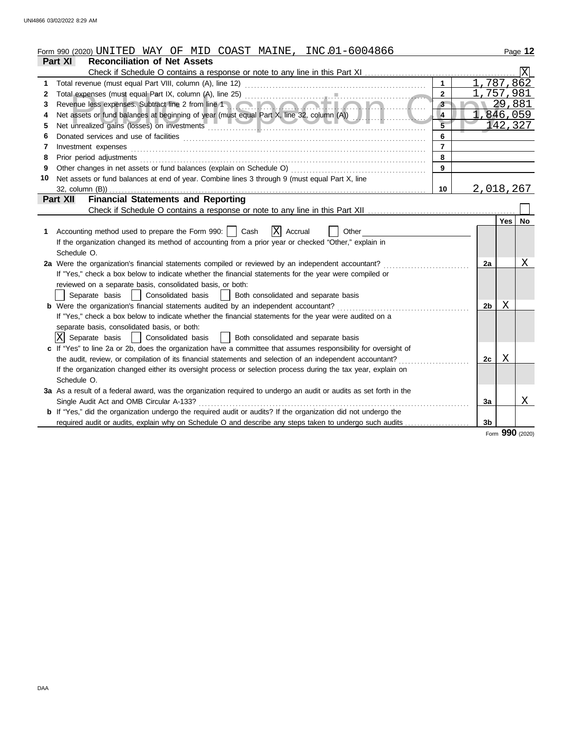|    | Form 990 (2020) UNITED WAY OF MID COAST MAINE, INC.01-6004866                                                      |                         |                |            | Page 12   |
|----|--------------------------------------------------------------------------------------------------------------------|-------------------------|----------------|------------|-----------|
|    | <b>Reconciliation of Net Assets</b><br>Part XI                                                                     |                         |                |            |           |
|    |                                                                                                                    |                         |                |            |           |
| 1  |                                                                                                                    | $\mathbf{1}$            |                | 1,787,862  |           |
| 2  |                                                                                                                    | $\mathbf{2}$            |                | 757,981    |           |
| 3  | Revenue less expenses. Subtract line 2 from line 1                                                                 | 3                       |                | 29,881     |           |
| 4  | Net assets or fund balances at beginning of year (must equal Part X, line 32, column (A))                          | $\overline{\mathbf{4}}$ |                | 1,846,059  |           |
| 5  | Net unrealized gains (losses) on investments entertainments and the material contract of the material contract of  |                         |                | 142,327    |           |
| 6  |                                                                                                                    | 6                       |                |            |           |
| 7  | Investment expenses                                                                                                | $\overline{7}$          |                |            |           |
| 8  | Prior period adjustments                                                                                           | 8                       |                |            |           |
| 9  | Other changes in net assets or fund balances (explain on Schedule O)                                               | 9                       |                |            |           |
| 10 | Net assets or fund balances at end of year. Combine lines 3 through 9 (must equal Part X, line                     |                         |                |            |           |
|    |                                                                                                                    | 10                      |                | 2,018,267  |           |
|    | <b>Financial Statements and Reporting</b><br>Part XII                                                              |                         |                |            |           |
|    |                                                                                                                    |                         |                |            |           |
|    |                                                                                                                    |                         |                | Yes        | <b>No</b> |
|    | X<br>1 Accounting method used to prepare the Form 990:     Cash<br>Accrual<br>Other                                |                         |                |            |           |
|    | If the organization changed its method of accounting from a prior year or checked "Other," explain in              |                         |                |            |           |
|    | Schedule O.                                                                                                        |                         |                |            |           |
|    | 2a Were the organization's financial statements compiled or reviewed by an independent accountant?                 |                         | 2a             |            | Χ         |
|    | If "Yes," check a box below to indicate whether the financial statements for the year were compiled or             |                         |                |            |           |
|    | reviewed on a separate basis, consolidated basis, or both:                                                         |                         |                |            |           |
|    | Consolidated basis<br>Both consolidated and separate basis<br>Separate basis<br>$\mathbf{1}$                       |                         |                |            |           |
|    | <b>b</b> Were the organization's financial statements audited by an independent accountant?                        |                         | 2b             | Χ          |           |
|    | If "Yes," check a box below to indicate whether the financial statements for the year were audited on a            |                         |                |            |           |
|    | separate basis, consolidated basis, or both:                                                                       |                         |                |            |           |
|    | IXI Separate basis<br>  Consolidated basis<br>  Both consolidated and separate basis                               |                         |                |            |           |
|    | c If "Yes" to line 2a or 2b, does the organization have a committee that assumes responsibility for oversight of   |                         |                |            |           |
|    | the audit, review, or compilation of its financial statements and selection of an independent accountant?          |                         | 2c             | X          |           |
|    | If the organization changed either its oversight process or selection process during the tax year, explain on      |                         |                |            |           |
|    | Schedule O.                                                                                                        |                         |                |            |           |
|    | 3a As a result of a federal award, was the organization required to undergo an audit or audits as set forth in the |                         |                |            |           |
|    | Single Audit Act and OMB Circular A-133?                                                                           |                         | 3a             |            | Χ         |
|    | b If "Yes," did the organization undergo the required audit or audits? If the organization did not undergo the     |                         |                |            |           |
|    | required audit or audits, explain why on Schedule O and describe any steps taken to undergo such audits            |                         | 3 <sub>b</sub> | <u>nnn</u> |           |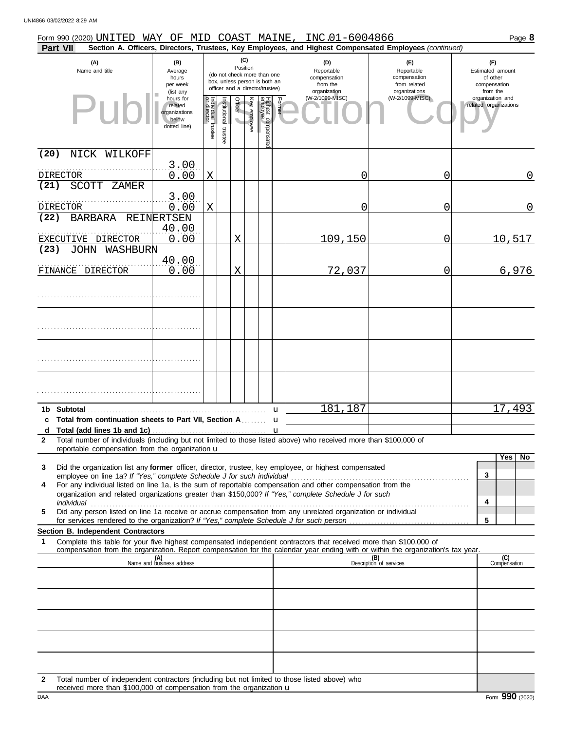| Form 990 (2020) UNITED WAY OF MID COAST MAINE,                                                                                   |                                                                |                                   |                          |                 |              |                                                                                                 |        | INC.01-6004866                                                |                                                                                                        | Page 8                                                          |
|----------------------------------------------------------------------------------------------------------------------------------|----------------------------------------------------------------|-----------------------------------|--------------------------|-----------------|--------------|-------------------------------------------------------------------------------------------------|--------|---------------------------------------------------------------|--------------------------------------------------------------------------------------------------------|-----------------------------------------------------------------|
| <b>Part VII</b>                                                                                                                  |                                                                |                                   |                          |                 |              |                                                                                                 |        |                                                               | Section A. Officers, Directors, Trustees, Key Employees, and Highest Compensated Employees (continued) |                                                                 |
| (A)<br>Name and title                                                                                                            | (B)<br>Average<br>hours<br>per week<br>(list any               |                                   |                          | (C)<br>Position |              | (do not check more than one<br>box, unless person is both an<br>officer and a director/trustee) |        | (D)<br>Reportable<br>compensation<br>from the<br>organization | (E)<br>Reportable<br>compensation<br>from related<br>organizations                                     | (F)<br>Estimated amount<br>of other<br>compensation<br>from the |
| Pu                                                                                                                               | hours for<br>related<br>organizations<br>below<br>dotted line) | Individual trustee<br>or director | Institutional<br>trustee | Officer         | Key employee | Highest compensatec<br>employee                                                                 | Former | (W-2/1099-MISC)                                               | (W-2/1099-MISC)                                                                                        | organization and<br>related organizations                       |
| (20)<br>NICK WILKOFF                                                                                                             |                                                                |                                   |                          |                 |              |                                                                                                 |        |                                                               |                                                                                                        |                                                                 |
| <b>DIRECTOR</b>                                                                                                                  | 3.00<br>0.00                                                   | X                                 |                          |                 |              |                                                                                                 |        | 0                                                             | 0                                                                                                      | $\mathbf 0$                                                     |
| (21)<br><b>SCOTT</b><br>ZAMER                                                                                                    |                                                                |                                   |                          |                 |              |                                                                                                 |        |                                                               |                                                                                                        |                                                                 |
|                                                                                                                                  | 3.00                                                           |                                   |                          |                 |              |                                                                                                 |        |                                                               |                                                                                                        |                                                                 |
| <b>DIRECTOR</b><br>(22)<br><b>BARBARA</b>                                                                                        | 0.00<br>REINERTSEN                                             | X                                 |                          |                 |              |                                                                                                 |        | 0                                                             | 0                                                                                                      | $\mathbf 0$                                                     |
|                                                                                                                                  | 40.00                                                          |                                   |                          |                 |              |                                                                                                 |        |                                                               |                                                                                                        |                                                                 |
| EXECUTIVE DIRECTOR                                                                                                               | 0.00                                                           |                                   |                          | X               |              |                                                                                                 |        | 109,150                                                       | 0                                                                                                      | 10,517                                                          |
| (23)<br>JOHN<br>WASHBURN                                                                                                         | 40.00                                                          |                                   |                          |                 |              |                                                                                                 |        |                                                               |                                                                                                        |                                                                 |
| FINANCE DIRECTOR                                                                                                                 | 0.00                                                           |                                   |                          | X               |              |                                                                                                 |        | 72,037                                                        | 0                                                                                                      | 6,976                                                           |
|                                                                                                                                  |                                                                |                                   |                          |                 |              |                                                                                                 |        |                                                               |                                                                                                        |                                                                 |
|                                                                                                                                  |                                                                |                                   |                          |                 |              |                                                                                                 |        |                                                               |                                                                                                        |                                                                 |
|                                                                                                                                  |                                                                |                                   |                          |                 |              |                                                                                                 |        |                                                               |                                                                                                        |                                                                 |
|                                                                                                                                  |                                                                |                                   |                          |                 |              |                                                                                                 |        |                                                               |                                                                                                        |                                                                 |
|                                                                                                                                  |                                                                |                                   |                          |                 |              | u                                                                                               |        | 181,187                                                       |                                                                                                        | 17,493                                                          |
| Total from continuation sheets to Part VII, Section A                                                                            |                                                                |                                   |                          |                 |              | u                                                                                               |        |                                                               |                                                                                                        |                                                                 |
| Total number of individuals (including but not limited to those listed above) who received more than \$100,000 of<br>2           |                                                                |                                   |                          |                 |              |                                                                                                 |        |                                                               |                                                                                                        |                                                                 |
| reportable compensation from the organization $\mathbf u$                                                                        |                                                                |                                   |                          |                 |              |                                                                                                 |        |                                                               |                                                                                                        | Yes<br>No                                                       |
| Did the organization list any former officer, director, trustee, key employee, or highest compensated<br>3                       |                                                                |                                   |                          |                 |              |                                                                                                 |        |                                                               |                                                                                                        |                                                                 |
| For any individual listed on line 1a, is the sum of reportable compensation and other compensation from the<br>4                 |                                                                |                                   |                          |                 |              |                                                                                                 |        |                                                               |                                                                                                        | 3                                                               |
| organization and related organizations greater than \$150,000? If "Yes," complete Schedule J for such                            |                                                                |                                   |                          |                 |              |                                                                                                 |        |                                                               |                                                                                                        | 4                                                               |
| Did any person listed on line 1a receive or accrue compensation from any unrelated organization or individual<br>5               |                                                                |                                   |                          |                 |              |                                                                                                 |        |                                                               |                                                                                                        |                                                                 |
| Section B. Independent Contractors                                                                                               |                                                                |                                   |                          |                 |              |                                                                                                 |        |                                                               |                                                                                                        | 5                                                               |
| Complete this table for your five highest compensated independent contractors that received more than \$100,000 of<br>1          |                                                                |                                   |                          |                 |              |                                                                                                 |        |                                                               |                                                                                                        |                                                                 |
| compensation from the organization. Report compensation for the calendar year ending with or within the organization's tax year. | (A)<br>Name and business address                               |                                   |                          |                 |              |                                                                                                 |        |                                                               | (B)<br>Description of services                                                                         | (C)<br>Compensation                                             |
|                                                                                                                                  |                                                                |                                   |                          |                 |              |                                                                                                 |        |                                                               |                                                                                                        |                                                                 |
|                                                                                                                                  |                                                                |                                   |                          |                 |              |                                                                                                 |        |                                                               |                                                                                                        |                                                                 |
|                                                                                                                                  |                                                                |                                   |                          |                 |              |                                                                                                 |        |                                                               |                                                                                                        |                                                                 |
|                                                                                                                                  |                                                                |                                   |                          |                 |              |                                                                                                 |        |                                                               |                                                                                                        |                                                                 |
|                                                                                                                                  |                                                                |                                   |                          |                 |              |                                                                                                 |        |                                                               |                                                                                                        |                                                                 |
|                                                                                                                                  |                                                                |                                   |                          |                 |              |                                                                                                 |        |                                                               |                                                                                                        |                                                                 |
|                                                                                                                                  |                                                                |                                   |                          |                 |              |                                                                                                 |        |                                                               |                                                                                                        |                                                                 |
| Total number of independent contractors (including but not limited to those listed above) who<br>2                               |                                                                |                                   |                          |                 |              |                                                                                                 |        |                                                               |                                                                                                        |                                                                 |

**2** Total number of independent contractors (including but not limited to those listed above) who received more than \$100,000 of compensation from the organization u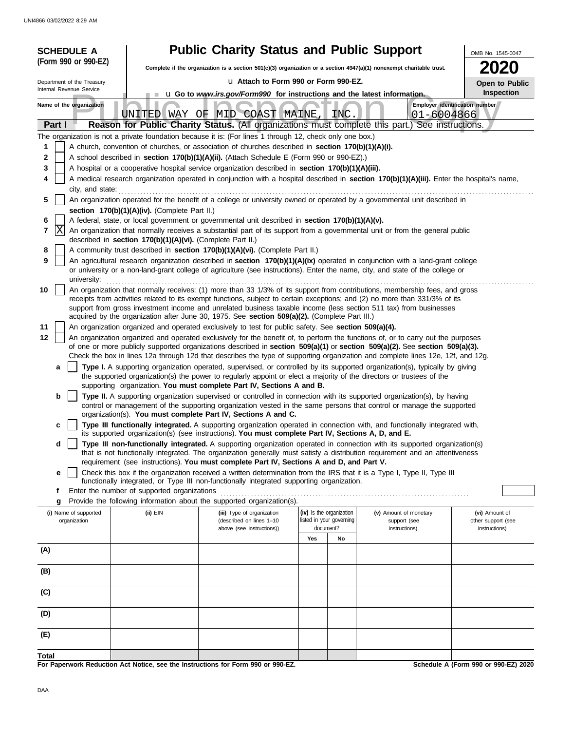|        | <b>SCHEDULE A</b>                                                                                                                                                                                |                                               | <b>Public Charity Status and Public Support</b>                                                                          |      |                                                      |                                                                                                                                                                                                                                                                 | OMB No. 1545-0047                    |  |  |  |  |
|--------|--------------------------------------------------------------------------------------------------------------------------------------------------------------------------------------------------|-----------------------------------------------|--------------------------------------------------------------------------------------------------------------------------|------|------------------------------------------------------|-----------------------------------------------------------------------------------------------------------------------------------------------------------------------------------------------------------------------------------------------------------------|--------------------------------------|--|--|--|--|
|        | (Form 990 or 990-EZ)                                                                                                                                                                             |                                               | Complete if the organization is a section $501(c)(3)$ organization or a section $4947(a)(1)$ nonexempt charitable trust. | 2020 |                                                      |                                                                                                                                                                                                                                                                 |                                      |  |  |  |  |
|        | Department of the Treasury                                                                                                                                                                       |                                               | La Attach to Form 990 or Form 990-EZ.                                                                                    |      |                                                      |                                                                                                                                                                                                                                                                 | Open to Public                       |  |  |  |  |
|        | Internal Revenue Service                                                                                                                                                                         |                                               | <b>u</b> Go to <i>www.irs.gov/Form990</i> for instructions and the latest information.                                   |      |                                                      |                                                                                                                                                                                                                                                                 | Inspection                           |  |  |  |  |
|        | Name of the organization                                                                                                                                                                         |                                               | UNITED WAY OF MID COAST MAINE                                                                                            |      | <b>INC</b>                                           | Employer identification number<br>$01 - 6004866$                                                                                                                                                                                                                |                                      |  |  |  |  |
|        | Part I                                                                                                                                                                                           |                                               |                                                                                                                          |      |                                                      | Reason for Public Charity Status. (All organizations must complete this part.) See instructions.                                                                                                                                                                |                                      |  |  |  |  |
|        |                                                                                                                                                                                                  |                                               | The organization is not a private foundation because it is: (For lines 1 through 12, check only one box.)                |      |                                                      |                                                                                                                                                                                                                                                                 |                                      |  |  |  |  |
| 1      |                                                                                                                                                                                                  |                                               | A church, convention of churches, or association of churches described in <b>section 170(b)(1)(A)(i).</b>                |      |                                                      |                                                                                                                                                                                                                                                                 |                                      |  |  |  |  |
| 2      |                                                                                                                                                                                                  |                                               | A school described in section 170(b)(1)(A)(ii). (Attach Schedule E (Form 990 or 990-EZ).)                                |      |                                                      |                                                                                                                                                                                                                                                                 |                                      |  |  |  |  |
| 3<br>4 |                                                                                                                                                                                                  |                                               | A hospital or a cooperative hospital service organization described in section 170(b)(1)(A)(iii).                        |      |                                                      | A medical research organization operated in conjunction with a hospital described in section 170(b)(1)(A)(iii). Enter the hospital's name,                                                                                                                      |                                      |  |  |  |  |
|        | city, and state:                                                                                                                                                                                 |                                               |                                                                                                                          |      |                                                      |                                                                                                                                                                                                                                                                 |                                      |  |  |  |  |
| 5      |                                                                                                                                                                                                  |                                               |                                                                                                                          |      |                                                      | An organization operated for the benefit of a college or university owned or operated by a governmental unit described in                                                                                                                                       |                                      |  |  |  |  |
|        |                                                                                                                                                                                                  | section 170(b)(1)(A)(iv). (Complete Part II.) |                                                                                                                          |      |                                                      |                                                                                                                                                                                                                                                                 |                                      |  |  |  |  |
| 6      |                                                                                                                                                                                                  |                                               | A federal, state, or local government or governmental unit described in section 170(b)(1)(A)(v).                         |      |                                                      |                                                                                                                                                                                                                                                                 |                                      |  |  |  |  |
| 7      | ΙX<br>An organization that normally receives a substantial part of its support from a governmental unit or from the general public<br>described in section 170(b)(1)(A)(vi). (Complete Part II.) |                                               |                                                                                                                          |      |                                                      |                                                                                                                                                                                                                                                                 |                                      |  |  |  |  |
| 8      |                                                                                                                                                                                                  |                                               | A community trust described in section 170(b)(1)(A)(vi). (Complete Part II.)                                             |      |                                                      |                                                                                                                                                                                                                                                                 |                                      |  |  |  |  |
| 9      | university:                                                                                                                                                                                      |                                               |                                                                                                                          |      |                                                      | An agricultural research organization described in section 170(b)(1)(A)(ix) operated in conjunction with a land-grant college<br>or university or a non-land-grant college of agriculture (see instructions). Enter the name, city, and state of the college or |                                      |  |  |  |  |
| 10     |                                                                                                                                                                                                  |                                               |                                                                                                                          |      |                                                      | An organization that normally receives: (1) more than 33 1/3% of its support from contributions, membership fees, and gross                                                                                                                                     |                                      |  |  |  |  |
|        |                                                                                                                                                                                                  |                                               |                                                                                                                          |      |                                                      | receipts from activities related to its exempt functions, subject to certain exceptions; and (2) no more than 331/3% of its                                                                                                                                     |                                      |  |  |  |  |
|        |                                                                                                                                                                                                  |                                               | acquired by the organization after June 30, 1975. See section 509(a)(2). (Complete Part III.)                            |      |                                                      | support from gross investment income and unrelated business taxable income (less section 511 tax) from businesses                                                                                                                                               |                                      |  |  |  |  |
| 11     |                                                                                                                                                                                                  |                                               | An organization organized and operated exclusively to test for public safety. See section 509(a)(4).                     |      |                                                      |                                                                                                                                                                                                                                                                 |                                      |  |  |  |  |
| 12     |                                                                                                                                                                                                  |                                               |                                                                                                                          |      |                                                      | An organization organized and operated exclusively for the benefit of, to perform the functions of, or to carry out the purposes                                                                                                                                |                                      |  |  |  |  |
|        |                                                                                                                                                                                                  |                                               |                                                                                                                          |      |                                                      | of one or more publicly supported organizations described in section $509(a)(1)$ or section $509(a)(2)$ . See section $509(a)(3)$ .                                                                                                                             |                                      |  |  |  |  |
|        | a                                                                                                                                                                                                |                                               |                                                                                                                          |      |                                                      | Check the box in lines 12a through 12d that describes the type of supporting organization and complete lines 12e, 12f, and 12g.<br>Type I. A supporting organization operated, supervised, or controlled by its supported organization(s), typically by giving  |                                      |  |  |  |  |
|        |                                                                                                                                                                                                  |                                               | the supported organization(s) the power to regularly appoint or elect a majority of the directors or trustees of the     |      |                                                      |                                                                                                                                                                                                                                                                 |                                      |  |  |  |  |
|        |                                                                                                                                                                                                  |                                               | supporting organization. You must complete Part IV, Sections A and B.                                                    |      |                                                      |                                                                                                                                                                                                                                                                 |                                      |  |  |  |  |
|        | b                                                                                                                                                                                                |                                               |                                                                                                                          |      |                                                      | Type II. A supporting organization supervised or controlled in connection with its supported organization(s), by having                                                                                                                                         |                                      |  |  |  |  |
|        |                                                                                                                                                                                                  |                                               | organization(s). You must complete Part IV, Sections A and C.                                                            |      |                                                      | control or management of the supporting organization vested in the same persons that control or manage the supported                                                                                                                                            |                                      |  |  |  |  |
|        | с                                                                                                                                                                                                |                                               | its supported organization(s) (see instructions). You must complete Part IV, Sections A, D, and E.                       |      |                                                      | Type III functionally integrated. A supporting organization operated in connection with, and functionally integrated with,                                                                                                                                      |                                      |  |  |  |  |
|        | d                                                                                                                                                                                                |                                               |                                                                                                                          |      |                                                      | Type III non-functionally integrated. A supporting organization operated in connection with its supported organization(s)                                                                                                                                       |                                      |  |  |  |  |
|        |                                                                                                                                                                                                  |                                               |                                                                                                                          |      |                                                      | that is not functionally integrated. The organization generally must satisfy a distribution requirement and an attentiveness                                                                                                                                    |                                      |  |  |  |  |
|        |                                                                                                                                                                                                  |                                               | requirement (see instructions). You must complete Part IV, Sections A and D, and Part V.                                 |      |                                                      |                                                                                                                                                                                                                                                                 |                                      |  |  |  |  |
|        | е                                                                                                                                                                                                |                                               | functionally integrated, or Type III non-functionally integrated supporting organization.                                |      |                                                      | Check this box if the organization received a written determination from the IRS that it is a Type I, Type II, Type III                                                                                                                                         |                                      |  |  |  |  |
|        | f                                                                                                                                                                                                | Enter the number of supported organizations   |                                                                                                                          |      |                                                      |                                                                                                                                                                                                                                                                 |                                      |  |  |  |  |
|        | g                                                                                                                                                                                                |                                               | Provide the following information about the supported organization(s).                                                   |      |                                                      |                                                                                                                                                                                                                                                                 |                                      |  |  |  |  |
|        | (i) Name of supported<br>organization                                                                                                                                                            | (ii) EIN                                      | (iii) Type of organization<br>(described on lines 1-10                                                                   |      | (iv) Is the organization<br>listed in your governing | (v) Amount of monetary<br>support (see                                                                                                                                                                                                                          | (vi) Amount of<br>other support (see |  |  |  |  |
|        |                                                                                                                                                                                                  |                                               | above (see instructions))                                                                                                |      | document?                                            | instructions)                                                                                                                                                                                                                                                   | instructions)                        |  |  |  |  |
|        |                                                                                                                                                                                                  |                                               |                                                                                                                          | Yes  | No                                                   |                                                                                                                                                                                                                                                                 |                                      |  |  |  |  |
| (A)    |                                                                                                                                                                                                  |                                               |                                                                                                                          |      |                                                      |                                                                                                                                                                                                                                                                 |                                      |  |  |  |  |
| (B)    |                                                                                                                                                                                                  |                                               |                                                                                                                          |      |                                                      |                                                                                                                                                                                                                                                                 |                                      |  |  |  |  |
|        |                                                                                                                                                                                                  |                                               |                                                                                                                          |      |                                                      |                                                                                                                                                                                                                                                                 |                                      |  |  |  |  |
| (C)    |                                                                                                                                                                                                  |                                               |                                                                                                                          |      |                                                      |                                                                                                                                                                                                                                                                 |                                      |  |  |  |  |
| (D)    |                                                                                                                                                                                                  |                                               |                                                                                                                          |      |                                                      |                                                                                                                                                                                                                                                                 |                                      |  |  |  |  |
| (E)    |                                                                                                                                                                                                  |                                               |                                                                                                                          |      |                                                      |                                                                                                                                                                                                                                                                 |                                      |  |  |  |  |
|        |                                                                                                                                                                                                  |                                               |                                                                                                                          |      |                                                      |                                                                                                                                                                                                                                                                 |                                      |  |  |  |  |
| Total  |                                                                                                                                                                                                  |                                               |                                                                                                                          |      |                                                      |                                                                                                                                                                                                                                                                 | Sebedule A (Ferm 000 er 000 EZ) 2020 |  |  |  |  |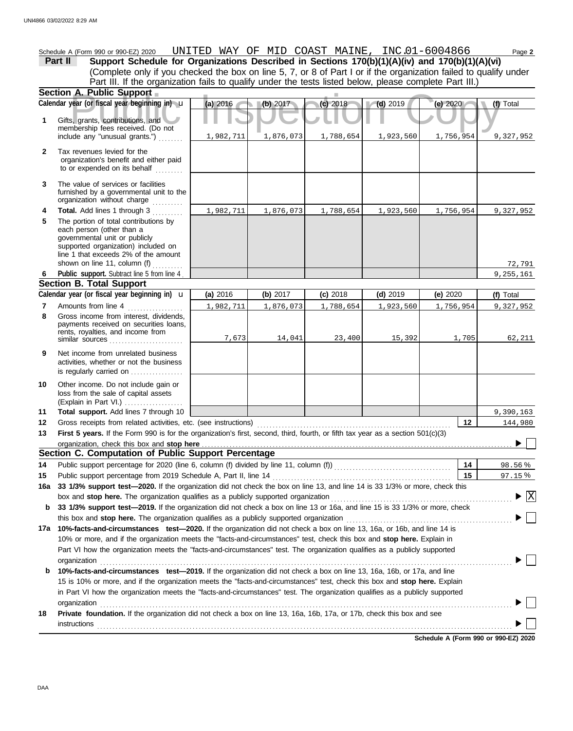**A. Public Support**<br>year (or fiscal year beginning in) **u** (a) 2016 (b) 2017 (c) 2018 (d) 2019 (e) 2020 (f)<br>s, grants, contributions, and therefore received. (Do not (Explain in Part VI.) . . . . . . . . . . . . . . . . . . . governmental unit or publicly **Section A. Public Support Total support.** Add lines 7 through 10 loss from the sale of capital assets Other income. Do not include gain or is regularly carried on ................. activities, whether or not the business Net income from unrelated business rents, royalties, and income from payments received on securities loans, Gross income from interest, dividends, line 1 that exceeds 2% of the amount supported organization) included on each person (other than a The portion of total contributions by **Total.** Add lines 1 through 3 .......... The value of services or facilities to or expended on its behalf ......... organization's benefit and either paid Tax revenues levied for the First 5 years. If the Form 990 is for the organization's first, second, third, fourth, or fifth tax year as a section 501(c)(3) Gross receipts from related activities, etc. (see instructions) . . . . . . . . . . . . . . . . . . . . . . . . . . . . . . . . . . . . . . . . . . . . . . . . . . . . . . . . . . . . . . . Amounts from line 4 Public support. Subtract line 5 from line 4 include any "unusual grants.") . . . . . . . . membership fees received. (Do not Gifts, grants, contributions, and Schedule A (Form 990 or 990-EZ) 2020 Page **2** UNITED WAY OF MID COAST MAINE, INC.01-6004866 **13 12 11 9 8 6 4 3 2 1 (a)** 2016 **(b)** 2017 **(c)** 2018 **(d)** 2019 **(e)** 2020 (Complete only if you checked the box on line 5, 7, or 8 of Part I or if the organization failed to qualify under **Part II Support Schedule for Organizations Described in Sections 170(b)(1)(A)(iv) and 170(b)(1)(A)(vi)** Calendar year (or fiscal year beginning in)  $\cdot$  **(a)** 2016 (b) 2017 (c) 2018 (d) 2019 (d) 2019 (e) 2020 (f) Total furnished by a governmental unit to the organization without charge **5 Section B. Total Support 7** similar sources **10** organization, check this box and stop here **Section C. Computation of Public Support Percentage 12 14** Public support percentage for 2020 (line 6, column (f) divided by line 11, column (f)) . . . . . . . . . . . . . . . . . . . . . . . . . . . . . . . . . . . . . . Public support percentage from 2019 Schedule A, Part II, line 14 . . . . . . . . . . . . . . . . . . . . . . . . . . . . . . . . . . . . . . . . . . . . . . . . . . . . . . . . . . **15 16a 33 1/3% support test—2020.** If the organization did not check the box on line 13, and line 14 is 33 1/3% or more, check this box and stop here. The organization qualifies as a publicly supported organization .............. **b 33 1/3% support test—2019.** If the organization did not check a box on line 13 or 16a, and line 15 is 33 1/3% or more, check this box and **stop here.** The organization qualifies as a publicly supported organization . . . . . . . . . . . . . . . . . . . . . . . . . . . . . . . . . . . . . . . . . . . . . . . . . . . . . . **17a 10%-facts-and-circumstances test—2020.** If the organization did not check a box on line 13, 16a, or 16b, and line 14 is 10% or more, and if the organization meets the "facts-and-circumstances" test, check this box and **stop here.** Explain in Part VI how the organization meets the "facts-and-circumstances" test. The organization qualifies as a publicly supported **b 10%-facts-and-circumstances test—2019.** If the organization did not check a box on line 13, 16a, 16b, or 17a, and line in Part VI how the organization meets the "facts-and-circumstances" test. The organization qualifies as a publicly supported 15 is 10% or more, and if the organization meets the "facts-and-circumstances" test, check this box and **stop here.** Explain **18 Private foundation.** If the organization did not check a box on line 13, 16a, 16b, 17a, or 17b, check this box and see **14 15** 98.56 % % 97.15 Calendar year (or fiscal year beginning in)  $\mathbf{u}$  (a) 2016 (b) 2017 (c) 2018 (d) 2019 (e) 2020 (f) Total Part III. If the organization fails to qualify under the tests listed below, please complete Part III.) **(a)** 2016 shown on line 11, column (f)  $\ldots$ organization . . . . . . . . . . . . . . . . . . . . . . . . . . . . . . . . . . . . . . . . . . . . . . . . . . . . . . . . . . . . . . . . . . . . . . . . . . . . . . . . . . . . . . . . . . . . . . . . . . . . . . . . . . . . . . . . . . . . . . . . . . . . . . . . . . . . . . organization and the contract of the contract of the contract of the contract of the contract of the contract of the contract of the contract of the contract of the contract of the contract of the contract of the contract **instructions** u **(b)** 2017 **(c)** 2018 **(d)** 2019 **(e)** 2020 1,982,711 1,876,073 1,788,654 1,923,560 1,756,954 9,327,952 1,982,711 1,876,073 1,788,654 1,923,560 1,756,954 9,327,952 72,791 9,255,161 1,982,711 1,876,073 1,788,654 1,923,560 1,756,954 9,327,952 7,673 14,041 23,400 15,392 1,705 62,211 9,390,163 144,980  $\overline{X}$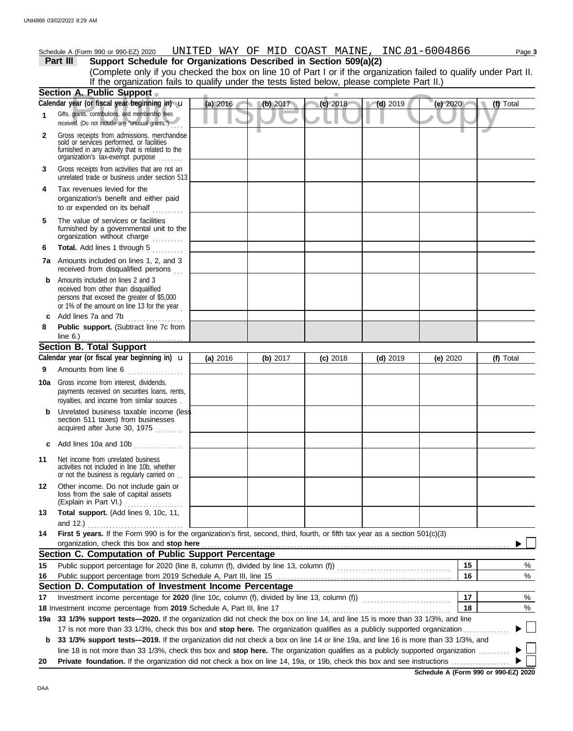|  | J or 990-EZ'<br><sub>1</sub> 2020<br>Schedule<br>990c<br>$4$ - orm $\approx$ | UNTTED<br>. | -----<br>WA_ | ОF | м | n.<br>COAST | MAINE | $- - - -$<br>$\overline{ }$<br>N0<br>166<br>--<br>$\sim$ | $a$ <sub>de</sub> $a$ |
|--|------------------------------------------------------------------------------|-------------|--------------|----|---|-------------|-------|----------------------------------------------------------|-----------------------|
|--|------------------------------------------------------------------------------|-------------|--------------|----|---|-------------|-------|----------------------------------------------------------|-----------------------|

**Part III Support Schedule for Organizations Described in Section 509(a)(2)** (Complete only if you checked the box on line 10 of Part I or if the organization failed to qualify under Part II. If the organization fails to qualify under the tests listed below, please complete Part II.)

|              | <b>Section A. Public Support</b>                                                                                                                                                                                                                                 |          |          |            |            |            |           |
|--------------|------------------------------------------------------------------------------------------------------------------------------------------------------------------------------------------------------------------------------------------------------------------|----------|----------|------------|------------|------------|-----------|
|              | Calendar year (or fiscal year beginning in) u                                                                                                                                                                                                                    | (a) 2016 | (b) 2017 | $(c)$ 2018 | $(d)$ 2019 | (e) 2020   | (f) Total |
| $\mathbf{1}$ | Gifts, grants, contributions, and membership fees<br>received. (Do not include any "unusual grants.")                                                                                                                                                            |          |          |            |            |            |           |
| $\mathbf{2}$ | Gross receipts from admissions, merchandise<br>sold or services performed, or facilities<br>furnished in any activity that is related to the<br>organization's tax-exempt purpose                                                                                |          |          |            |            |            |           |
| 3            | Gross receipts from activities that are not an<br>unrelated trade or business under section 513                                                                                                                                                                  |          |          |            |            |            |           |
| 4            | Tax revenues levied for the<br>organization's benefit and either paid<br>to or expended on its behalf                                                                                                                                                            |          |          |            |            |            |           |
| 5<br>6       | The value of services or facilities<br>furnished by a governmental unit to the<br>organization without charge<br>Total. Add lines 1 through 5<br><u>.</u>                                                                                                        |          |          |            |            |            |           |
|              | <b>7a</b> Amounts included on lines 1, 2, and 3<br>received from disqualified persons                                                                                                                                                                            |          |          |            |            |            |           |
| b            | Amounts included on lines 2 and 3<br>received from other than disqualified<br>persons that exceed the greater of \$5,000<br>or 1% of the amount on line 13 for the year                                                                                          |          |          |            |            |            |           |
| c            | Add lines 7a and 7b                                                                                                                                                                                                                                              |          |          |            |            |            |           |
| 8            | Public support. (Subtract line 7c from                                                                                                                                                                                                                           |          |          |            |            |            |           |
|              |                                                                                                                                                                                                                                                                  |          |          |            |            |            |           |
|              | <b>Section B. Total Support</b>                                                                                                                                                                                                                                  |          |          |            |            |            |           |
|              | Calendar year (or fiscal year beginning in) $\mathbf u$                                                                                                                                                                                                          | (a) 2016 | (b) 2017 | $(c)$ 2018 | $(d)$ 2019 | (e) $2020$ | (f) Total |
| 9            | Amounts from line 6                                                                                                                                                                                                                                              |          |          |            |            |            |           |
| 10a          | Gross income from interest, dividends,<br>payments received on securities loans, rents,<br>royalties, and income from similar sources.                                                                                                                           |          |          |            |            |            |           |
|              | Unrelated business taxable income (less<br>section 511 taxes) from businesses<br>acquired after June 30, 1975                                                                                                                                                    |          |          |            |            |            |           |
| C            | Add lines 10a and 10b                                                                                                                                                                                                                                            |          |          |            |            |            |           |
| 11           | Net income from unrelated business<br>activities not included in line 10b, whether<br>or not the business is regularly carried on                                                                                                                                |          |          |            |            |            |           |
| 12           | Other income. Do not include gain or<br>loss from the sale of capital assets<br>(Explain in Part VI.)                                                                                                                                                            |          |          |            |            |            |           |
| 13           | Total support. (Add lines 9, 10c, 11,                                                                                                                                                                                                                            |          |          |            |            |            |           |
|              | and 12.)                                                                                                                                                                                                                                                         |          |          |            |            |            |           |
| 14           | First 5 years. If the Form 990 is for the organization's first, second, third, fourth, or fifth tax year as a section 501(c)(3)                                                                                                                                  |          |          |            |            |            |           |
|              | organization, check this box and stop here                                                                                                                                                                                                                       |          |          |            |            |            |           |
|              | Section C. Computation of Public Support Percentage                                                                                                                                                                                                              |          |          |            |            |            |           |
| 15           |                                                                                                                                                                                                                                                                  |          |          |            |            | 15         | %         |
| 16           |                                                                                                                                                                                                                                                                  |          |          |            |            | 16         | %         |
|              | Section D. Computation of Investment Income Percentage                                                                                                                                                                                                           |          |          |            |            |            |           |
| 17           |                                                                                                                                                                                                                                                                  |          |          |            |            | 17         | %         |
|              | 18 Investment income percentage from 2019 Schedule A, Part III, line 17                                                                                                                                                                                          |          |          |            |            | 18         | %         |
|              | 19a 33 1/3% support tests—2020. If the organization did not check the box on line 14, and line 15 is more than 33 1/3%, and line                                                                                                                                 |          |          |            |            |            |           |
|              | 17 is not more than 33 1/3%, check this box and stop here. The organization qualifies as a publicly supported organization.<br>33 1/3% support tests—2019. If the organization did not check a box on line 14 or line 19a, and line 16 is more than 33 1/3%, and |          |          |            |            |            |           |
| b            | line 18 is not more than 33 1/3%, check this box and stop here. The organization qualifies as a publicly supported organization                                                                                                                                  |          |          |            |            |            |           |
| 20           |                                                                                                                                                                                                                                                                  |          |          |            |            |            |           |
|              |                                                                                                                                                                                                                                                                  |          |          |            |            |            |           |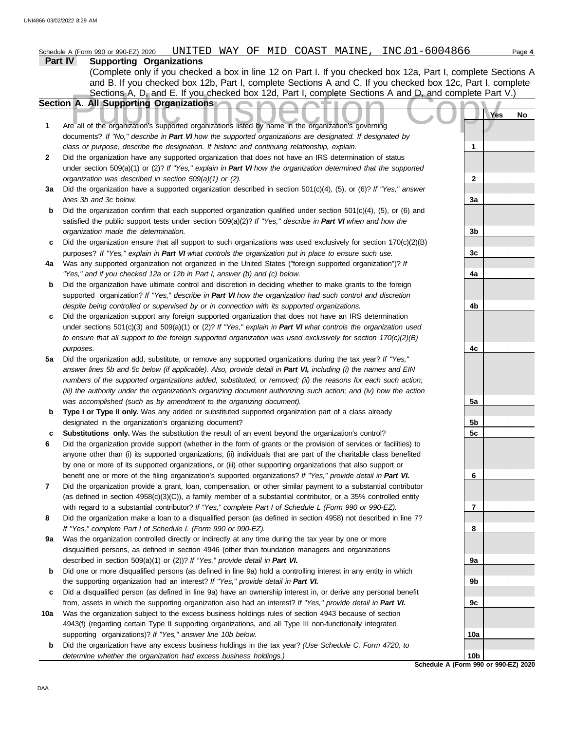|     | UNITED WAY OF MID COAST MAINE, INC.01-6004866<br>Schedule A (Form 990 or 990-EZ) 2020                                                                                                 |                | Page 4 |
|-----|---------------------------------------------------------------------------------------------------------------------------------------------------------------------------------------|----------------|--------|
|     | <b>Supporting Organizations</b><br>Part IV                                                                                                                                            |                |        |
|     | (Complete only if you checked a box in line 12 on Part I. If you checked box 12a, Part I, complete Sections A                                                                         |                |        |
|     | and B. If you checked box 12b, Part I, complete Sections A and C. If you checked box 12c, Part I, complete                                                                            |                |        |
|     | Sections A, D, and E. If you checked box 12d, Part I, complete Sections A and D, and complete Part V.)<br>Section A. All Supporting Organizations                                     |                |        |
|     |                                                                                                                                                                                       | Yes            | No     |
| 1   | Are all of the organization's supported organizations listed by name in the organization's governing                                                                                  |                |        |
|     | documents? If "No," describe in Part VI how the supported organizations are designated. If designated by                                                                              |                |        |
|     | class or purpose, describe the designation. If historic and continuing relationship, explain.                                                                                         | 1              |        |
| 2   | Did the organization have any supported organization that does not have an IRS determination of status                                                                                |                |        |
|     | under section 509(a)(1) or (2)? If "Yes," explain in Part VI how the organization determined that the supported                                                                       |                |        |
|     | organization was described in section 509(a)(1) or (2).                                                                                                                               | $\mathbf{2}$   |        |
| За  | Did the organization have a supported organization described in section 501(c)(4), (5), or (6)? If "Yes," answer                                                                      |                |        |
|     | lines 3b and 3c below.                                                                                                                                                                | 3a             |        |
| b   | Did the organization confirm that each supported organization qualified under section $501(c)(4)$ , (5), or (6) and                                                                   |                |        |
|     | satisfied the public support tests under section 509(a)(2)? If "Yes," describe in Part VI when and how the                                                                            |                |        |
|     | organization made the determination.                                                                                                                                                  | 3b             |        |
| c   | Did the organization ensure that all support to such organizations was used exclusively for section $170(c)(2)(B)$                                                                    |                |        |
|     | purposes? If "Yes," explain in Part VI what controls the organization put in place to ensure such use.                                                                                | 3 <sub>c</sub> |        |
| 4a  | Was any supported organization not organized in the United States ("foreign supported organization")? If<br>"Yes," and if you checked 12a or 12b in Part I, answer (b) and (c) below. |                |        |
| b   | Did the organization have ultimate control and discretion in deciding whether to make grants to the foreign                                                                           | 4a             |        |
|     | supported organization? If "Yes," describe in Part VI how the organization had such control and discretion                                                                            |                |        |
|     | despite being controlled or supervised by or in connection with its supported organizations.                                                                                          | 4b             |        |
| c   | Did the organization support any foreign supported organization that does not have an IRS determination                                                                               |                |        |
|     | under sections $501(c)(3)$ and $509(a)(1)$ or (2)? If "Yes," explain in Part VI what controls the organization used                                                                   |                |        |
|     | to ensure that all support to the foreign supported organization was used exclusively for section $170(c)(2)(B)$                                                                      |                |        |
|     | purposes.                                                                                                                                                                             | 4c             |        |
| 5a  | Did the organization add, substitute, or remove any supported organizations during the tax year? If "Yes,"                                                                            |                |        |
|     | answer lines 5b and 5c below (if applicable). Also, provide detail in Part VI, including (i) the names and EIN                                                                        |                |        |
|     | numbers of the supported organizations added, substituted, or removed; (ii) the reasons for each such action;                                                                         |                |        |
|     | (iii) the authority under the organization's organizing document authorizing such action; and (iv) how the action                                                                     |                |        |
|     | was accomplished (such as by amendment to the organizing document).                                                                                                                   | 5a             |        |
| b   | Type I or Type II only. Was any added or substituted supported organization part of a class already<br>designated in the organization's organizing document?                          | 5b             |        |
| c   | Substitutions only. Was the substitution the result of an event beyond the organization's control?                                                                                    | 5 <sub>c</sub> |        |
| 6   | Did the organization provide support (whether in the form of grants or the provision of services or facilities) to                                                                    |                |        |
|     | anyone other than (i) its supported organizations, (ii) individuals that are part of the charitable class benefited                                                                   |                |        |
|     | by one or more of its supported organizations, or (iii) other supporting organizations that also support or                                                                           |                |        |
|     | benefit one or more of the filing organization's supported organizations? If "Yes," provide detail in Part VI.                                                                        | 6              |        |
| 7   | Did the organization provide a grant, loan, compensation, or other similar payment to a substantial contributor                                                                       |                |        |
|     | (as defined in section $4958(c)(3)(C)$ ), a family member of a substantial contributor, or a 35% controlled entity                                                                    |                |        |
|     | with regard to a substantial contributor? If "Yes," complete Part I of Schedule L (Form 990 or 990-EZ).                                                                               | 7              |        |
| 8   | Did the organization make a loan to a disqualified person (as defined in section 4958) not described in line 7?                                                                       |                |        |
|     | If "Yes," complete Part I of Schedule L (Form 990 or 990-EZ).                                                                                                                         | 8              |        |
| 9a  | Was the organization controlled directly or indirectly at any time during the tax year by one or more                                                                                 |                |        |
|     | disqualified persons, as defined in section 4946 (other than foundation managers and organizations<br>described in section 509(a)(1) or (2))? If "Yes," provide detail in Part VI.    | 9а             |        |
| b   | Did one or more disqualified persons (as defined in line 9a) hold a controlling interest in any entity in which                                                                       |                |        |
|     | the supporting organization had an interest? If "Yes," provide detail in Part VI.                                                                                                     | 9b             |        |
| c   | Did a disqualified person (as defined in line 9a) have an ownership interest in, or derive any personal benefit                                                                       |                |        |
|     | from, assets in which the supporting organization also had an interest? If "Yes," provide detail in Part VI.                                                                          | 9c             |        |
| 10a | Was the organization subject to the excess business holdings rules of section 4943 because of section                                                                                 |                |        |
|     | 4943(f) (regarding certain Type II supporting organizations, and all Type III non-functionally integrated                                                                             |                |        |
|     | supporting organizations)? If "Yes," answer line 10b below.                                                                                                                           | 10a            |        |
| b   | Did the organization have any excess business holdings in the tax year? (Use Schedule C, Form 4720, to                                                                                |                |        |
|     | determine whether the organization had excess business holdings.)                                                                                                                     | 10b            |        |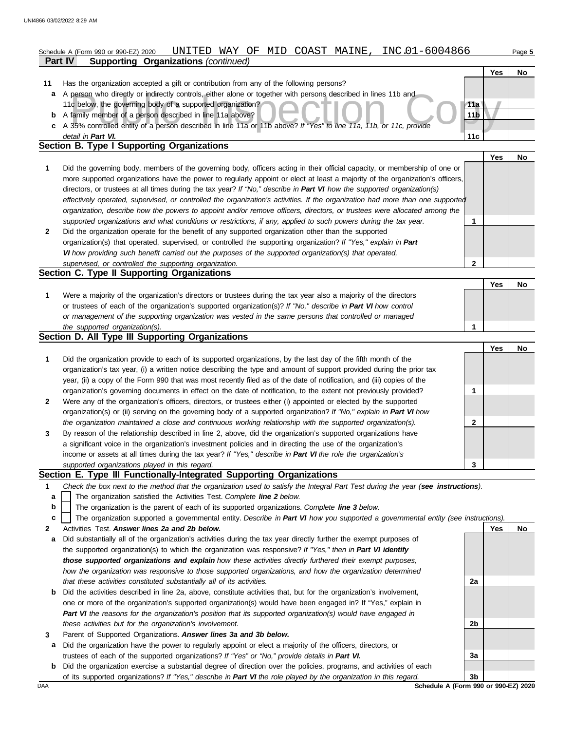### **Part IV Supporting Organizations** *(continued)* Schedule A (Form 990 or 990-EZ) 2020 Page **5** UNITED WAY OF MID COAST MAINE, INC.01-6004866

|    |                                                                                                                    |       | Yes | No |
|----|--------------------------------------------------------------------------------------------------------------------|-------|-----|----|
| 11 | Has the organization accepted a gift or contribution from any of the following persons?                            |       |     |    |
| a  | A person who directly or indirectly controls, either alone or together with persons described in lines 11b and     |       |     |    |
|    | 11c below, the governing body of a supported organization?                                                         | 11a \ |     |    |
| b  | A family member of a person described in line 11a above?                                                           | 11b   |     |    |
|    | A 35% controlled entity of a person described in line 11a or 11b above? If "Yes" to line 11a, 11b, or 11c, provide |       |     |    |
|    | detail in Part VI.                                                                                                 | 11c   |     |    |
|    | Section B. Type I Supporting Organizations                                                                         |       |     |    |

|   |                                                                                                                                                                                                                                                                                                                                                                                                                                                                                                                                                                                                                                                      |   | Yes | No |
|---|------------------------------------------------------------------------------------------------------------------------------------------------------------------------------------------------------------------------------------------------------------------------------------------------------------------------------------------------------------------------------------------------------------------------------------------------------------------------------------------------------------------------------------------------------------------------------------------------------------------------------------------------------|---|-----|----|
|   | Did the governing body, members of the governing body, officers acting in their official capacity, or membership of one or<br>more supported organizations have the power to regularly appoint or elect at least a majority of the organization's officers,<br>directors, or trustees at all times during the tax year? If "No," describe in Part VI how the supported organization(s)<br>effectively operated, supervised, or controlled the organization's activities. If the organization had more than one supported<br>organization, describe how the powers to appoint and/or remove officers, directors, or trustees were allocated among the |   |     |    |
|   | supported organizations and what conditions or restrictions, if any, applied to such powers during the tax year.                                                                                                                                                                                                                                                                                                                                                                                                                                                                                                                                     |   |     |    |
| 2 | Did the organization operate for the benefit of any supported organization other than the supported<br>organization(s) that operated, supervised, or controlled the supporting organization? If "Yes," explain in Part<br>VI how providing such benefit carried out the purposes of the supported organization(s) that operated,                                                                                                                                                                                                                                                                                                                     |   |     |    |
|   | supervised, or controlled the supporting organization.                                                                                                                                                                                                                                                                                                                                                                                                                                                                                                                                                                                               | ົ |     |    |
|   | Section C. Type II Supporting Organizations                                                                                                                                                                                                                                                                                                                                                                                                                                                                                                                                                                                                          |   |     |    |

|                                                                                                                  |  | No |
|------------------------------------------------------------------------------------------------------------------|--|----|
| Were a majority of the organization's directors or trustees during the tax year also a majority of the directors |  |    |
| or trustees of each of the organization's supported organization(s)? If "No," describe in Part VI how control    |  |    |
| or management of the supporting organization was vested in the same persons that controlled or managed           |  |    |
| the supported organization(s).                                                                                   |  |    |

#### **Section D. All Type III Supporting Organizations**

|                |                                                                                                                        |   | Yes | No |
|----------------|------------------------------------------------------------------------------------------------------------------------|---|-----|----|
| 1              | Did the organization provide to each of its supported organizations, by the last day of the fifth month of the         |   |     |    |
|                | organization's tax year, (i) a written notice describing the type and amount of support provided during the prior tax  |   |     |    |
|                | year, (ii) a copy of the Form 990 that was most recently filed as of the date of notification, and (iii) copies of the |   |     |    |
|                | organization's governing documents in effect on the date of notification, to the extent not previously provided?       |   |     |    |
| $\overline{2}$ | Were any of the organization's officers, directors, or trustees either (i) appointed or elected by the supported       |   |     |    |
|                | organization(s) or (ii) serving on the governing body of a supported organization? If "No," explain in Part VI how     |   |     |    |
|                | the organization maintained a close and continuous working relationship with the supported organization(s).            | 2 |     |    |
| $\mathbf{3}$   | By reason of the relationship described in line 2, above, did the organization's supported organizations have          |   |     |    |
|                | a significant voice in the organization's investment policies and in directing the use of the organization's           |   |     |    |
|                | income or assets at all times during the tax year? If "Yes," describe in Part VI the role the organization's           |   |     |    |
|                | supported organizations played in this regard.                                                                         |   |     |    |

### **Section E. Type III Functionally-Integrated Supporting Organizations**

- **1** *Check the box next to the method that the organization used to satisfy the Integral Part Test during the year (see instructions).*
	- The organization satisfied the Activities Test. *Complete line 2 below.* **a**
	- The organization is the parent of each of its supported organizations. *Complete line 3 below.* **b**
	- The organization supported a governmental entity. *Describe in Part VI how you supported a governmental entity (see instructions).* **c**
- **2** Activities Test. *Answer lines 2a and 2b below.*
- **a** Did substantially all of the organization's activities during the tax year directly further the exempt purposes of the supported organization(s) to which the organization was responsive? *If "Yes," then in Part VI identify those supported organizations and explain how these activities directly furthered their exempt purposes, how the organization was responsive to those supported organizations, and how the organization determined that these activities constituted substantially all of its activities.*
- **b** Did the activities described in line 2a, above, constitute activities that, but for the organization's involvement, one or more of the organization's supported organization(s) would have been engaged in? If "Yes," explain in *Part VI the reasons for the organization's position that its supported organization(s) would have engaged in these activities but for the organization's involvement.*
- **3** Parent of Supported Organizations. *Answer lines 3a and 3b below.*
	- **a** Did the organization have the power to regularly appoint or elect a majority of the officers, directors, or trustees of each of the supported organizations? *If "Yes" or "No," provide details in Part VI.*
- **b** Did the organization exercise a substantial degree of direction over the policies, programs, and activities of each of its supported organizations? *If "Yes," describe in Part VI the role played by the organization in this regard.*

**Yes No 2a 2b 3a 3b**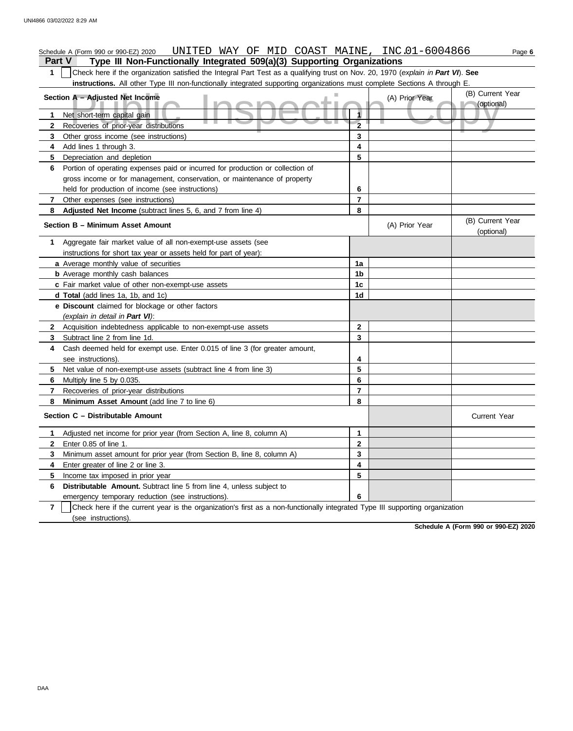|                | UNITED WAY OF MID COAST MAINE, INC.01-6004866<br>Schedule A (Form 990 or 990-EZ) 2020                                            |                |                | Page 6                         |
|----------------|----------------------------------------------------------------------------------------------------------------------------------|----------------|----------------|--------------------------------|
| <b>Part V</b>  | Type III Non-Functionally Integrated 509(a)(3) Supporting Organizations                                                          |                |                |                                |
| 1              | Check here if the organization satisfied the Integral Part Test as a qualifying trust on Nov. 20, 1970 (explain in Part VI). See |                |                |                                |
|                | instructions. All other Type III non-functionally integrated supporting organizations must complete Sections A through E.        |                |                |                                |
|                | Section A - Adjusted Net Income                                                                                                  |                | (A) Prior Year | (B) Current Year               |
|                |                                                                                                                                  |                |                | (optional)                     |
| 1              | Net short-term capital gain                                                                                                      |                |                |                                |
| 2              | Recoveries of prior-year distributions                                                                                           | $\overline{2}$ |                |                                |
| 3              | Other gross income (see instructions)                                                                                            | 3              |                |                                |
| 4              | Add lines 1 through 3.                                                                                                           | 4              |                |                                |
| 5              | Depreciation and depletion                                                                                                       | 5              |                |                                |
| 6              | Portion of operating expenses paid or incurred for production or collection of                                                   |                |                |                                |
|                | gross income or for management, conservation, or maintenance of property                                                         |                |                |                                |
|                | held for production of income (see instructions)                                                                                 | 6              |                |                                |
| 7              | Other expenses (see instructions)                                                                                                | $\overline{7}$ |                |                                |
| 8              | Adjusted Net Income (subtract lines 5, 6, and 7 from line 4)                                                                     | 8              |                |                                |
|                | Section B - Minimum Asset Amount                                                                                                 |                | (A) Prior Year | (B) Current Year<br>(optional) |
| 1              | Aggregate fair market value of all non-exempt-use assets (see                                                                    |                |                |                                |
|                | instructions for short tax year or assets held for part of year):                                                                |                |                |                                |
|                | a Average monthly value of securities                                                                                            | 1a             |                |                                |
|                | <b>b</b> Average monthly cash balances                                                                                           | 1b             |                |                                |
|                | c Fair market value of other non-exempt-use assets                                                                               | 1c             |                |                                |
|                | d Total (add lines 1a, 1b, and 1c)                                                                                               | 1d             |                |                                |
|                | e Discount claimed for blockage or other factors                                                                                 |                |                |                                |
|                | (explain in detail in Part VI):                                                                                                  |                |                |                                |
|                | 2 Acquisition indebtedness applicable to non-exempt-use assets                                                                   | $\mathbf{2}$   |                |                                |
| 3              | Subtract line 2 from line 1d.                                                                                                    | 3              |                |                                |
| 4              | Cash deemed held for exempt use. Enter 0.015 of line 3 (for greater amount,                                                      |                |                |                                |
|                | see instructions)                                                                                                                | 4              |                |                                |
| 5.             | Net value of non-exempt-use assets (subtract line 4 from line 3)                                                                 | 5              |                |                                |
| 6              | Multiply line 5 by 0.035.                                                                                                        | 6              |                |                                |
| 7              | Recoveries of prior-year distributions                                                                                           | $\overline{7}$ |                |                                |
| 8              | Minimum Asset Amount (add line 7 to line 6)                                                                                      | 8              |                |                                |
|                | Section C - Distributable Amount                                                                                                 |                |                | Current Year                   |
| 1              | Adjusted net income for prior year (from Section A, line 8, column A)                                                            | 1              |                |                                |
| 2              | Enter 0.85 of line 1.                                                                                                            | $\bf{2}$       |                |                                |
| 3              | Minimum asset amount for prior year (from Section B, line 8, column A)                                                           | 3              |                |                                |
| 4              | Enter greater of line 2 or line 3.                                                                                               | 4              |                |                                |
| 5              | Income tax imposed in prior year                                                                                                 | 5              |                |                                |
| 6              | Distributable Amount. Subtract line 5 from line 4, unless subject to                                                             |                |                |                                |
|                | emergency temporary reduction (see instructions).                                                                                | 6              |                |                                |
| $\overline{7}$ | Check here if the current year is the organization's first as a non-functionally integrated Type III supporting organization     |                |                |                                |
|                | (see instructions).                                                                                                              |                |                |                                |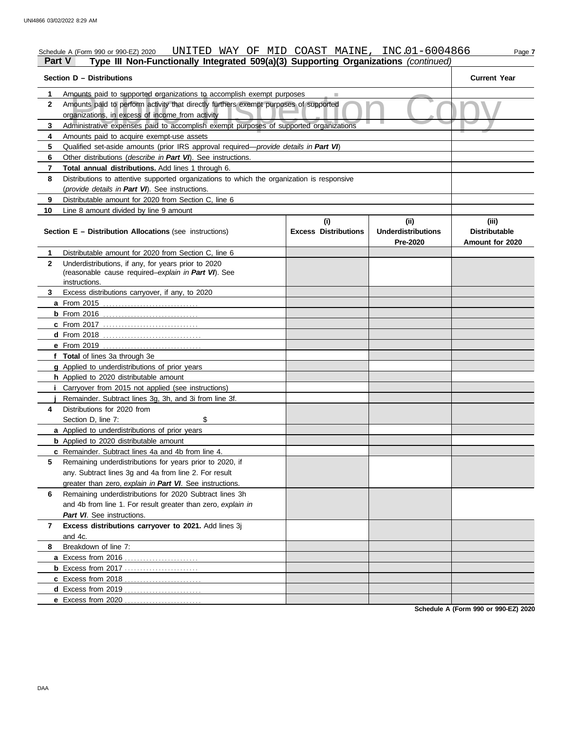### Schedule A (Form 990 or 990-EZ) 2020 UNITED WAY OF MID COAST MAINE , INC .01-6004866 Page 7 **Part V Type III Non-Functionally Integrated 509(a)(3) Supporting Organizations** *(continued)*

|              |                                                                                                                                               | Section D - Distributions          |                                                      |                                                  |  |  |  |  |
|--------------|-----------------------------------------------------------------------------------------------------------------------------------------------|------------------------------------|------------------------------------------------------|--------------------------------------------------|--|--|--|--|
| 1            | Amounts paid to supported organizations to accomplish exempt purposes                                                                         |                                    |                                                      |                                                  |  |  |  |  |
| 2            | Amounts paid to perform activity that directly furthers exempt purposes of supported<br>organizations, in excess of income from activity      |                                    |                                                      |                                                  |  |  |  |  |
| 3            | Administrative expenses paid to accomplish exempt purposes of supported organizations                                                         |                                    |                                                      |                                                  |  |  |  |  |
| 4            | Amounts paid to acquire exempt-use assets                                                                                                     |                                    |                                                      |                                                  |  |  |  |  |
| 5            | Qualified set-aside amounts (prior IRS approval required— <i>provide details in Part VI</i> )                                                 |                                    |                                                      |                                                  |  |  |  |  |
| 6            | Other distributions (describe in Part VI). See instructions.                                                                                  |                                    |                                                      |                                                  |  |  |  |  |
| 7            | Total annual distributions. Add lines 1 through 6.                                                                                            |                                    |                                                      |                                                  |  |  |  |  |
| 8            |                                                                                                                                               |                                    |                                                      |                                                  |  |  |  |  |
|              | Distributions to attentive supported organizations to which the organization is responsive<br>(provide details in Part VI). See instructions. |                                    |                                                      |                                                  |  |  |  |  |
| 9            | Distributable amount for 2020 from Section C, line 6                                                                                          |                                    |                                                      |                                                  |  |  |  |  |
| 10           | Line 8 amount divided by line 9 amount                                                                                                        |                                    |                                                      |                                                  |  |  |  |  |
|              | <b>Section E - Distribution Allocations (see instructions)</b>                                                                                | (i)<br><b>Excess Distributions</b> | (ii)<br><b>Underdistributions</b><br><b>Pre-2020</b> | (iii)<br><b>Distributable</b><br>Amount for 2020 |  |  |  |  |
| 1            | Distributable amount for 2020 from Section C, line 6                                                                                          |                                    |                                                      |                                                  |  |  |  |  |
| $\mathbf{2}$ | Underdistributions, if any, for years prior to 2020<br>(reasonable cause required-explain in Part VI). See<br>instructions.                   |                                    |                                                      |                                                  |  |  |  |  |
| 3.           | Excess distributions carryover, if any, to 2020                                                                                               |                                    |                                                      |                                                  |  |  |  |  |
|              |                                                                                                                                               |                                    |                                                      |                                                  |  |  |  |  |
|              |                                                                                                                                               |                                    |                                                      |                                                  |  |  |  |  |
|              | c From 2017                                                                                                                                   |                                    |                                                      |                                                  |  |  |  |  |
|              |                                                                                                                                               |                                    |                                                      |                                                  |  |  |  |  |
|              | e From 2019                                                                                                                                   |                                    |                                                      |                                                  |  |  |  |  |
|              | f Total of lines 3a through 3e                                                                                                                |                                    |                                                      |                                                  |  |  |  |  |
|              | <b>g</b> Applied to underdistributions of prior years                                                                                         |                                    |                                                      |                                                  |  |  |  |  |
|              | h Applied to 2020 distributable amount                                                                                                        |                                    |                                                      |                                                  |  |  |  |  |
|              | <i>i</i> Carryover from 2015 not applied (see instructions)                                                                                   |                                    |                                                      |                                                  |  |  |  |  |
|              | Remainder. Subtract lines 3g, 3h, and 3i from line 3f.                                                                                        |                                    |                                                      |                                                  |  |  |  |  |
| 4            | Distributions for 2020 from                                                                                                                   |                                    |                                                      |                                                  |  |  |  |  |
|              | \$<br>Section D, line 7:                                                                                                                      |                                    |                                                      |                                                  |  |  |  |  |
|              | a Applied to underdistributions of prior years                                                                                                |                                    |                                                      |                                                  |  |  |  |  |
|              | <b>b</b> Applied to 2020 distributable amount                                                                                                 |                                    |                                                      |                                                  |  |  |  |  |
|              | c Remainder. Subtract lines 4a and 4b from line 4.                                                                                            |                                    |                                                      |                                                  |  |  |  |  |
|              | Remaining underdistributions for years prior to 2020, if                                                                                      |                                    |                                                      |                                                  |  |  |  |  |
|              | any. Subtract lines 3g and 4a from line 2. For result                                                                                         |                                    |                                                      |                                                  |  |  |  |  |
|              | greater than zero, explain in Part VI. See instructions.                                                                                      |                                    |                                                      |                                                  |  |  |  |  |
| 6            | Remaining underdistributions for 2020 Subtract lines 3h                                                                                       |                                    |                                                      |                                                  |  |  |  |  |
|              | and 4b from line 1. For result greater than zero, explain in                                                                                  |                                    |                                                      |                                                  |  |  |  |  |
|              | Part VI. See instructions.                                                                                                                    |                                    |                                                      |                                                  |  |  |  |  |
| 7            | Excess distributions carryover to 2021. Add lines 3j<br>and 4c.                                                                               |                                    |                                                      |                                                  |  |  |  |  |
| 8            | Breakdown of line 7:                                                                                                                          |                                    |                                                      |                                                  |  |  |  |  |
|              |                                                                                                                                               |                                    |                                                      |                                                  |  |  |  |  |
|              | <b>b</b> Excess from 2017                                                                                                                     |                                    |                                                      |                                                  |  |  |  |  |
|              |                                                                                                                                               |                                    |                                                      |                                                  |  |  |  |  |
|              |                                                                                                                                               |                                    |                                                      |                                                  |  |  |  |  |
|              |                                                                                                                                               |                                    |                                                      |                                                  |  |  |  |  |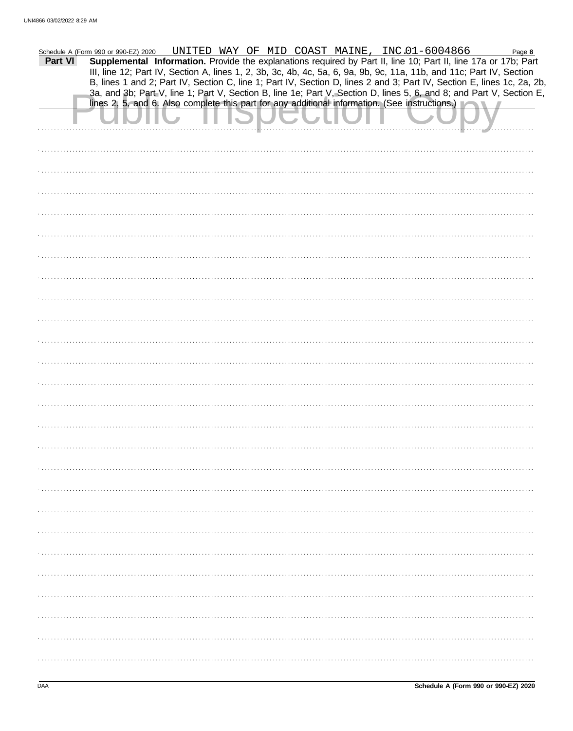| Supplemental Information. Provide the explanations required by Part II, line 10; Part II, line 17a or 17b; Part<br>III, line 12; Part IV, Section A, lines 1, 2, 3b, 3c, 4b, 4c, 5a, 6, 9a, 9b, 9c, 11a, 11b, and 11c; Part IV, Section<br>B, lines 1 and 2; Part IV, Section C, line 1; Part IV, Section D, lines 2 and 3; Part IV, Section E, lines 1c, 2a, 2b,<br>3a, and 3b; Part V, line 1; Part V, Section B, line 1e; Part V, Section D, lines 5, 6, and 8; and Part V, Section E,<br>lines 2, 5, and 6. Also complete this part for any additional information. (See instructions.) |         | Schedule A (Form 990 or 990-EZ) 2020 |  |  |  |  |  | UNITED WAY OF MID COAST MAINE, INC.01-6004866 |  |  |  | Page 8 |  |
|---------------------------------------------------------------------------------------------------------------------------------------------------------------------------------------------------------------------------------------------------------------------------------------------------------------------------------------------------------------------------------------------------------------------------------------------------------------------------------------------------------------------------------------------------------------------------------------------|---------|--------------------------------------|--|--|--|--|--|-----------------------------------------------|--|--|--|--------|--|
|                                                                                                                                                                                                                                                                                                                                                                                                                                                                                                                                                                                             | Part VI |                                      |  |  |  |  |  |                                               |  |  |  |        |  |
|                                                                                                                                                                                                                                                                                                                                                                                                                                                                                                                                                                                             |         |                                      |  |  |  |  |  |                                               |  |  |  |        |  |
|                                                                                                                                                                                                                                                                                                                                                                                                                                                                                                                                                                                             |         |                                      |  |  |  |  |  |                                               |  |  |  |        |  |
|                                                                                                                                                                                                                                                                                                                                                                                                                                                                                                                                                                                             |         |                                      |  |  |  |  |  |                                               |  |  |  |        |  |
|                                                                                                                                                                                                                                                                                                                                                                                                                                                                                                                                                                                             |         |                                      |  |  |  |  |  |                                               |  |  |  |        |  |
|                                                                                                                                                                                                                                                                                                                                                                                                                                                                                                                                                                                             |         |                                      |  |  |  |  |  |                                               |  |  |  |        |  |
|                                                                                                                                                                                                                                                                                                                                                                                                                                                                                                                                                                                             |         |                                      |  |  |  |  |  |                                               |  |  |  |        |  |
|                                                                                                                                                                                                                                                                                                                                                                                                                                                                                                                                                                                             |         |                                      |  |  |  |  |  |                                               |  |  |  |        |  |
|                                                                                                                                                                                                                                                                                                                                                                                                                                                                                                                                                                                             |         |                                      |  |  |  |  |  |                                               |  |  |  |        |  |
|                                                                                                                                                                                                                                                                                                                                                                                                                                                                                                                                                                                             |         |                                      |  |  |  |  |  |                                               |  |  |  |        |  |
|                                                                                                                                                                                                                                                                                                                                                                                                                                                                                                                                                                                             |         |                                      |  |  |  |  |  |                                               |  |  |  |        |  |
|                                                                                                                                                                                                                                                                                                                                                                                                                                                                                                                                                                                             |         |                                      |  |  |  |  |  |                                               |  |  |  |        |  |
|                                                                                                                                                                                                                                                                                                                                                                                                                                                                                                                                                                                             |         |                                      |  |  |  |  |  |                                               |  |  |  |        |  |
|                                                                                                                                                                                                                                                                                                                                                                                                                                                                                                                                                                                             |         |                                      |  |  |  |  |  |                                               |  |  |  |        |  |
|                                                                                                                                                                                                                                                                                                                                                                                                                                                                                                                                                                                             |         |                                      |  |  |  |  |  |                                               |  |  |  |        |  |
|                                                                                                                                                                                                                                                                                                                                                                                                                                                                                                                                                                                             |         |                                      |  |  |  |  |  |                                               |  |  |  |        |  |
|                                                                                                                                                                                                                                                                                                                                                                                                                                                                                                                                                                                             |         |                                      |  |  |  |  |  |                                               |  |  |  |        |  |
|                                                                                                                                                                                                                                                                                                                                                                                                                                                                                                                                                                                             |         |                                      |  |  |  |  |  |                                               |  |  |  |        |  |
|                                                                                                                                                                                                                                                                                                                                                                                                                                                                                                                                                                                             |         |                                      |  |  |  |  |  |                                               |  |  |  |        |  |
|                                                                                                                                                                                                                                                                                                                                                                                                                                                                                                                                                                                             |         |                                      |  |  |  |  |  |                                               |  |  |  |        |  |
|                                                                                                                                                                                                                                                                                                                                                                                                                                                                                                                                                                                             |         |                                      |  |  |  |  |  |                                               |  |  |  |        |  |
|                                                                                                                                                                                                                                                                                                                                                                                                                                                                                                                                                                                             |         |                                      |  |  |  |  |  |                                               |  |  |  |        |  |
|                                                                                                                                                                                                                                                                                                                                                                                                                                                                                                                                                                                             |         |                                      |  |  |  |  |  |                                               |  |  |  |        |  |
|                                                                                                                                                                                                                                                                                                                                                                                                                                                                                                                                                                                             |         |                                      |  |  |  |  |  |                                               |  |  |  |        |  |
|                                                                                                                                                                                                                                                                                                                                                                                                                                                                                                                                                                                             |         |                                      |  |  |  |  |  |                                               |  |  |  |        |  |
|                                                                                                                                                                                                                                                                                                                                                                                                                                                                                                                                                                                             |         |                                      |  |  |  |  |  |                                               |  |  |  |        |  |
|                                                                                                                                                                                                                                                                                                                                                                                                                                                                                                                                                                                             |         |                                      |  |  |  |  |  |                                               |  |  |  |        |  |
|                                                                                                                                                                                                                                                                                                                                                                                                                                                                                                                                                                                             |         |                                      |  |  |  |  |  |                                               |  |  |  |        |  |
|                                                                                                                                                                                                                                                                                                                                                                                                                                                                                                                                                                                             |         |                                      |  |  |  |  |  |                                               |  |  |  |        |  |
|                                                                                                                                                                                                                                                                                                                                                                                                                                                                                                                                                                                             |         |                                      |  |  |  |  |  |                                               |  |  |  |        |  |
|                                                                                                                                                                                                                                                                                                                                                                                                                                                                                                                                                                                             |         |                                      |  |  |  |  |  |                                               |  |  |  |        |  |
|                                                                                                                                                                                                                                                                                                                                                                                                                                                                                                                                                                                             |         |                                      |  |  |  |  |  |                                               |  |  |  |        |  |
|                                                                                                                                                                                                                                                                                                                                                                                                                                                                                                                                                                                             |         |                                      |  |  |  |  |  |                                               |  |  |  |        |  |
|                                                                                                                                                                                                                                                                                                                                                                                                                                                                                                                                                                                             |         |                                      |  |  |  |  |  |                                               |  |  |  |        |  |
|                                                                                                                                                                                                                                                                                                                                                                                                                                                                                                                                                                                             |         |                                      |  |  |  |  |  |                                               |  |  |  |        |  |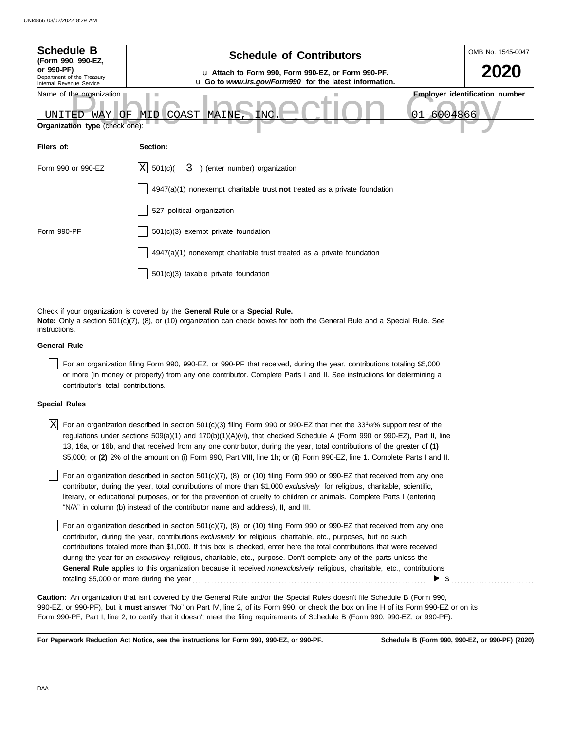| <b>Schedule B</b><br>(Form 990, 990-EZ,                                              | <b>Schedule of Contributors</b>                                                                                                                                                                             |                | OMB No. 1545-0047                     |
|--------------------------------------------------------------------------------------|-------------------------------------------------------------------------------------------------------------------------------------------------------------------------------------------------------------|----------------|---------------------------------------|
| or 990-PF)<br>Department of the Treasury<br>Internal Revenue Service                 | u Attach to Form 990, Form 990-EZ, or Form 990-PF.<br>u Go to www.irs.gov/Form990 for the latest information.                                                                                               |                | 2020                                  |
| Name of the organization<br>WAY  <br>'OF<br>INTTED<br>Organization type (check one): | COAST<br>MAINE,<br>INC<br>MID                                                                                                                                                                               | $01 - 6004866$ | <b>Employer identification number</b> |
| Filers of:                                                                           | Section:                                                                                                                                                                                                    |                |                                       |
| Form 990 or 990-EZ                                                                   | ΙXΙ<br>3) (enter number) organization<br>501(c)(                                                                                                                                                            |                |                                       |
|                                                                                      | $4947(a)(1)$ nonexempt charitable trust not treated as a private foundation                                                                                                                                 |                |                                       |
|                                                                                      | 527 political organization                                                                                                                                                                                  |                |                                       |
| Form 990-PF                                                                          | 501(c)(3) exempt private foundation                                                                                                                                                                         |                |                                       |
|                                                                                      | 4947(a)(1) nonexempt charitable trust treated as a private foundation                                                                                                                                       |                |                                       |
|                                                                                      | 501(c)(3) taxable private foundation                                                                                                                                                                        |                |                                       |
|                                                                                      |                                                                                                                                                                                                             |                |                                       |
| instructions.                                                                        | Check if your organization is covered by the General Rule or a Special Rule.<br>Note: Only a section 501(c)(7), (8), or (10) organization can check boxes for both the General Rule and a Special Rule. See |                |                                       |

#### **General Rule**

For an organization filing Form 990, 990-EZ, or 990-PF that received, during the year, contributions totaling \$5,000 or more (in money or property) from any one contributor. Complete Parts I and II. See instructions for determining a contributor's total contributions.

#### **Special Rules**

 $\overline{X}$  For an organization described in section 501(c)(3) filing Form 990 or 990-EZ that met the 33<sup>1</sup>/3% support test of the regulations under sections 509(a)(1) and 170(b)(1)(A)(vi), that checked Schedule A (Form 990 or 990-EZ), Part II, line 13, 16a, or 16b, and that received from any one contributor, during the year, total contributions of the greater of **(1)** \$5,000; or **(2)** 2% of the amount on (i) Form 990, Part VIII, line 1h; or (ii) Form 990-EZ, line 1. Complete Parts I and II.

literary, or educational purposes, or for the prevention of cruelty to children or animals. Complete Parts I (entering For an organization described in section 501(c)(7), (8), or (10) filing Form 990 or 990-EZ that received from any one contributor, during the year, total contributions of more than \$1,000 *exclusively* for religious, charitable, scientific, "N/A" in column (b) instead of the contributor name and address), II, and III.

For an organization described in section 501(c)(7), (8), or (10) filing Form 990 or 990-EZ that received from any one contributor, during the year, contributions *exclusively* for religious, charitable, etc., purposes, but no such contributions totaled more than \$1,000. If this box is checked, enter here the total contributions that were received during the year for an *exclusively* religious, charitable, etc., purpose. Don't complete any of the parts unless the **General Rule** applies to this organization because it received *nonexclusively* religious, charitable, etc., contributions totaling \$5,000 or more during the year . . . . . . . . . . . . . . . . . . . . . . . . . . . . . . . . . . . . . . . . . . . . . . . . . . . . . . . . . . . . . . . . . . . . . . . . . . . .  $\triangleright$  \$

990-EZ, or 990-PF), but it **must** answer "No" on Part IV, line 2, of its Form 990; or check the box on line H of its Form 990-EZ or on its Form 990-PF, Part I, line 2, to certify that it doesn't meet the filing requirements of Schedule B (Form 990, 990-EZ, or 990-PF). **Caution:** An organization that isn't covered by the General Rule and/or the Special Rules doesn't file Schedule B (Form 990,

**For Paperwork Reduction Act Notice, see the instructions for Form 990, 990-EZ, or 990-PF.**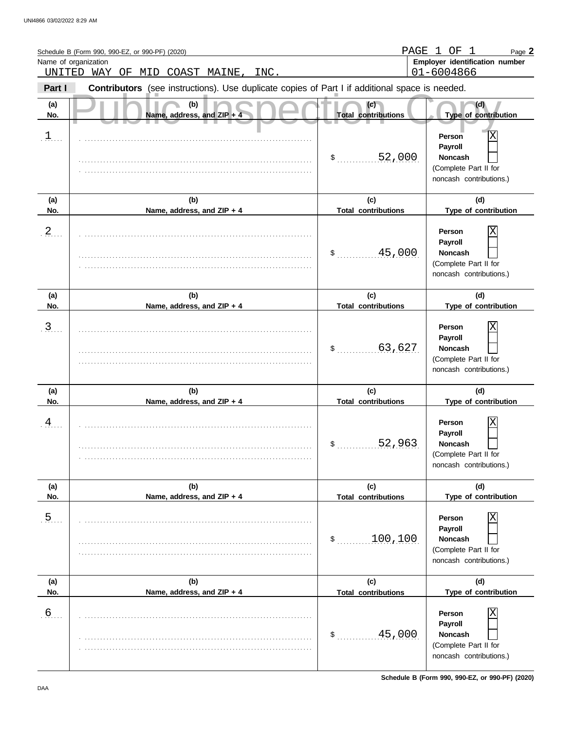|                | Schedule B (Form 990, 990-EZ, or 990-PF) (2020)                                                | PAGE                                        | ΟF<br>-1.<br>- 1<br>Page 2                                                              |
|----------------|------------------------------------------------------------------------------------------------|---------------------------------------------|-----------------------------------------------------------------------------------------|
| UNITED         | Name of organization<br>WAY OF MID<br>COAST MAINE,<br>INC.                                     |                                             | Employer identification number<br>01-6004866                                            |
| Part I         | Contributors (see instructions). Use duplicate copies of Part I if additional space is needed. |                                             |                                                                                         |
| (a)<br>No.     | (b)<br>Name, address, and ZIP $+$ 4                                                            | (c)<br><b>Total contributions</b>           | (d)<br>Type of contribution                                                             |
| $\mathbf{I}$   |                                                                                                | 52,000<br>\$                                | Person<br>Payroll<br><b>Noncash</b><br>(Complete Part II for<br>noncash contributions.) |
| (a)<br>No.     | (b)<br>Name, address, and ZIP + 4                                                              | (c)<br><b>Total contributions</b>           | (d)<br>Type of contribution                                                             |
| $\frac{2}{2}$  |                                                                                                | 45,000<br>\$                                | Person<br>Payroll<br><b>Noncash</b><br>(Complete Part II for<br>noncash contributions.) |
| (a)<br>No.     | (b)<br>Name, address, and ZIP + 4                                                              | (c)<br><b>Total contributions</b>           | (d)<br>Type of contribution                                                             |
| $\overline{3}$ |                                                                                                | 63,627<br>\$                                | Person<br>Payroll<br><b>Noncash</b><br>(Complete Part II for<br>noncash contributions.) |
| (a)<br>No.     | (b)<br>Name, address, and ZIP + 4                                                              | (c)<br><b>Total contributions</b>           | (d)<br>Type of contribution                                                             |
| $\overline{A}$ |                                                                                                | 52,963<br>P.                                | Person<br>Payroll<br><b>Noncash</b><br>(Complete Part II for<br>noncash contributions.) |
| (a)<br>No.     | (b)<br>Name, address, and ZIP + 4                                                              | (c)                                         | (d)<br>Type of contribution                                                             |
| $\overline{5}$ |                                                                                                | <b>Total contributions</b><br>100,100<br>\$ | Person<br>Payroll<br><b>Noncash</b><br>(Complete Part II for<br>noncash contributions.) |
| (a)<br>No.     | (b)<br>Name, address, and ZIP + 4                                                              | (c)<br><b>Total contributions</b>           | (d)<br>Type of contribution                                                             |
| 6.5            |                                                                                                | 45,000<br>\$                                | Person<br>Payroll<br>Noncash<br>(Complete Part II for<br>noncash contributions.)        |

**Schedule B (Form 990, 990-EZ, or 990-PF) (2020)**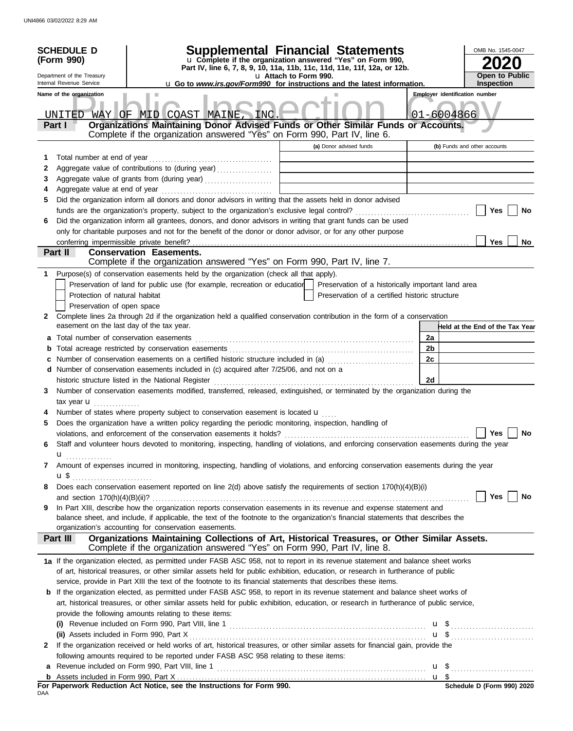|                       | <b>SCHEDULE D</b><br>(Form 990)<br>Department of the Treasury<br>Internal Revenue Service<br>Name of the organization |                                                                                                                                                                                                                                                                                                                                           | Supplemental Financial Statements<br>u Complete if the organization answered "Yes" on Form 990,<br>Part IV, line 6, 7, 8, 9, 10, 11a, 11b, 11c, 11d, 11e, 11f, 12a, or 12b.<br>u Attach to Form 990.<br><b>u</b> Go to www.irs.gov/Form990 for instructions and the latest information. |          | OMB No. 1545-0047<br><b>Open to Public</b><br><b>Inspection</b><br><b>Employer identification number</b> |
|-----------------------|-----------------------------------------------------------------------------------------------------------------------|-------------------------------------------------------------------------------------------------------------------------------------------------------------------------------------------------------------------------------------------------------------------------------------------------------------------------------------------|-----------------------------------------------------------------------------------------------------------------------------------------------------------------------------------------------------------------------------------------------------------------------------------------|----------|----------------------------------------------------------------------------------------------------------|
|                       | UNITED<br>Part I                                                                                                      | WAY OF MID COAST MAINE, INC.<br>Organizations Maintaining Donor Advised Funds or Other Similar Funds or Accounts.<br>Complete if the organization answered "Yes" on Form 990, Part IV, line 6.                                                                                                                                            | (a) Donor advised funds                                                                                                                                                                                                                                                                 |          | 01-6004866                                                                                               |
| 1<br>2<br>3<br>4<br>5 |                                                                                                                       | Aggregate value of contributions to (during year)<br>Aggregate value of grants from (during year)<br>Did the organization inform all donors and donor advisors in writing that the assets held in donor advised                                                                                                                           |                                                                                                                                                                                                                                                                                         |          | (b) Funds and other accounts                                                                             |
| 6                     | conferring impermissible private benefit?                                                                             | Did the organization inform all grantees, donors, and donor advisors in writing that grant funds can be used<br>only for charitable purposes and not for the benefit of the donor or donor advisor, or for any other purpose                                                                                                              |                                                                                                                                                                                                                                                                                         |          | Yes<br>No<br><b>Yes</b><br>No                                                                            |
|                       | Part II                                                                                                               | <b>Conservation Easements.</b><br>Complete if the organization answered "Yes" on Form 990, Part IV, line 7.                                                                                                                                                                                                                               |                                                                                                                                                                                                                                                                                         |          |                                                                                                          |
| 1<br>2                | Protection of natural habitat<br>Preservation of open space                                                           | Purpose(s) of conservation easements held by the organization (check all that apply).<br>Preservation of land for public use (for example, recreation or education  <br>Complete lines 2a through 2d if the organization held a qualified conservation contribution in the form of a conservation                                         | Preservation of a historically important land area<br>Preservation of a certified historic structure                                                                                                                                                                                    |          |                                                                                                          |
|                       | easement on the last day of the tax year.                                                                             |                                                                                                                                                                                                                                                                                                                                           |                                                                                                                                                                                                                                                                                         |          | Held at the End of the Tax Year                                                                          |
|                       |                                                                                                                       |                                                                                                                                                                                                                                                                                                                                           |                                                                                                                                                                                                                                                                                         | 2a       |                                                                                                          |
| b                     |                                                                                                                       |                                                                                                                                                                                                                                                                                                                                           |                                                                                                                                                                                                                                                                                         | 2b<br>2c |                                                                                                          |
|                       |                                                                                                                       | d Number of conservation easements included in (c) acquired after 7/25/06, and not on a                                                                                                                                                                                                                                                   |                                                                                                                                                                                                                                                                                         | 2d       |                                                                                                          |
| 3                     | tax year $\mathbf{u}$                                                                                                 | Number of conservation easements modified, transferred, released, extinguished, or terminated by the organization during the                                                                                                                                                                                                              |                                                                                                                                                                                                                                                                                         |          |                                                                                                          |
|                       |                                                                                                                       | Number of states where property subject to conservation easement is located $\mathbf u$                                                                                                                                                                                                                                                   |                                                                                                                                                                                                                                                                                         |          |                                                                                                          |
| 5                     |                                                                                                                       | Does the organization have a written policy regarding the periodic monitoring, inspection, handling of                                                                                                                                                                                                                                    |                                                                                                                                                                                                                                                                                         |          |                                                                                                          |
|                       |                                                                                                                       | violations, and enforcement of the conservation easements it holds?                                                                                                                                                                                                                                                                       |                                                                                                                                                                                                                                                                                         |          | Yes<br><b>No</b>                                                                                         |
| 6                     | u <sub></sub>                                                                                                         | Staff and volunteer hours devoted to monitoring, inspecting, handling of violations, and enforcing conservation easements during the year                                                                                                                                                                                                 |                                                                                                                                                                                                                                                                                         |          |                                                                                                          |
| 7                     |                                                                                                                       | Amount of expenses incurred in monitoring, inspecting, handling of violations, and enforcing conservation easements during the year                                                                                                                                                                                                       |                                                                                                                                                                                                                                                                                         |          |                                                                                                          |
| 8                     |                                                                                                                       | Does each conservation easement reported on line 2(d) above satisfy the requirements of section 170(h)(4)(B)(i)                                                                                                                                                                                                                           |                                                                                                                                                                                                                                                                                         |          | Yes    <br>No                                                                                            |
| 9                     |                                                                                                                       | In Part XIII, describe how the organization reports conservation easements in its revenue and expense statement and<br>balance sheet, and include, if applicable, the text of the footnote to the organization's financial statements that describes the<br>organization's accounting for conservation easements.                         |                                                                                                                                                                                                                                                                                         |          |                                                                                                          |
|                       | Part III                                                                                                              | Organizations Maintaining Collections of Art, Historical Treasures, or Other Similar Assets.<br>Complete if the organization answered "Yes" on Form 990, Part IV, line 8.                                                                                                                                                                 |                                                                                                                                                                                                                                                                                         |          |                                                                                                          |
|                       |                                                                                                                       | 1a If the organization elected, as permitted under FASB ASC 958, not to report in its revenue statement and balance sheet works<br>of art, historical treasures, or other similar assets held for public exhibition, education, or research in furtherance of public                                                                      |                                                                                                                                                                                                                                                                                         |          |                                                                                                          |
|                       |                                                                                                                       | service, provide in Part XIII the text of the footnote to its financial statements that describes these items.                                                                                                                                                                                                                            |                                                                                                                                                                                                                                                                                         |          |                                                                                                          |
|                       |                                                                                                                       | <b>b</b> If the organization elected, as permitted under FASB ASC 958, to report in its revenue statement and balance sheet works of<br>art, historical treasures, or other similar assets held for public exhibition, education, or research in furtherance of public service,<br>provide the following amounts relating to these items: |                                                                                                                                                                                                                                                                                         |          |                                                                                                          |
|                       |                                                                                                                       | (i) Revenue included on Form 990, Part VIII, line 1 $\ldots$ $\ldots$ $\ldots$ $\ldots$ $\ldots$ $\ldots$ $\ldots$ $\ldots$ $\ldots$ $\ldots$                                                                                                                                                                                             |                                                                                                                                                                                                                                                                                         |          |                                                                                                          |
| 2                     |                                                                                                                       | If the organization received or held works of art, historical treasures, or other similar assets for financial gain, provide the<br>following amounts required to be reported under FASB ASC 958 relating to these items:                                                                                                                 |                                                                                                                                                                                                                                                                                         |          |                                                                                                          |
| a                     |                                                                                                                       |                                                                                                                                                                                                                                                                                                                                           |                                                                                                                                                                                                                                                                                         |          |                                                                                                          |
|                       |                                                                                                                       |                                                                                                                                                                                                                                                                                                                                           |                                                                                                                                                                                                                                                                                         |          | $$$ Schedule D (Form 990) 2020                                                                           |
| DAA                   |                                                                                                                       | For Paperwork Reduction Act Notice, see the Instructions for Form 990.                                                                                                                                                                                                                                                                    |                                                                                                                                                                                                                                                                                         |          |                                                                                                          |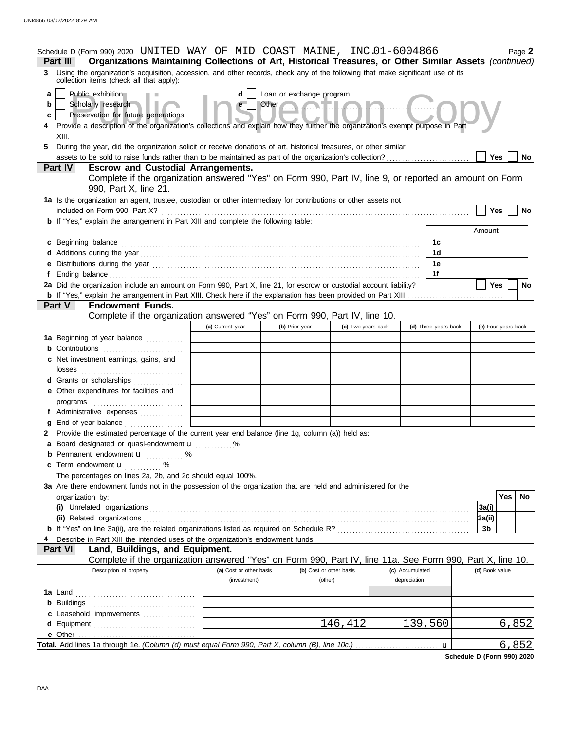|                       | Schedule D (Form 990) 2020 UNITED WAY OF MID COAST MAINE, INC.01-6004866<br>Organizations Maintaining Collections of Art, Historical Treasures, or Other Similar Assets (continued)<br>Part III                                                                                                                                                |                         |                                                 |                    |                 |                      |                     | Page 2 |
|-----------------------|------------------------------------------------------------------------------------------------------------------------------------------------------------------------------------------------------------------------------------------------------------------------------------------------------------------------------------------------|-------------------------|-------------------------------------------------|--------------------|-----------------|----------------------|---------------------|--------|
|                       | 3 Using the organization's acquisition, accession, and other records, check any of the following that make significant use of its<br>collection items (check all that apply):                                                                                                                                                                  |                         |                                                 |                    |                 |                      |                     |        |
| a<br>b<br>c<br>4<br>5 | Public exhibition<br>Scholarly research<br>Preservation for future generations<br>Provide a description of the organization's collections and explain how they further the organization's exempt purpose in Part<br>XIII.<br>During the year, did the organization solicit or receive donations of art, historical treasures, or other similar | d<br>$\mathbf{e}$       | Loan or exchange program<br>Other Communication |                    |                 |                      |                     |        |
|                       | Part IV                                                                                                                                                                                                                                                                                                                                        |                         |                                                 |                    |                 |                      | Yes                 | No.    |
|                       | <b>Escrow and Custodial Arrangements.</b><br>Complete if the organization answered "Yes" on Form 990, Part IV, line 9, or reported an amount on Form<br>990, Part X, line 21.                                                                                                                                                                  |                         |                                                 |                    |                 |                      |                     |        |
|                       | 1a Is the organization an agent, trustee, custodian or other intermediary for contributions or other assets not                                                                                                                                                                                                                                |                         |                                                 |                    |                 |                      |                     |        |
|                       | included on Form 990, Part X?<br><b>b</b> If "Yes," explain the arrangement in Part XIII and complete the following table:                                                                                                                                                                                                                     |                         |                                                 |                    |                 |                      | Yes                 | No     |
|                       |                                                                                                                                                                                                                                                                                                                                                |                         |                                                 |                    |                 |                      | Amount              |        |
|                       | c Beginning balance                                                                                                                                                                                                                                                                                                                            |                         |                                                 |                    |                 | 1c                   |                     |        |
|                       |                                                                                                                                                                                                                                                                                                                                                |                         |                                                 |                    |                 | 1 <sub>d</sub>       |                     |        |
|                       | e Distributions during the year manufactured contains and the year manufactured with the set of the set of the set of the set of the set of the set of the set of the set of the set of the set of the set of the set of the s                                                                                                                 |                         |                                                 |                    |                 | 1е                   |                     |        |
|                       |                                                                                                                                                                                                                                                                                                                                                |                         |                                                 |                    |                 | 1f                   |                     |        |
|                       | 2a Did the organization include an amount on Form 990, Part X, line 21, for escrow or custodial account liability?                                                                                                                                                                                                                             |                         |                                                 |                    |                 |                      | <b>Yes</b>          | No     |
|                       |                                                                                                                                                                                                                                                                                                                                                |                         |                                                 |                    |                 |                      |                     |        |
|                       | <b>Endowment Funds.</b><br>Part V<br>Complete if the organization answered "Yes" on Form 990, Part IV, line 10.                                                                                                                                                                                                                                |                         |                                                 |                    |                 |                      |                     |        |
|                       |                                                                                                                                                                                                                                                                                                                                                | (a) Current year        | (b) Prior year                                  | (c) Two years back |                 | (d) Three years back | (e) Four years back |        |
|                       | 1a Beginning of year balance                                                                                                                                                                                                                                                                                                                   |                         |                                                 |                    |                 |                      |                     |        |
|                       |                                                                                                                                                                                                                                                                                                                                                |                         |                                                 |                    |                 |                      |                     |        |
|                       | c Net investment earnings, gains, and                                                                                                                                                                                                                                                                                                          |                         |                                                 |                    |                 |                      |                     |        |
|                       | losses                                                                                                                                                                                                                                                                                                                                         |                         |                                                 |                    |                 |                      |                     |        |
|                       | d Grants or scholarships                                                                                                                                                                                                                                                                                                                       |                         |                                                 |                    |                 |                      |                     |        |
|                       | e Other expenditures for facilities and                                                                                                                                                                                                                                                                                                        |                         |                                                 |                    |                 |                      |                     |        |
|                       | programs                                                                                                                                                                                                                                                                                                                                       |                         |                                                 |                    |                 |                      |                     |        |
|                       | f Administrative expenses                                                                                                                                                                                                                                                                                                                      |                         |                                                 |                    |                 |                      |                     |        |
| g                     | End of year balance<br>2 Provide the estimated percentage of the current year end balance (line 1g, column (a)) held as:                                                                                                                                                                                                                       |                         |                                                 |                    |                 |                      |                     |        |
|                       | a Board designated or quasi-endowment u                                                                                                                                                                                                                                                                                                        | %                       |                                                 |                    |                 |                      |                     |        |
|                       | <b>b</b> Permanent endowment <b>u</b> %                                                                                                                                                                                                                                                                                                        |                         |                                                 |                    |                 |                      |                     |        |
|                       | c Term endowment u<br>.                                                                                                                                                                                                                                                                                                                        |                         |                                                 |                    |                 |                      |                     |        |
|                       | The percentages on lines 2a, 2b, and 2c should equal 100%.                                                                                                                                                                                                                                                                                     |                         |                                                 |                    |                 |                      |                     |        |
|                       | 3a Are there endowment funds not in the possession of the organization that are held and administered for the                                                                                                                                                                                                                                  |                         |                                                 |                    |                 |                      |                     |        |
|                       | organization by:                                                                                                                                                                                                                                                                                                                               |                         |                                                 |                    |                 |                      | <b>Yes</b>          | No     |
|                       |                                                                                                                                                                                                                                                                                                                                                |                         |                                                 |                    |                 |                      | 3a(i)               |        |
|                       | (ii) Related organizations                                                                                                                                                                                                                                                                                                                     |                         |                                                 |                    |                 |                      | 3a(ii)              |        |
|                       | Describe in Part XIII the intended uses of the organization's endowment funds.                                                                                                                                                                                                                                                                 |                         |                                                 |                    |                 |                      | 3b                  |        |
|                       | Land, Buildings, and Equipment.<br><b>Part VI</b>                                                                                                                                                                                                                                                                                              |                         |                                                 |                    |                 |                      |                     |        |
|                       | Complete if the organization answered "Yes" on Form 990, Part IV, line 11a. See Form 990, Part X, line 10.                                                                                                                                                                                                                                     |                         |                                                 |                    |                 |                      |                     |        |
|                       | Description of property                                                                                                                                                                                                                                                                                                                        | (a) Cost or other basis | (b) Cost or other basis                         |                    | (c) Accumulated |                      | (d) Book value      |        |
|                       |                                                                                                                                                                                                                                                                                                                                                | (investment)            | (other)                                         |                    | depreciation    |                      |                     |        |
|                       |                                                                                                                                                                                                                                                                                                                                                |                         |                                                 |                    |                 |                      |                     |        |
|                       |                                                                                                                                                                                                                                                                                                                                                |                         |                                                 |                    |                 |                      |                     |        |
|                       | c Leasehold improvements                                                                                                                                                                                                                                                                                                                       |                         |                                                 |                    |                 |                      |                     |        |
|                       | e Other                                                                                                                                                                                                                                                                                                                                        |                         |                                                 | 146, 412           |                 | 139,560              |                     | 6,852  |
|                       |                                                                                                                                                                                                                                                                                                                                                |                         |                                                 |                    |                 | u                    |                     | 6,852  |

**Schedule D (Form 990) 2020**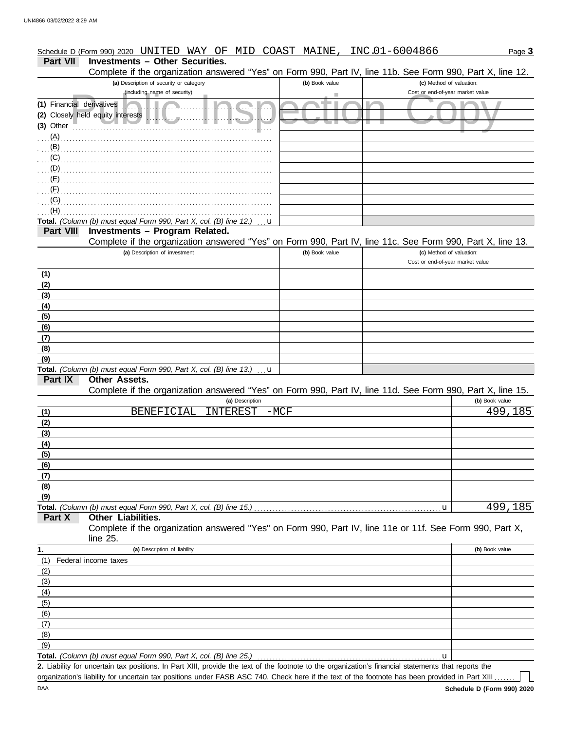#### (including name of security)<br>
Cost or end-of-year market value<br>
y held equity interests<br>
example:<br>
y held equity interests<br>
and the contract value<br>
and the contract value<br>
of the contract value<br>
of the contract value<br>
of t **(b)** Book value **(c)** Method of valuation: Page **3 Part VII Investments – Other Securities.** Schedule D (Form 990) 2020 UNITED WAY OF MID COAST MAINE, INC.01-6004866 **(a)** Description of security or category (including name of security) Financial derivatives . . . . . . . . . . . . . . . . . . . . . . . . . . . . . . . . . . . . . . . . . . . . . . . . . **(1)** (2) Closely held equity interests **below the set of the set of the set of the set of the set of the set of the set of the set of the set of the set of the set of the set of the set of the set of the set of the set of the s** Other **(3)** . . . . . . . . . . . . . . . . . . . . . . . . . . . . . . . . . . . . . . . . . . . . . . . . . . . . . . . . . . . . . . . . . Total. *(Column (b) must equal Form 990, Part X, col. (B) line 12.)* **(a)** Description of investment **Part VIII Investments – Program Related. (b)** Book value **(c)** Method of valuation: Cost or end-of-year market value **(b)** Book value **Other Assets. (a)** Description **Part IX Part X (a)** Description of liability **Other Liabilities. (b)** Book value Federal income taxes Total. *(Column (b) must equal Form 990, Part X, col. (B) line 13.)* **Total.** *(Column (b) must equal Form 990, Part X, col. (B) line 15.)* . . . . . . . . . . . . . . . . . . . . . . . . . . . . . . . . . . . . . . . . . . . . . . . . . . . . . . . . . . . . . u **1.** . . . . . . . . . . . . . . . . . . . . . . . . . . . . . . . . . . . . . . . . . . . . . . . . . . . . . . . . . . . . . . . . . . . . . . . . . . . . . . . . . . . . . . . . . . . . . . . . . . . . . . . . . . . . . . . . . . . . . . . . . . . . . . . . . . . . . . . . . . . . . . . . . . . . . . . . . . . . . . . . . . . . . . . . . . . . . . . . . . . . . . . . . . . . . . . . . . . . . . . . . . . . . . . . . . . . . . . . . . . . . . . . . . . . . . . . . . . . . . . . . . . . . . . . . . . . . . . . . . . . . . . . . . . . . . . . . . . . . . . . . . . . . . . . . . . . . . . . . . . . . . . . . . . . . . . . . . . . . . . . . . . . . . . . . . . . . . . . . . . . . . . . . . . . . . . . . . . . . . . . . . . . . . . . . . . . . . . . . . . . . . . . . . . . . . . . . . . . . . . . . . . . . . . . . . . . . . . . . . . . . . . . . . . . . . . . . . . . . . . . . . . . . . . . . . . . . . . . . . . . . . . . . . . . . . . . . . . . . . . . . . . . . . . . . . . . . . . . . . . . . . . . . . . . . . . . . . . . . . . . . . . . . . . . . . . . (A) (B) (C) (D) (E) (F) (G) (H) **(9) (8) (7) (6) (5) (4) (3) (2) (1) (1) (2) (3) (4) (5) (6) (7) (8) (9)** (9) (8) (7) (6) (5) (4) (3) (2) (1) . . . . . . . . . . . . . . . . . . . . . . . . . . . . . . . . . . . . . . . . . . . . . . . . . . . . . . . . . . . . . . . . . . . . . . . . . . . . Complete if the organization answered "Yes" on Form 990, Part IV, line 11e or 11f. See Form 990, Part X, line 25. Complete if the organization answered "Yes" on Form 990, Part IV, line 11d. See Form 990, Part X, line 15. Complete if the organization answered "Yes" on Form 990, Part IV, line 11c. See Form 990, Part X, line 13. Complete if the organization answered "Yes" on Form 990, Part IV, line 11b. See Form 990, Part X, line 12. u u u BENEFICIAL INTEREST -MCF 499,185 499,185

Total. *(Column (b) must equal Form 990, Part X, col. (B) line 25.)* 

Liability for uncertain tax positions. In Part XIII, provide the text of the footnote to the organization's financial statements that reports the **2.** organization's liability for uncertain tax positions under FASB ASC 740. Check here if the text of the footnote has been provided in Part XIII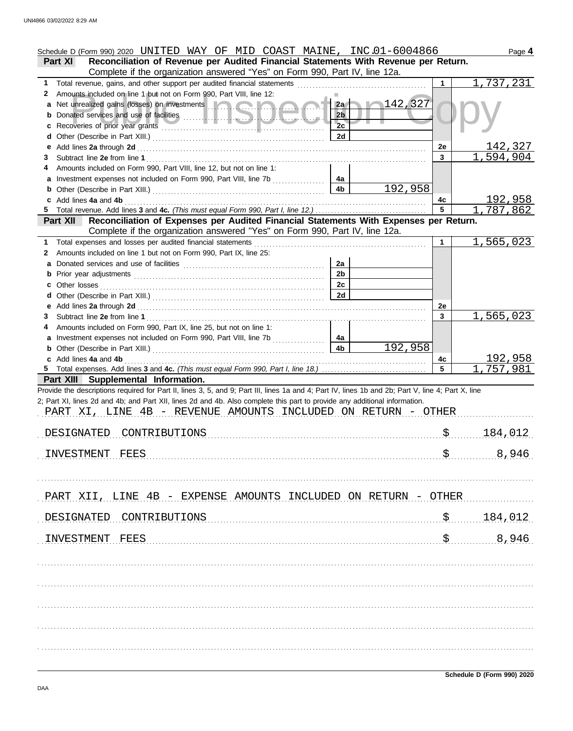|    | Schedule D (Form 990) 2020 UNITED WAY OF MID COAST MAINE, INC.01-6004866                                                                                                                                                       |                |                  |           | Page 4           |
|----|--------------------------------------------------------------------------------------------------------------------------------------------------------------------------------------------------------------------------------|----------------|------------------|-----------|------------------|
|    | Reconciliation of Revenue per Audited Financial Statements With Revenue per Return.<br>Part XI<br>Complete if the organization answered "Yes" on Form 990, Part IV, line 12a.                                                  |                |                  |           |                  |
| 1  |                                                                                                                                                                                                                                |                |                  |           | 1,737,231        |
| 2  | Amounts included on line 1 but not on Form 990, Part VIII, line 12:                                                                                                                                                            |                |                  |           |                  |
|    | a Net unrealized gains (losses) on investments <b>and a strategie of the strategy</b>                                                                                                                                          | 2a             | $\sqrt{142/327}$ |           |                  |
|    |                                                                                                                                                                                                                                | 2 <sub>b</sub> |                  |           |                  |
| c  |                                                                                                                                                                                                                                | 2c             |                  |           |                  |
|    |                                                                                                                                                                                                                                | 2d             |                  |           |                  |
| е  |                                                                                                                                                                                                                                |                |                  | 2e        | <u> 142,327</u>  |
|    |                                                                                                                                                                                                                                |                |                  | 3         | <u>1,594,904</u> |
| 4  | Amounts included on Form 990, Part VIII, line 12, but not on line 1:                                                                                                                                                           |                |                  |           |                  |
|    |                                                                                                                                                                                                                                | 4a             |                  |           |                  |
|    |                                                                                                                                                                                                                                | 4 <sub>b</sub> | 192,958          |           |                  |
|    | c Add lines 4a and 4b 2000 Material Contract Contract Add lines 4a and 4b                                                                                                                                                      |                |                  | 4с        | 192,958          |
|    |                                                                                                                                                                                                                                |                |                  | 5         | 1,787,862        |
|    | Reconciliation of Expenses per Audited Financial Statements With Expenses per Return.<br><b>Part XII</b>                                                                                                                       |                |                  |           |                  |
|    | Complete if the organization answered "Yes" on Form 990, Part IV, line 12a.                                                                                                                                                    |                |                  |           |                  |
| 1  |                                                                                                                                                                                                                                |                |                  |           | 1,565,023        |
| 2  | Amounts included on line 1 but not on Form 990, Part IX, line 25:                                                                                                                                                              |                |                  |           |                  |
| a  |                                                                                                                                                                                                                                | 2a             |                  |           |                  |
|    |                                                                                                                                                                                                                                | 2 <sub>b</sub> |                  |           |                  |
|    |                                                                                                                                                                                                                                | 2c             |                  |           |                  |
|    |                                                                                                                                                                                                                                | 2d             |                  |           |                  |
|    |                                                                                                                                                                                                                                |                |                  | <b>2e</b> |                  |
| 3. |                                                                                                                                                                                                                                |                |                  | 3         | 1,565,023        |
| 4  | Amounts included on Form 990, Part IX, line 25, but not on line 1:                                                                                                                                                             |                |                  |           |                  |
|    |                                                                                                                                                                                                                                | 4a             |                  |           |                  |
|    | <b>b</b> Other (Describe in Part XIII.) <b>CONSIDENT DESCRIPTION DESCRIPTION DESCRIPTION DESCRIPTION DESCRIPTION DESCRIPTION DESCRIPTION DESCRIPTION DESCRIPTION DESCRIPTION DESCRIPTION DESCRIPTION DESCRI</b>                | 4 <sub>b</sub> | 192,958          |           |                  |
|    | c Add lines 4a and 4b (a) contains the contract of the contract of the contract of the contract of the contract of the contract of the contract of the contract of the contract of the contract of the contract of the contrac |                |                  | 4с        | 192,958          |
|    |                                                                                                                                                                                                                                |                |                  | 5         | ,757,981         |
|    | Part XIII Supplemental Information.                                                                                                                                                                                            |                |                  |           |                  |
|    | Provide the descriptions required for Part II, lines 3, 5, and 9; Part III, lines 1a and 4; Part IV, lines 1b and 2b; Part V, line 4; Part X, line                                                                             |                |                  |           |                  |
|    | 2; Part XI, lines 2d and 4b; and Part XII, lines 2d and 4b. Also complete this part to provide any additional information.                                                                                                     |                |                  |           |                  |
|    | PART XI, LINE 4B - REVENUE AMOUNTS INCLUDED ON RETURN - OTHER                                                                                                                                                                  |                |                  |           |                  |
|    |                                                                                                                                                                                                                                |                |                  |           |                  |
|    | DESIGNATED CONTRIBUTIONS                                                                                                                                                                                                       |                |                  |           | 184,012          |
|    |                                                                                                                                                                                                                                |                |                  |           |                  |
|    | INVESTMENT<br>FEES                                                                                                                                                                                                             |                |                  |           | 8,946            |
|    |                                                                                                                                                                                                                                |                |                  |           |                  |
|    |                                                                                                                                                                                                                                |                |                  |           |                  |
|    |                                                                                                                                                                                                                                |                |                  |           |                  |
|    | PART XII, LINE 4B - EXPENSE AMOUNTS INCLUDED ON RETURN - OTHER                                                                                                                                                                 |                |                  |           |                  |
|    |                                                                                                                                                                                                                                |                |                  |           |                  |
|    | DESIGNATED<br>CONTRIBUTIONS                                                                                                                                                                                                    |                |                  | \$        | 184,012          |
|    |                                                                                                                                                                                                                                |                |                  |           |                  |
|    | INVESTMENT<br>FEES                                                                                                                                                                                                             |                |                  | \$        | 8,946            |
|    |                                                                                                                                                                                                                                |                |                  |           |                  |
|    |                                                                                                                                                                                                                                |                |                  |           |                  |
|    |                                                                                                                                                                                                                                |                |                  |           |                  |
|    |                                                                                                                                                                                                                                |                |                  |           |                  |
|    |                                                                                                                                                                                                                                |                |                  |           |                  |
|    |                                                                                                                                                                                                                                |                |                  |           |                  |
|    |                                                                                                                                                                                                                                |                |                  |           |                  |
|    |                                                                                                                                                                                                                                |                |                  |           |                  |
|    |                                                                                                                                                                                                                                |                |                  |           |                  |
|    |                                                                                                                                                                                                                                |                |                  |           |                  |
|    |                                                                                                                                                                                                                                |                |                  |           |                  |
|    |                                                                                                                                                                                                                                |                |                  |           |                  |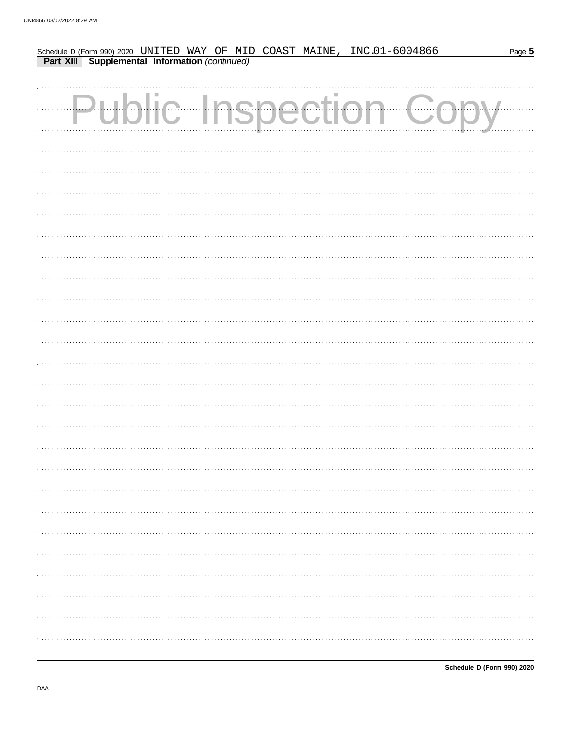| Schedule D (Form 990) 2020 UNITED WAY OF MID COAST MAINE, INC.01-6004866<br>Part XIII Supplemental Information (continued) |  |  |  |  |  | Page 5 |
|----------------------------------------------------------------------------------------------------------------------------|--|--|--|--|--|--------|
|                                                                                                                            |  |  |  |  |  |        |
|                                                                                                                            |  |  |  |  |  |        |
| Public Inspection Co                                                                                                       |  |  |  |  |  |        |
|                                                                                                                            |  |  |  |  |  |        |
|                                                                                                                            |  |  |  |  |  |        |
|                                                                                                                            |  |  |  |  |  |        |
|                                                                                                                            |  |  |  |  |  |        |
|                                                                                                                            |  |  |  |  |  |        |
|                                                                                                                            |  |  |  |  |  |        |
|                                                                                                                            |  |  |  |  |  |        |
|                                                                                                                            |  |  |  |  |  |        |
|                                                                                                                            |  |  |  |  |  |        |
|                                                                                                                            |  |  |  |  |  |        |
|                                                                                                                            |  |  |  |  |  |        |
|                                                                                                                            |  |  |  |  |  |        |
|                                                                                                                            |  |  |  |  |  |        |
|                                                                                                                            |  |  |  |  |  |        |
|                                                                                                                            |  |  |  |  |  |        |
|                                                                                                                            |  |  |  |  |  |        |
|                                                                                                                            |  |  |  |  |  |        |
|                                                                                                                            |  |  |  |  |  |        |
|                                                                                                                            |  |  |  |  |  |        |
|                                                                                                                            |  |  |  |  |  |        |
|                                                                                                                            |  |  |  |  |  |        |
|                                                                                                                            |  |  |  |  |  |        |
|                                                                                                                            |  |  |  |  |  |        |
|                                                                                                                            |  |  |  |  |  |        |
|                                                                                                                            |  |  |  |  |  |        |
|                                                                                                                            |  |  |  |  |  |        |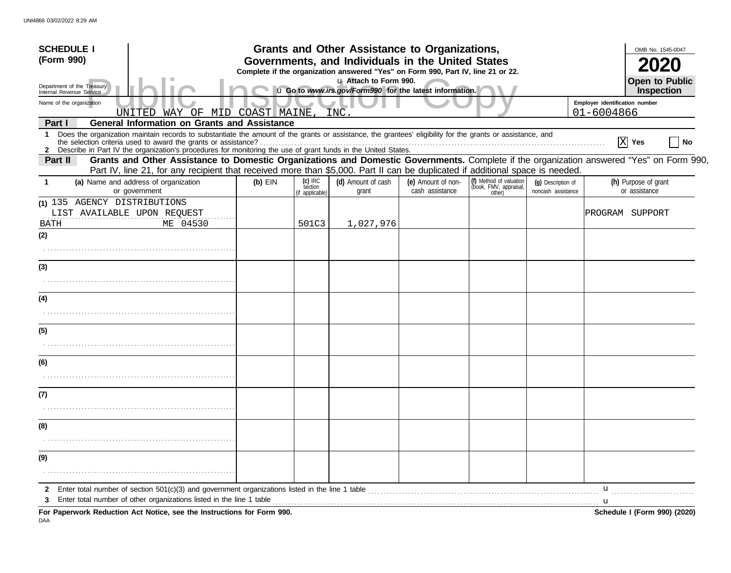| <b>SCHEDULE I</b>                                                                                                                                                                                                                                                                            |                                                                                                                                       |                                        | Grants and Other Assistance to Organizations,                                    |                                       |                                                             |                                          |                                | OMB No. 1545-0047                     |
|----------------------------------------------------------------------------------------------------------------------------------------------------------------------------------------------------------------------------------------------------------------------------------------------|---------------------------------------------------------------------------------------------------------------------------------------|----------------------------------------|----------------------------------------------------------------------------------|---------------------------------------|-------------------------------------------------------------|------------------------------------------|--------------------------------|---------------------------------------|
| (Form 990)                                                                                                                                                                                                                                                                                   | Governments, and Individuals in the United States<br>Complete if the organization answered "Yes" on Form 990, Part IV, line 21 or 22. |                                        |                                                                                  |                                       |                                                             |                                          |                                |                                       |
| Department of the Treasury<br>Internal Revenue Service                                                                                                                                                                                                                                       |                                                                                                                                       |                                        | u Attach to Form 990.<br>u Go to www.irs.gov/Form990 for the latest information. |                                       |                                                             |                                          |                                | <b>Open to Public</b><br>Inspection   |
| Name of the organization                                                                                                                                                                                                                                                                     |                                                                                                                                       |                                        |                                                                                  |                                       |                                                             |                                          | Employer identification number |                                       |
| WAY OF<br>UNITED<br><b>General Information on Grants and Assistance</b>                                                                                                                                                                                                                      | MID COAST MAINE                                                                                                                       |                                        | INC                                                                              |                                       |                                                             |                                          | 01-6004866                     |                                       |
| Part I<br>Does the organization maintain records to substantiate the amount of the grants or assistance, the grantees' eligibility for the grants or assistance, and<br>1<br>2 Describe in Part IV the organization's procedures for monitoring the use of grant funds in the United States. |                                                                                                                                       |                                        |                                                                                  |                                       |                                                             |                                          |                                | $\mathbf{X}$ Yes<br>No                |
| Grants and Other Assistance to Domestic Organizations and Domestic Governments. Complete if the organization answered "Yes" on Form 990,<br>Part II<br>Part IV, line 21, for any recipient that received more than \$5,000. Part II can be duplicated if additional space is needed.         |                                                                                                                                       |                                        |                                                                                  |                                       |                                                             |                                          |                                |                                       |
| (a) Name and address of organization<br>or government                                                                                                                                                                                                                                        | $(b)$ EIN                                                                                                                             | $(c)$ IRC<br>séction<br>if applicable) | (d) Amount of cash<br>grant                                                      | (e) Amount of non-<br>cash assistance | (f) Method of valuation<br>(book, FMV, appraisal,<br>other) | (g) Description of<br>noncash assistance |                                | (h) Purpose of grant<br>or assistance |
| (1) 135 AGENCY DISTRIBUTIONS<br>LIST AVAILABLE UPON REQUEST<br>ME 04530<br>BATH                                                                                                                                                                                                              |                                                                                                                                       | 501C3                                  | 1,027,976                                                                        |                                       |                                                             |                                          |                                | PROGRAM SUPPORT                       |
| (2)                                                                                                                                                                                                                                                                                          |                                                                                                                                       |                                        |                                                                                  |                                       |                                                             |                                          |                                |                                       |
| (3)                                                                                                                                                                                                                                                                                          |                                                                                                                                       |                                        |                                                                                  |                                       |                                                             |                                          |                                |                                       |
| (4)                                                                                                                                                                                                                                                                                          |                                                                                                                                       |                                        |                                                                                  |                                       |                                                             |                                          |                                |                                       |
| (5)                                                                                                                                                                                                                                                                                          |                                                                                                                                       |                                        |                                                                                  |                                       |                                                             |                                          |                                |                                       |
|                                                                                                                                                                                                                                                                                              |                                                                                                                                       |                                        |                                                                                  |                                       |                                                             |                                          |                                |                                       |
| (6)                                                                                                                                                                                                                                                                                          |                                                                                                                                       |                                        |                                                                                  |                                       |                                                             |                                          |                                |                                       |
|                                                                                                                                                                                                                                                                                              |                                                                                                                                       |                                        |                                                                                  |                                       |                                                             |                                          |                                |                                       |
| (7)                                                                                                                                                                                                                                                                                          |                                                                                                                                       |                                        |                                                                                  |                                       |                                                             |                                          |                                |                                       |
| (8)                                                                                                                                                                                                                                                                                          |                                                                                                                                       |                                        |                                                                                  |                                       |                                                             |                                          |                                |                                       |
|                                                                                                                                                                                                                                                                                              |                                                                                                                                       |                                        |                                                                                  |                                       |                                                             |                                          |                                |                                       |
| (9)                                                                                                                                                                                                                                                                                          |                                                                                                                                       |                                        |                                                                                  |                                       |                                                             |                                          |                                |                                       |
|                                                                                                                                                                                                                                                                                              |                                                                                                                                       |                                        |                                                                                  |                                       |                                                             |                                          |                                |                                       |
| 2<br>Enter total number of other organizations listed in the line 1 table                                                                                                                                                                                                                    |                                                                                                                                       |                                        |                                                                                  |                                       |                                                             |                                          | u                              |                                       |
| For Paperwork Reduction Act Notice, see the Instructions for Form 990.                                                                                                                                                                                                                       |                                                                                                                                       |                                        |                                                                                  |                                       |                                                             |                                          |                                | Schedule I (Form 990) (2020)          |

DAA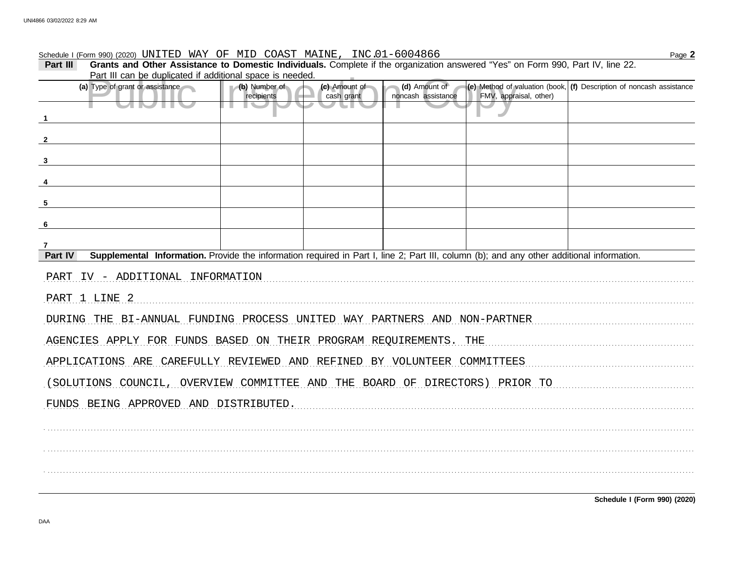# Schedule I (Form 990) (2020) UNITED WAY OF MID COAST MAINE, INC.01-6004866

| Part III     | Grants and Other Assistance to Domestic Individuals. Complete if the organization answered "Yes" on Form 990, Part IV, line 22.           |                             |                             |                                     |                        |                                                                                      |  |  |  |
|--------------|-------------------------------------------------------------------------------------------------------------------------------------------|-----------------------------|-----------------------------|-------------------------------------|------------------------|--------------------------------------------------------------------------------------|--|--|--|
|              | Part III can be duplicated if additional space is needed.                                                                                 |                             |                             |                                     |                        |                                                                                      |  |  |  |
|              | (a) Type of grant or assistance                                                                                                           | (b) Number of<br>recipients | (c) Amount of<br>cash grant | (d) Amount of<br>noncash assistance | FMV, appraisal, other) | $ e\rangle$ Method of valuation (book, $ f\rangle$ Description of noncash assistance |  |  |  |
|              | <b>STIP</b><br>. .                                                                                                                        |                             |                             |                                     |                        |                                                                                      |  |  |  |
|              |                                                                                                                                           |                             |                             |                                     |                        |                                                                                      |  |  |  |
|              |                                                                                                                                           |                             |                             |                                     |                        |                                                                                      |  |  |  |
|              |                                                                                                                                           |                             |                             |                                     |                        |                                                                                      |  |  |  |
|              |                                                                                                                                           |                             |                             |                                     |                        |                                                                                      |  |  |  |
| 5            |                                                                                                                                           |                             |                             |                                     |                        |                                                                                      |  |  |  |
|              |                                                                                                                                           |                             |                             |                                     |                        |                                                                                      |  |  |  |
| - 6          |                                                                                                                                           |                             |                             |                                     |                        |                                                                                      |  |  |  |
| 7<br>Part IV | Supplemental Information. Provide the information required in Part I, line 2; Part III, column (b); and any other additional information. |                             |                             |                                     |                        |                                                                                      |  |  |  |
|              | PART IV - ADDITIONAL INFORMATION                                                                                                          |                             |                             |                                     |                        |                                                                                      |  |  |  |
|              | PART 1 LINE 2                                                                                                                             |                             |                             |                                     |                        |                                                                                      |  |  |  |
|              | DURING THE BI-ANNUAL FUNDING PROCESS UNITED WAY PARTNERS AND NON-PARTNER                                                                  |                             |                             |                                     |                        |                                                                                      |  |  |  |
|              | AGENCIES APPLY FOR FUNDS BASED ON THEIR PROGRAM REQUIREMENTS. THE                                                                         |                             |                             |                                     |                        |                                                                                      |  |  |  |
|              |                                                                                                                                           |                             |                             |                                     |                        |                                                                                      |  |  |  |
|              | APPLICATIONS ARE CAREFULLY REVIEWED AND REFINED BY VOLUNTEER COMMITTEES                                                                   |                             |                             |                                     |                        |                                                                                      |  |  |  |
|              | (SOLUTIONS COUNCIL, OVERVIEW COMMITTEE AND THE BOARD OF DIRECTORS) PRIOR TO                                                               |                             |                             |                                     |                        |                                                                                      |  |  |  |
|              | FUNDS BEING APPROVED AND DISTRIBUTED.                                                                                                     |                             |                             |                                     |                        |                                                                                      |  |  |  |
|              |                                                                                                                                           |                             |                             |                                     |                        |                                                                                      |  |  |  |
|              |                                                                                                                                           |                             |                             |                                     |                        |                                                                                      |  |  |  |
|              |                                                                                                                                           |                             |                             |                                     |                        |                                                                                      |  |  |  |
|              |                                                                                                                                           |                             |                             |                                     |                        |                                                                                      |  |  |  |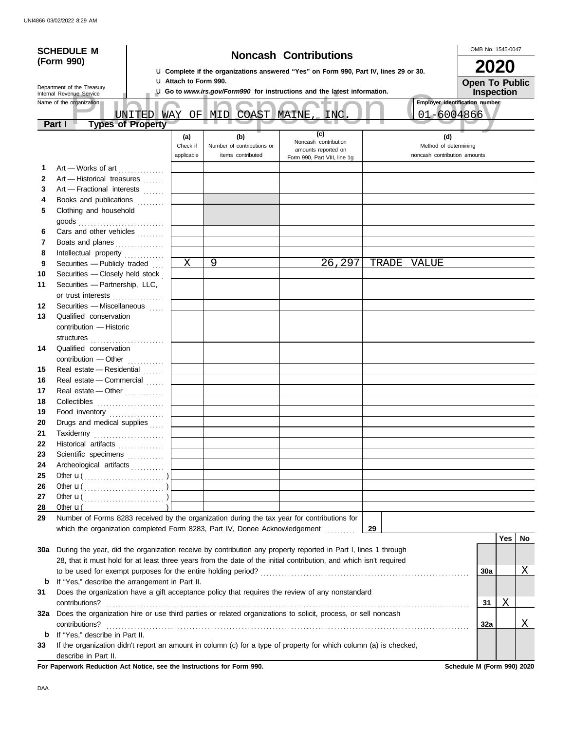| <b>SCHEDULE M</b><br>(Form 990) |                                                                                                                    |  | <b>Noncash Contributions</b>  |                                                        |                                                                                             |       |                                                              |                                | OMB No. 1545-0047 |                       |  |
|---------------------------------|--------------------------------------------------------------------------------------------------------------------|--|-------------------------------|--------------------------------------------------------|---------------------------------------------------------------------------------------------|-------|--------------------------------------------------------------|--------------------------------|-------------------|-----------------------|--|
|                                 |                                                                                                                    |  |                               |                                                        | <b>u</b> Complete if the organizations answered "Yes" on Form 990, Part IV, lines 29 or 30. |       |                                                              |                                | 2020              |                       |  |
| Department of the Treasury      |                                                                                                                    |  | <b>u</b> Attach to Form 990.  |                                                        |                                                                                             |       |                                                              |                                |                   | <b>Open To Public</b> |  |
| Internal Revenue Service        |                                                                                                                    |  |                               |                                                        | L Go to www.irs.gov/Form990 for instructions and the latest information.                    |       |                                                              | Inspection                     |                   |                       |  |
|                                 | Name of the organization<br>UNITED WAY                                                                             |  |                               | OF MID COAST MAINE                                     | <b>INC</b>                                                                                  |       | 01-6004866                                                   | Employer identification number |                   |                       |  |
|                                 | <b>Types of Property</b><br>Part I                                                                                 |  |                               |                                                        | (c)                                                                                         |       |                                                              |                                |                   |                       |  |
|                                 |                                                                                                                    |  | (a)<br>Check if<br>applicable | (b)<br>Number of contributions or<br>items contributed | Noncash contribution<br>amounts reported on<br>Form 990, Part VIII, line 1g                 |       | (d)<br>Method of determining<br>noncash contribution amounts |                                |                   |                       |  |
| 1                               | Art - Works of art                                                                                                 |  |                               |                                                        |                                                                                             |       |                                                              |                                |                   |                       |  |
| $\mathbf{2}$                    | Art - Historical treasures                                                                                         |  |                               |                                                        |                                                                                             |       |                                                              |                                |                   |                       |  |
| 3                               | Art - Fractional interests                                                                                         |  |                               |                                                        |                                                                                             |       |                                                              |                                |                   |                       |  |
| 4                               | Books and publications                                                                                             |  |                               |                                                        |                                                                                             |       |                                                              |                                |                   |                       |  |
| 5                               | Clothing and household<br>$\mathsf{goods}\xrightarrow{\hspace{0.5cm}}$                                             |  |                               |                                                        |                                                                                             |       |                                                              |                                |                   |                       |  |
| 6                               | Cars and other vehicles                                                                                            |  |                               |                                                        |                                                                                             |       |                                                              |                                |                   |                       |  |
| 7                               | Boats and planes                                                                                                   |  |                               |                                                        |                                                                                             |       |                                                              |                                |                   |                       |  |
| 8                               | Intellectual property                                                                                              |  |                               |                                                        |                                                                                             |       |                                                              |                                |                   |                       |  |
| 9                               | Securities - Publicly traded                                                                                       |  | Χ                             | 9                                                      | 26,297                                                                                      | TRADE | VALUE                                                        |                                |                   |                       |  |
| 10                              | Securities - Closely held stock                                                                                    |  |                               |                                                        |                                                                                             |       |                                                              |                                |                   |                       |  |
| 11                              | Securities - Partnership, LLC,<br>or trust interests                                                               |  |                               |                                                        |                                                                                             |       |                                                              |                                |                   |                       |  |
| 12                              | Securities - Miscellaneous                                                                                         |  |                               |                                                        |                                                                                             |       |                                                              |                                |                   |                       |  |
| 13                              | Qualified conservation<br>contribution - Historic                                                                  |  |                               |                                                        |                                                                                             |       |                                                              |                                |                   |                       |  |
|                                 | structures                                                                                                         |  |                               |                                                        |                                                                                             |       |                                                              |                                |                   |                       |  |
| 14                              | Qualified conservation                                                                                             |  |                               |                                                        |                                                                                             |       |                                                              |                                |                   |                       |  |
|                                 | contribution - Other                                                                                               |  |                               |                                                        |                                                                                             |       |                                                              |                                |                   |                       |  |
| 15                              | Real estate - Residential                                                                                          |  |                               |                                                        |                                                                                             |       |                                                              |                                |                   |                       |  |
| 16                              | Real estate - Commercial                                                                                           |  |                               |                                                        |                                                                                             |       |                                                              |                                |                   |                       |  |
| 17                              | Real estate - Other                                                                                                |  |                               |                                                        |                                                                                             |       |                                                              |                                |                   |                       |  |
| 18                              | Collectibles                                                                                                       |  |                               |                                                        |                                                                                             |       |                                                              |                                |                   |                       |  |
| 19                              | Food inventory                                                                                                     |  |                               |                                                        |                                                                                             |       |                                                              |                                |                   |                       |  |
| 20                              | Drugs and medical supplies                                                                                         |  |                               |                                                        |                                                                                             |       |                                                              |                                |                   |                       |  |
| 21                              | Taxidermy                                                                                                          |  |                               |                                                        |                                                                                             |       |                                                              |                                |                   |                       |  |
| 22                              | Historical artifacts                                                                                               |  |                               |                                                        |                                                                                             |       |                                                              |                                |                   |                       |  |
| 23                              | Scientific specimens                                                                                               |  |                               |                                                        |                                                                                             |       |                                                              |                                |                   |                       |  |
| 24                              | Archeological artifacts                                                                                            |  |                               |                                                        |                                                                                             |       |                                                              |                                |                   |                       |  |
| 25                              |                                                                                                                    |  |                               |                                                        |                                                                                             |       |                                                              |                                |                   |                       |  |
| 26<br>27                        |                                                                                                                    |  |                               |                                                        |                                                                                             |       |                                                              |                                |                   |                       |  |
| 28                              | Other $\mathbf{u}$                                                                                                 |  |                               |                                                        |                                                                                             |       |                                                              |                                |                   |                       |  |
| 29                              | Number of Forms 8283 received by the organization during the tax year for contributions for                        |  |                               |                                                        |                                                                                             |       |                                                              |                                |                   |                       |  |
|                                 | which the organization completed Form 8283, Part IV, Donee Acknowledgement                                         |  |                               |                                                        |                                                                                             | 29    |                                                              |                                | Yes               | No                    |  |
| 30a                             | During the year, did the organization receive by contribution any property reported in Part I, lines 1 through     |  |                               |                                                        |                                                                                             |       |                                                              |                                |                   |                       |  |
|                                 | 28, that it must hold for at least three years from the date of the initial contribution, and which isn't required |  |                               |                                                        |                                                                                             |       |                                                              |                                |                   |                       |  |
|                                 |                                                                                                                    |  |                               |                                                        |                                                                                             |       |                                                              | 30a                            |                   | Χ                     |  |
| b                               | If "Yes," describe the arrangement in Part II.                                                                     |  |                               |                                                        |                                                                                             |       |                                                              |                                |                   |                       |  |
| 31                              | Does the organization have a gift acceptance policy that requires the review of any nonstandard                    |  |                               |                                                        |                                                                                             |       |                                                              |                                |                   |                       |  |
|                                 | contributions?                                                                                                     |  |                               |                                                        |                                                                                             |       |                                                              | 31                             | Χ                 |                       |  |
| 32a                             | Does the organization hire or use third parties or related organizations to solicit, process, or sell noncash      |  |                               |                                                        |                                                                                             |       |                                                              |                                |                   |                       |  |
|                                 | contributions?                                                                                                     |  |                               |                                                        |                                                                                             |       |                                                              | 32a                            |                   | <u>X</u>              |  |
| b                               | If "Yes," describe in Part II.                                                                                     |  |                               |                                                        |                                                                                             |       |                                                              |                                |                   |                       |  |
| 33                              | If the organization didn't report an amount in column (c) for a type of property for which column (a) is checked,  |  |                               |                                                        |                                                                                             |       |                                                              |                                |                   |                       |  |
|                                 | describe in Part II.                                                                                               |  |                               |                                                        |                                                                                             |       |                                                              |                                |                   |                       |  |

For Paperwork Reduction Act Notice, see the Instructions for Form 990. Schedule M (Form 990) 2020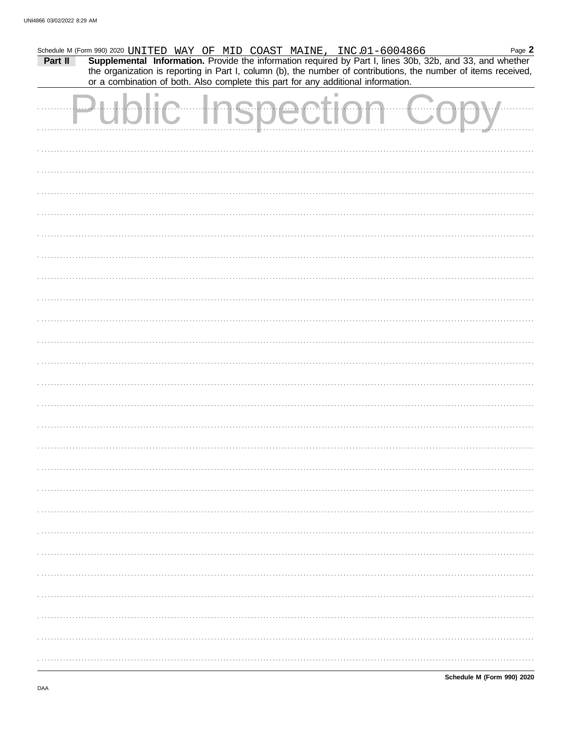| Part II |              |        | Schedule M (Form 990) 2020 UNITED WAY OF MID COAST MAINE, INC.01-6004866<br>or a combination of both. Also complete this part for any additional information. | Supplemental Information. Provide the information required by Part I, lines 30b, 32b, and 33, and whether<br>the organization is reporting in Part I, column (b), the number of contributions, the number of items received, | Page 2 |
|---------|--------------|--------|---------------------------------------------------------------------------------------------------------------------------------------------------------------|------------------------------------------------------------------------------------------------------------------------------------------------------------------------------------------------------------------------------|--------|
|         | $\mathbb{C}$ | ection |                                                                                                                                                               | .                                                                                                                                                                                                                            |        |
|         |              |        |                                                                                                                                                               |                                                                                                                                                                                                                              |        |
|         |              |        |                                                                                                                                                               |                                                                                                                                                                                                                              |        |
|         |              |        |                                                                                                                                                               |                                                                                                                                                                                                                              |        |
|         |              |        |                                                                                                                                                               |                                                                                                                                                                                                                              |        |
|         |              |        |                                                                                                                                                               |                                                                                                                                                                                                                              |        |
|         |              |        |                                                                                                                                                               |                                                                                                                                                                                                                              |        |
|         |              |        |                                                                                                                                                               |                                                                                                                                                                                                                              |        |
|         |              |        |                                                                                                                                                               |                                                                                                                                                                                                                              |        |
|         |              |        |                                                                                                                                                               |                                                                                                                                                                                                                              |        |
|         |              |        |                                                                                                                                                               |                                                                                                                                                                                                                              |        |
|         |              |        |                                                                                                                                                               |                                                                                                                                                                                                                              |        |
|         |              |        |                                                                                                                                                               |                                                                                                                                                                                                                              |        |
|         |              |        |                                                                                                                                                               |                                                                                                                                                                                                                              |        |
|         |              |        |                                                                                                                                                               |                                                                                                                                                                                                                              |        |
|         |              |        |                                                                                                                                                               |                                                                                                                                                                                                                              |        |
|         |              |        |                                                                                                                                                               |                                                                                                                                                                                                                              |        |
|         |              |        |                                                                                                                                                               |                                                                                                                                                                                                                              |        |
|         |              |        |                                                                                                                                                               |                                                                                                                                                                                                                              |        |
|         |              |        |                                                                                                                                                               |                                                                                                                                                                                                                              |        |
|         |              |        |                                                                                                                                                               |                                                                                                                                                                                                                              |        |
|         |              |        |                                                                                                                                                               |                                                                                                                                                                                                                              |        |
|         |              |        |                                                                                                                                                               |                                                                                                                                                                                                                              |        |
|         |              |        |                                                                                                                                                               |                                                                                                                                                                                                                              |        |
|         |              |        |                                                                                                                                                               |                                                                                                                                                                                                                              |        |
|         |              |        |                                                                                                                                                               |                                                                                                                                                                                                                              |        |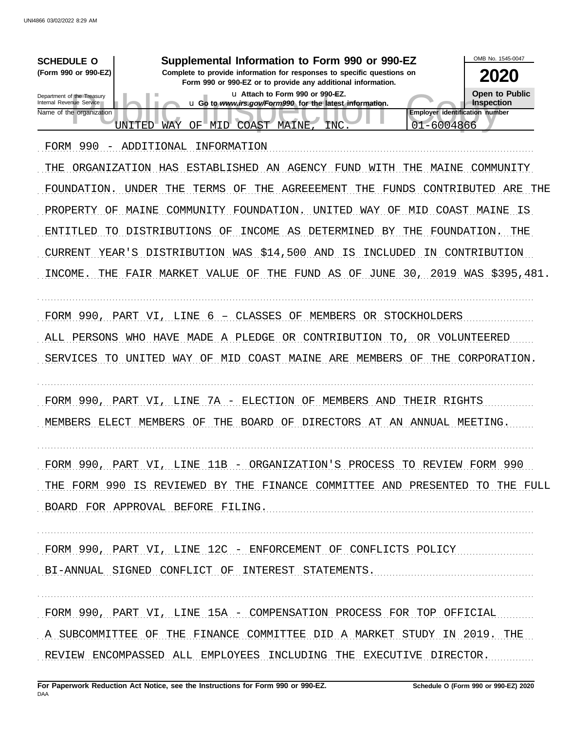| <b>SCHEDULE O</b><br>(Form 990 or 990-EZ)<br>Department of the Treasury<br>Internal Revenue Service | Supplemental Information to Form 990 or 990-EZ<br>Complete to provide information for responses to specific questions on<br>Form 990 or 990-EZ or to provide any additional information.<br>u Attach to Form 990 or 990-EZ.<br>u Go to www.irs.gov/Form990 for the latest information. | OMB No. 1545-0047<br>2020<br><b>Open to Public</b><br>Inspection |
|-----------------------------------------------------------------------------------------------------|----------------------------------------------------------------------------------------------------------------------------------------------------------------------------------------------------------------------------------------------------------------------------------------|------------------------------------------------------------------|
| Name of the organization<br><b>UNITED</b>                                                           | WAY<br>$OF^-$<br>MID<br>COAST MAINE<br>INC                                                                                                                                                                                                                                             | <b>Employer identification number</b><br>01-6004866              |
| FORM 990<br>- ADDITIONAL                                                                            | INFORMATION                                                                                                                                                                                                                                                                            |                                                                  |
| ORGANIZATION HAS<br>THE                                                                             | ESTABLISHED<br>AN<br>AGENCY FUND<br>WITH<br>THE                                                                                                                                                                                                                                        | MAINE<br>COMMUNITY                                               |
| <b>UNDER</b><br>FOUNDATION.                                                                         | <b>AGREEEMENT</b><br>THE<br>TERMS<br>THE<br>THE<br>FUNDS<br>ΟF                                                                                                                                                                                                                         | CONTRIBUTED<br>ARE<br>THE                                        |
| MAINE<br>PROPERTY<br>ΟF                                                                             | FOUNDATION<br>UNITED<br>COMMUNITY<br>WAY<br>ΟF                                                                                                                                                                                                                                         | COAST MAINE<br>MID<br>IS                                         |
| <b>ENTITLED</b><br>TО                                                                               | DISTRIBUTIONS<br><b>INCOME</b><br>DETERMINED<br>OF<br>AS<br>BY<br>THE                                                                                                                                                                                                                  | FOUNDATION.<br>THE                                               |
| <b>CURRENT</b><br>YEAR'S                                                                            | DISTRIBUTION WAS \$14,500<br>AND IS<br>INCLUDED                                                                                                                                                                                                                                        | CONTRIBUTION<br>IN                                               |
| INCOME,<br>THE                                                                                      | FAIR MARKET VALUE<br>ΟF<br>THE                                                                                                                                                                                                                                                         | FUND AS OF JUNE 30, 2019 WAS \$395,481.                          |
| FORM 990,<br>PART VI,<br>ALL PERSONS<br>WHO<br>UNITED<br>SERVICES<br>TO                             | LINE 6 - CLASSES OF<br>OR STOCKHOLDERS<br>MEMBERS<br>MADE<br>A PLEDGE<br>OR CONTRIBUTION<br>HAVE<br>TO,<br>COAST MAINE ARE<br>WAY OF MID<br>MEMBERS                                                                                                                                    | OR VOLUNTEERED<br>THE<br>CORPORATION.<br>ΟF                      |
| FORM 990,<br>PART VI,<br>MEMBERS<br>ELECT                                                           | ELECTION<br>LINE<br>7A -<br>OF<br>MEMBERS<br>AND<br><b>BOARD</b><br><b>DIRECTORS</b><br>MEMBERS<br>THE<br>OF<br>AT<br>ΟF<br>AN                                                                                                                                                         | THEIR RIGHTS<br>ANNUAL MEETING.                                  |
|                                                                                                     | FORM 990, PART VI, LINE 11B - ORGANIZATION'S PROCESS TO REVIEW FORM 990                                                                                                                                                                                                                |                                                                  |
|                                                                                                     | THE FORM 990 IS REVIEWED BY THE FINANCE COMMITTEE AND PRESENTED TO THE FULL                                                                                                                                                                                                            |                                                                  |
|                                                                                                     | BOARD FOR APPROVAL BEFORE FILING.                                                                                                                                                                                                                                                      |                                                                  |
|                                                                                                     | FORM 990, PART VI, LINE 12C - ENFORCEMENT OF CONFLICTS POLICY<br>BI-ANNUAL SIGNED CONFLICT OF INTEREST STATEMENTS.                                                                                                                                                                     |                                                                  |
|                                                                                                     |                                                                                                                                                                                                                                                                                        |                                                                  |
|                                                                                                     | FORM 990, PART VI, LINE 15A - COMPENSATION PROCESS FOR TOP OFFICIAL                                                                                                                                                                                                                    |                                                                  |
|                                                                                                     | A SUBCOMMITTEE OF THE FINANCE COMMITTEE DID A MARKET STUDY IN 2019. THE                                                                                                                                                                                                                |                                                                  |
|                                                                                                     | REVIEW ENCOMPASSED ALL EMPLOYEES INCLUDING THE EXECUTIVE DIRECTOR.                                                                                                                                                                                                                     |                                                                  |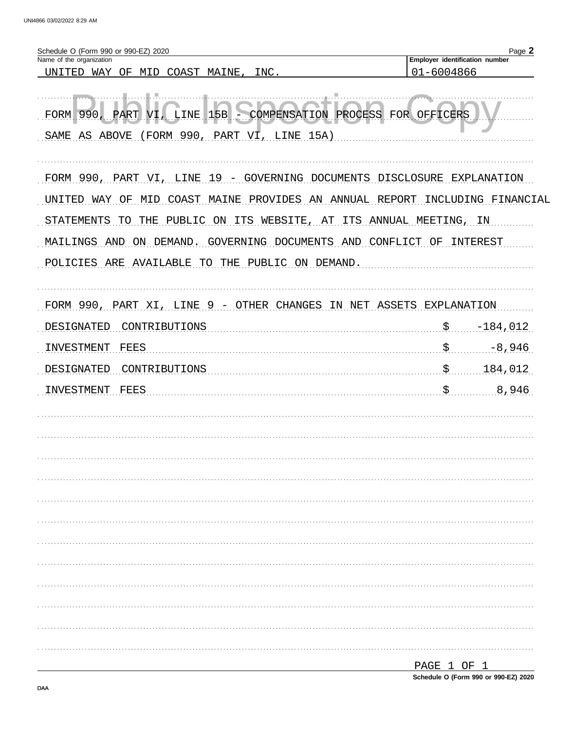| Schedule O (Form 990 or 990-EZ) 2020<br>Name of the organization             |                                              | Page 2              |
|------------------------------------------------------------------------------|----------------------------------------------|---------------------|
| UNITED<br>WAY OF<br>COAST MAINE,<br>INC.<br>MID                              | Employer identification number<br>01-6004866 |                     |
| FORM 990, PART VI, LINE 15B . COMPENSATION PROCESS FOR OFFICERS              |                                              |                     |
| (FORM 990, PART VI, LINE 15A)<br>SAME AS ABOVE                               |                                              |                     |
|                                                                              |                                              |                     |
| FORM 990, PART VI, LINE 19 - GOVERNING DOCUMENTS DISCLOSURE EXPLANATION      |                                              |                     |
| COAST MAINE PROVIDES AN ANNUAL REPORT<br>WAY<br>ΟF<br>MID<br>UNTTED          |                                              | INCLUDING FINANCIAL |
| PUBLIC ON ITS WEBSITE, AT ITS ANNUAL MEETING, IN<br>STATEMENTS<br>THE<br>TO. |                                              |                     |
| DEMAND.<br>GOVERNING DOCUMENTS AND<br>ON.                                    | CONFLICT OF                                  | INTEREST            |
| MAILINGS AND                                                                 |                                              |                     |
| POLICIES ARE AVAILABLE<br>PUBLIC ON DEMAND.<br>TO THE                        |                                              |                     |
|                                                                              |                                              |                     |
| FORM 990, PART XI, LINE 9<br>- OTHER CHANGES IN NET ASSETS EXPLANATION       |                                              |                     |
| DESIGNATED<br>CONTRIBUTIONS                                                  | $\mathsf{S}_{\cdot\cdot\cdot}$               | $-184,012$          |
| FEES<br>INVESTMENT                                                           | $\boldsymbol{\mathsf{S}}$                    | $-8,946$            |
|                                                                              |                                              |                     |
| CONTRIBUTIONS<br>DESIGNATED                                                  | $\mathfrak{S}$ .                             | 184,012             |
| <b>FEES</b><br>INVESTMENT                                                    | $\boldsymbol{\mathsf{S}}$                    | 8,946               |
|                                                                              |                                              |                     |
|                                                                              |                                              |                     |
|                                                                              |                                              |                     |
|                                                                              |                                              |                     |
|                                                                              |                                              |                     |
|                                                                              |                                              |                     |
|                                                                              |                                              |                     |
|                                                                              |                                              |                     |
|                                                                              |                                              |                     |
|                                                                              |                                              |                     |
|                                                                              |                                              |                     |
|                                                                              |                                              |                     |
|                                                                              |                                              |                     |
|                                                                              |                                              |                     |
|                                                                              | PAGE 1 OF 1                                  |                     |